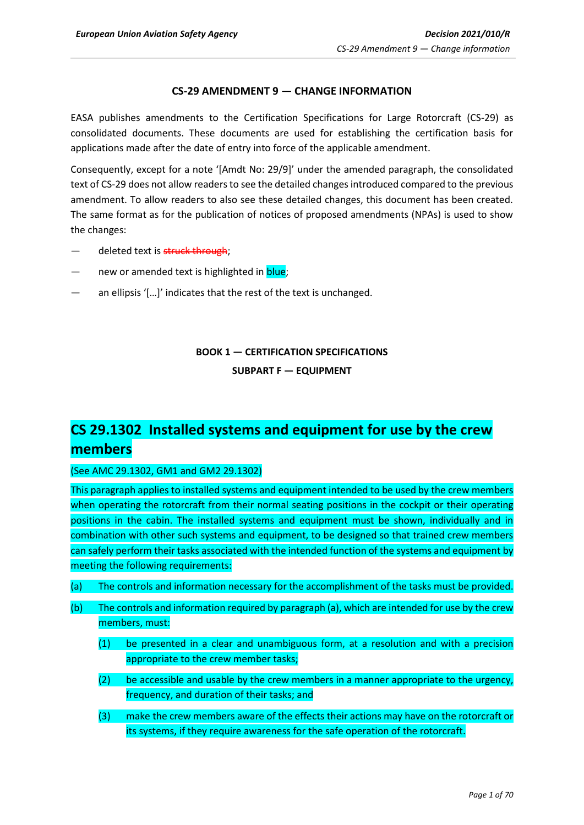## **CS-29 AMENDMENT 9 — CHANGE INFORMATION**

EASA publishes amendments to the Certification Specifications for Large Rotorcraft (CS-29) as consolidated documents. These documents are used for establishing the certification basis for applications made after the date of entry into force of the applicable amendment.

Consequently, except for a note '[Amdt No: 29/9]' under the amended paragraph, the consolidated text of CS-29 does not allow readers to see the detailed changes introduced compared to the previous amendment. To allow readers to also see these detailed changes, this document has been created. The same format as for the publication of notices of proposed amendments (NPAs) is used to show the changes:

- deleted text is struck through;
- new or amended text is highlighted in blue;
- an ellipsis '[...]' indicates that the rest of the text is unchanged.

## **BOOK 1 — CERTIFICATION SPECIFICATIONS**

**SUBPART F — EQUIPMENT**

# **CS 29.1302 Installed systems and equipment for use by the crew members**

(See AMC 29.1302, GM1 and GM2 29.1302)

This paragraph applies to installed systems and equipment intended to be used by the crew members when operating the rotorcraft from their normal seating positions in the cockpit or their operating positions in the cabin. The installed systems and equipment must be shown, individually and in combination with other such systems and equipment, to be designed so that trained crew members can safely perform their tasks associated with the intended function of the systems and equipment by meeting the following requirements:

- (a) The controls and information necessary for the accomplishment of the tasks must be provided.
- (b) The controls and information required by paragraph (a), which are intended for use by the crew members, must:
	- (1) be presented in a clear and unambiguous form, at a resolution and with a precision appropriate to the crew member tasks;
	- $(2)$  be accessible and usable by the crew members in a manner appropriate to the urgency, frequency, and duration of their tasks; and
	- (3) make the crew members aware of the effects their actions may have on the rotorcraft or its systems, if they require awareness for the safe operation of the rotorcraft.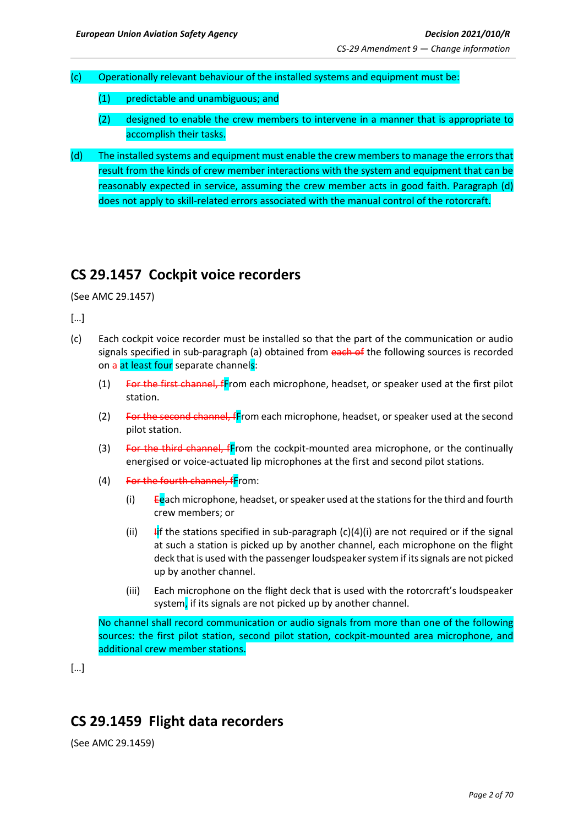- (c) Operationally relevant behaviour of the installed systems and equipment must be:
	- (1) predictable and unambiguous; and
	- (2) designed to enable the crew members to intervene in a manner that is appropriate to accomplish their tasks.
- (d) The installed systems and equipment must enable the crew members to manage the errors that result from the kinds of crew member interactions with the system and equipment that can be reasonably expected in service, assuming the crew member acts in good faith. Paragraph (d) does not apply to skill-related errors associated with the manual control of the rotorcraft.

## **CS 29.1457 Cockpit voice recorders**

(See AMC 29.1457)

[…]

- (c) Each cockpit voice recorder must be installed so that the part of the communication or audio signals specified in sub-paragraph (a) obtained from each of the following sources is recorded on a at least four separate channels:
	- $(1)$  For the first channel, fFrom each microphone, headset, or speaker used at the first pilot station.
	- (2) For the second channel, fFrom each microphone, headset, or speaker used at the second pilot station.
	- (3) For the third channel, fFrom the cockpit-mounted area microphone, or the continually energised or voice-actuated lip microphones at the first and second pilot stations.
	- $(4)$  For the fourth channel, fFrom:
		- (i)  $E$ each microphone, headset, or speaker used at the stations for the third and fourth crew members; or
		- (ii)  $\frac{1}{11}$  f the stations specified in sub-paragraph (c)(4)(i) are not required or if the signal at such a station is picked up by another channel, each microphone on the flight deck that is used with the passenger loudspeaker system if its signals are not picked up by another channel.
		- (iii) Each microphone on the flight deck that is used with the rotorcraft's loudspeaker system, if its signals are not picked up by another channel.

No channel shall record communication or audio signals from more than one of the following sources: the first pilot station, second pilot station, cockpit-mounted area microphone, and additional crew member stations.

[…]

# **CS 29.1459 Flight data recorders**

(See AMC 29.1459)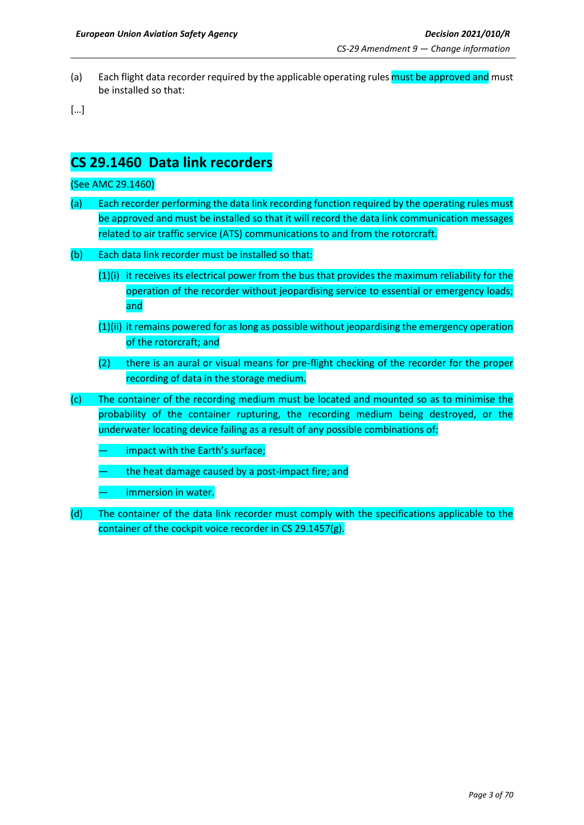(a) Each flight data recorder required by the applicable operating rules must be approved and must be installed so that:

[…]

## **CS 29.1460 Data link recorders**

### (See AMC 29.1460)

- (a) Each recorder performing the data link recording function required by the operating rules must be approved and must be installed so that it will record the data link communication messages related to air traffic service (ATS) communications to and from the rotorcraft.
- (b) Each data link recorder must be installed so that:
	- $(1)(i)$  it receives its electrical power from the bus that provides the maximum reliability for the operation of the recorder without jeopardising service to essential or emergency loads; and
	- (1)(ii) it remains powered for as long as possible without jeopardising the emergency operation of the rotorcraft; and
	- (2) there is an aural or visual means for pre-flight checking of the recorder for the proper recording of data in the storage medium.
- (c) The container of the recording medium must be located and mounted so as to minimise the probability of the container rupturing, the recording medium being destroyed, or the underwater locating device failing as a result of any possible combinations of:
	- impact with the Earth's surface;
	- the heat damage caused by a post-impact fire; and
	- immersion in water.
- (d) The container of the data link recorder must comply with the specifications applicable to the container of the cockpit voice recorder in CS 29.1457(g).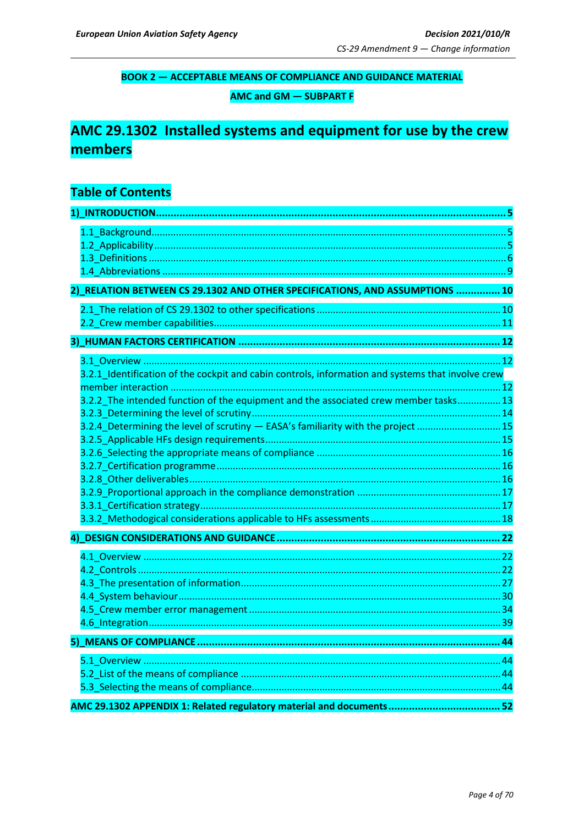## **BOOK 2 - ACCEPTABLE MEANS OF COMPLIANCE AND GUIDANCE MATERIAL**

**AMC and GM - SUBPART F** 

# AMC 29.1302 Installed systems and equipment for use by the crew members

## **Table of Contents**

| 2) RELATION BETWEEN CS 29.1302 AND OTHER SPECIFICATIONS, AND ASSUMPTIONS  10                      |  |
|---------------------------------------------------------------------------------------------------|--|
|                                                                                                   |  |
|                                                                                                   |  |
|                                                                                                   |  |
|                                                                                                   |  |
| 3.2.1_Identification of the cockpit and cabin controls, information and systems that involve crew |  |
|                                                                                                   |  |
| 3.2.2_The intended function of the equipment and the associated crew member tasks 13              |  |
|                                                                                                   |  |
| 3.2.4 Determining the level of scrutiny - EASA's familiarity with the project  15                 |  |
|                                                                                                   |  |
|                                                                                                   |  |
|                                                                                                   |  |
|                                                                                                   |  |
|                                                                                                   |  |
|                                                                                                   |  |
|                                                                                                   |  |
|                                                                                                   |  |
|                                                                                                   |  |
|                                                                                                   |  |
|                                                                                                   |  |
|                                                                                                   |  |
|                                                                                                   |  |
|                                                                                                   |  |
|                                                                                                   |  |
|                                                                                                   |  |
|                                                                                                   |  |
|                                                                                                   |  |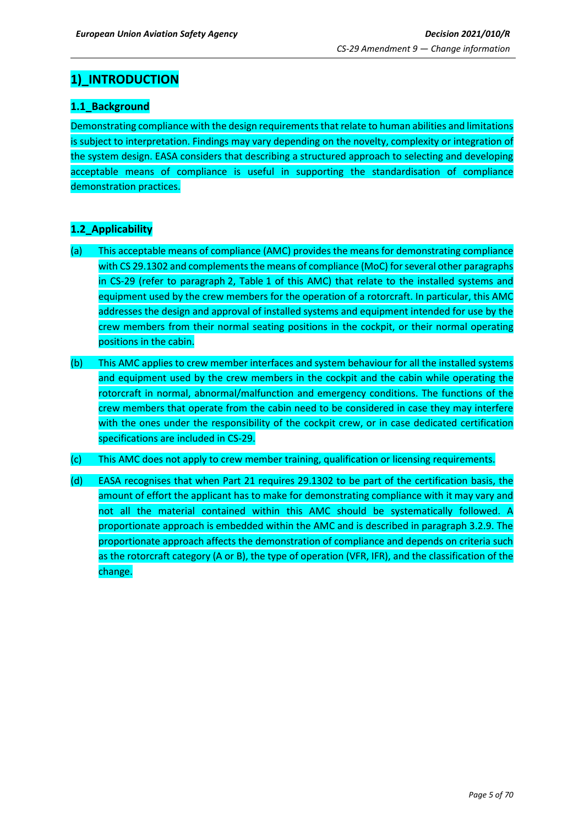## <span id="page-4-0"></span>**1)\_INTRODUCTION**

## <span id="page-4-1"></span>**1.1\_Background**

Demonstrating compliance with the design requirements that relate to human abilities and limitations is subject to interpretation. Findings may vary depending on the novelty, complexity or integration of the system design. EASA considers that describing a structured approach to selecting and developing acceptable means of compliance is useful in supporting the standardisation of compliance demonstration practices.

## <span id="page-4-2"></span>**1.2\_Applicability**

- (a) This acceptable means of compliance (AMC) provides the means for demonstrating compliance with CS 29.1302 and complements the means of compliance (MoC) for several other paragraphs in CS-29 (refer to paragraph 2, Table 1 of this AMC) that relate to the installed systems and equipment used by the crew members for the operation of a rotorcraft. In particular, this AMC addresses the design and approval of installed systems and equipment intended for use by the crew members from their normal seating positions in the cockpit, or their normal operating positions in the cabin.
- (b) This AMC applies to crew member interfaces and system behaviour for all the installed systems and equipment used by the crew members in the cockpit and the cabin while operating the rotorcraft in normal, abnormal/malfunction and emergency conditions. The functions of the crew members that operate from the cabin need to be considered in case they may interfere with the ones under the responsibility of the cockpit crew, or in case dedicated certification specifications are included in CS-29.
- (c) This AMC does not apply to crew member training, qualification or licensing requirements.
- (d) EASA recognises that when Part 21 requires 29.1302 to be part of the certification basis, the amount of effort the applicant has to make for demonstrating compliance with it may vary and not all the material contained within this AMC should be systematically followed. A proportionate approach is embedded within the AMC and is described in paragraph 3.2.9. The proportionate approach affects the demonstration of compliance and depends on criteria such as the rotorcraft category (A or B), the type of operation (VFR, IFR), and the classification of the change.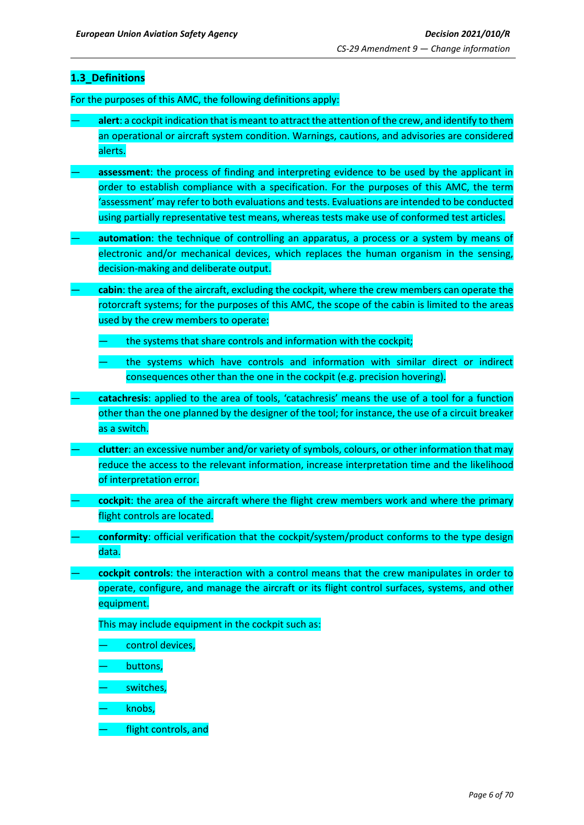## <span id="page-5-0"></span>**1.3\_Definitions**

For the purposes of this AMC, the following definitions apply:

- **alert**: a cockpit indication that is meant to attract the attention of the crew, and identify to them an operational or aircraft system condition. Warnings, cautions, and advisories are considered alerts.
- **assessment**: the process of finding and interpreting evidence to be used by the applicant in order to establish compliance with a specification. For the purposes of this AMC, the term 'assessment' may refer to both evaluations and tests. Evaluations are intended to be conducted using partially representative test means, whereas tests make use of conformed test articles.
- **automation**: the technique of controlling an apparatus, a process or a system by means of electronic and/or mechanical devices, which replaces the human organism in the sensing, decision-making and deliberate output.
- **cabin**: the area of the aircraft, excluding the cockpit, where the crew members can operate the rotorcraft systems; for the purposes of this AMC, the scope of the cabin is limited to the areas used by the crew members to operate:
	- the systems that share controls and information with the cockpit;
	- the systems which have controls and information with similar direct or indirect consequences other than the one in the cockpit (e.g. precision hovering).
- **catachresis**: applied to the area of tools, 'catachresis' means the use of a tool for a function other than the one planned by the designer of the tool; for instance, the use of a circuit breaker as a switch.
- **clutter**: an excessive number and/or variety of symbols, colours, or other information that may reduce the access to the relevant information, increase interpretation time and the likelihood of interpretation error.
- **cockpit**: the area of the aircraft where the flight crew members work and where the primary flight controls are located.
- **conformity**: official verification that the cockpit/system/product conforms to the type design data.
- **cockpit controls**: the interaction with a control means that the crew manipulates in order to operate, configure, and manage the aircraft or its flight control surfaces, systems, and other equipment.

This may include equipment in the cockpit such as:

- control devices,
- buttons,
- switches,
- knobs,
- flight controls, and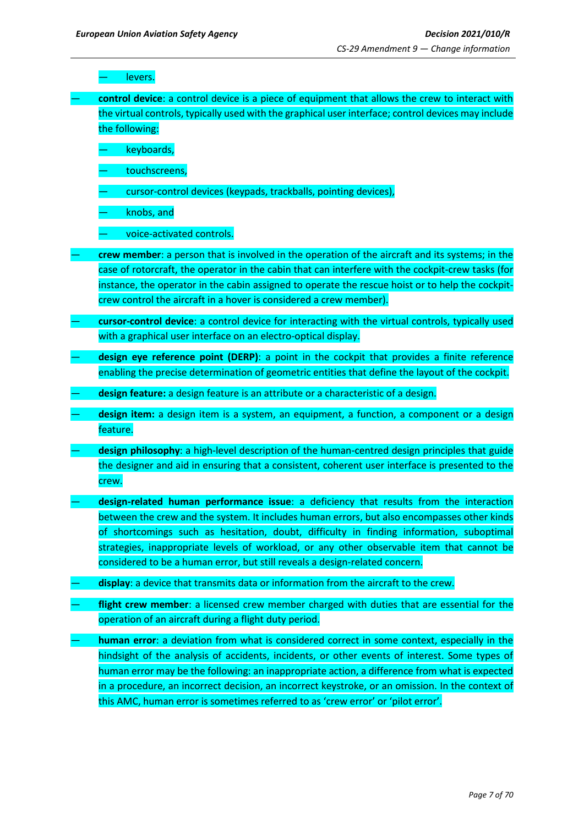levers.

— **control device**: a control device is a piece of equipment that allows the crew to interact with the virtual controls, typically used with the graphical user interface; control devices may include the following:

keyboards,

- touchscreens,
- cursor-control devices (keypads, trackballs, pointing devices),

— knobs, and

— voice-activated controls.

- **crew member**: a person that is involved in the operation of the aircraft and its systems; in the case of rotorcraft, the operator in the cabin that can interfere with the cockpit-crew tasks (for instance, the operator in the cabin assigned to operate the rescue hoist or to help the cockpitcrew control the aircraft in a hover is considered a crew member).
- **cursor-control device**: a control device for interacting with the virtual controls, typically used with a graphical user interface on an electro-optical display.
- **design eye reference point (DERP)**: a point in the cockpit that provides a finite reference enabling the precise determination of geometric entities that define the layout of the cockpit.
- **design feature:** a design feature is an attribute or a characteristic of a design.
- **design item:** a design item is a system, an equipment, a function, a component or a design feature.
- design philosophy: a high-level description of the human-centred design principles that guide the designer and aid in ensuring that a consistent, coherent user interface is presented to the crew.
- **design-related human performance issue**: a deficiency that results from the interaction between the crew and the system. It includes human errors, but also encompasses other kinds of shortcomings such as hesitation, doubt, difficulty in finding information, suboptimal strategies, inappropriate levels of workload, or any other observable item that cannot be considered to be a human error, but still reveals a design-related concern.
- display: a device that transmits data or information from the aircraft to the crew.
- flight crew member: a licensed crew member charged with duties that are essential for the operation of an aircraft during a flight duty period.
- **human error**: a deviation from what is considered correct in some context, especially in the hindsight of the analysis of accidents, incidents, or other events of interest. Some types of human error may be the following: an inappropriate action, a difference from what is expected in a procedure, an incorrect decision, an incorrect keystroke, or an omission. In the context of this AMC, human error is sometimes referred to as 'crew error' or 'pilot error'.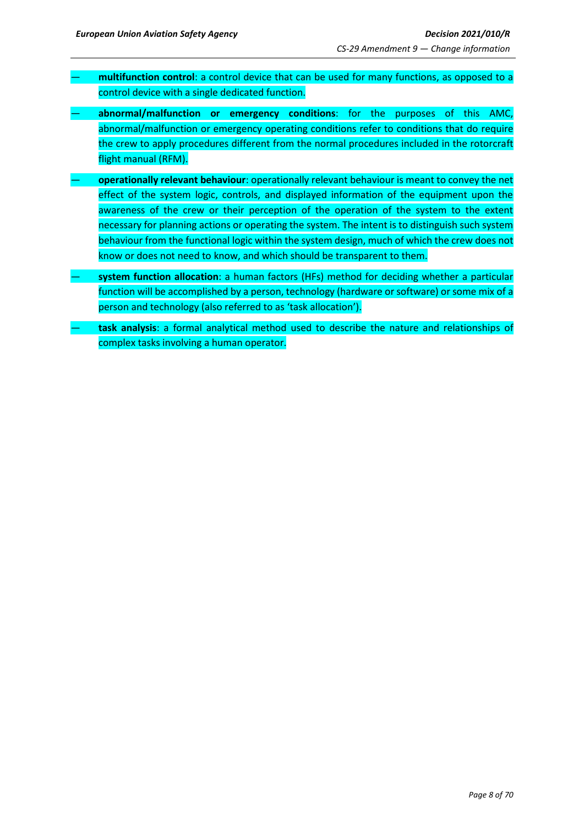- **multifunction control**: a control device that can be used for many functions, as opposed to a control device with a single dedicated function.
- **abnormal/malfunction or emergency conditions**: for the purposes of this AMC, abnormal/malfunction or emergency operating conditions refer to conditions that do require the crew to apply procedures different from the normal procedures included in the rotorcraft flight manual (RFM).
- **operationally relevant behaviour**: operationally relevant behaviour is meant to convey the net effect of the system logic, controls, and displayed information of the equipment upon the awareness of the crew or their perception of the operation of the system to the extent necessary for planning actions or operating the system. The intent is to distinguish such system behaviour from the functional logic within the system design, much of which the crew does not know or does not need to know, and which should be transparent to them.
- **system function allocation**: a human factors (HFs) method for deciding whether a particular function will be accomplished by a person, technology (hardware or software) or some mix of a person and technology (also referred to as 'task allocation').
- **task analysis**: a formal analytical method used to describe the nature and relationships of complex tasks involving a human operator.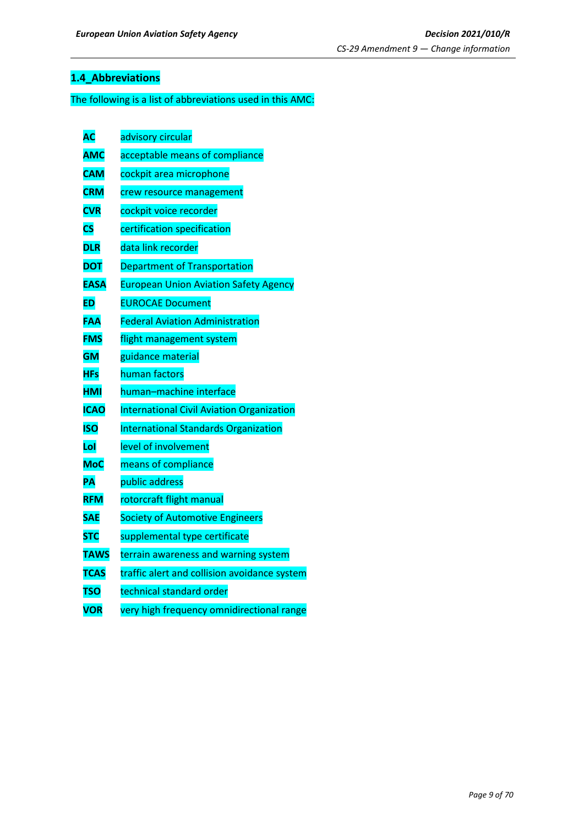## <span id="page-8-0"></span>**1.4\_Abbreviations**

## The following is a list of abbreviations used in this AMC:

| <b>AC</b>              | advisory circular                                |
|------------------------|--------------------------------------------------|
| <b>AMC</b>             | acceptable means of compliance                   |
| <b>CAM</b>             | cockpit area microphone                          |
| <b>CRM</b>             | crew resource management                         |
| <b>CVR</b>             | cockpit voice recorder                           |
| $\overline{\text{cs}}$ | certification specification                      |
| <b>DLR</b>             | data link recorder                               |
| <b>DOT</b>             | <b>Department of Transportation</b>              |
| <b>EASA</b>            | <b>European Union Aviation Safety Agency</b>     |
| <b>ED</b>              | <b>EUROCAE Document</b>                          |
| FAA                    | <b>Federal Aviation Administration</b>           |
| <b>FMS</b>             | flight management system                         |
| <b>GM</b>              | guidance material                                |
| <b>HFs</b>             | human factors                                    |
| <b>HMI</b>             | human-machine interface                          |
| <b>ICAO</b>            | <b>International Civil Aviation Organization</b> |
| <b>ISO</b>             | <b>International Standards Organization</b>      |
| Lol                    | level of involvement                             |
| <b>MoC</b>             | means of compliance                              |
| PA                     | public address                                   |
| <b>RFM</b>             | rotorcraft flight manual                         |
| <b>SAE</b>             | <b>Society of Automotive Engineers</b>           |
| <b>STC</b>             | supplemental type certificate                    |
| <b>TAWS</b>            | terrain awareness and warning system             |
| <b>TCAS</b>            | traffic alert and collision avoidance system     |
| <b>TSO</b>             | technical standard order                         |
| <b>VOR</b>             | very high frequency omnidirectional range        |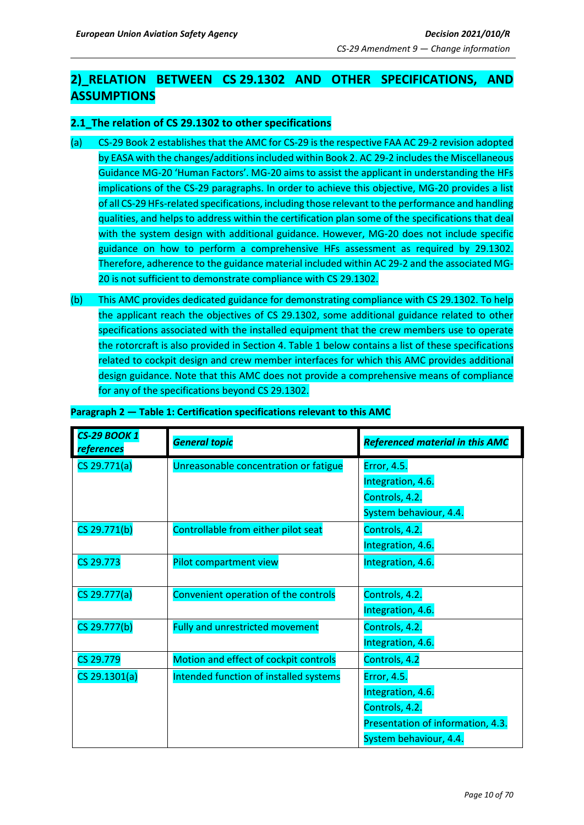## <span id="page-9-0"></span>**2)\_RELATION BETWEEN CS 29.1302 AND OTHER SPECIFICATIONS, AND ASSUMPTIONS**

## <span id="page-9-1"></span>**2.1\_The relation of CS 29.1302 to other specifications**

- (a) CS-29 Book 2 establishes that the AMC for CS-29 is the respective FAA AC 29-2 revision adopted by EASA with the changes/additions included within Book 2. AC 29-2 includes the Miscellaneous Guidance MG-20 'Human Factors'. MG-20 aims to assist the applicant in understanding the HFs implications of the CS-29 paragraphs. In order to achieve this objective, MG-20 provides a list of all CS-29 HFs-related specifications, including those relevant to the performance and handling qualities, and helps to address within the certification plan some of the specifications that deal with the system design with additional guidance. However, MG-20 does not include specific guidance on how to perform a comprehensive HFs assessment as required by 29.1302. Therefore, adherence to the guidance material included within AC 29-2 and the associated MG-20 is not sufficient to demonstrate compliance with CS 29.1302.
- (b) This AMC provides dedicated guidance for demonstrating compliance with CS 29.1302. To help the applicant reach the objectives of CS 29.1302, some additional guidance related to other specifications associated with the installed equipment that the crew members use to operate the rotorcraft is also provided in Section 4. Table 1 below contains a list of these specifications related to cockpit design and crew member interfaces for which this AMC provides additional design guidance. Note that this AMC does not provide a comprehensive means of compliance for any of the specifications beyond CS 29.1302.

| <b>CS-29 BOOK 1</b><br>references | <b>General topic</b>                   | <b>Referenced material in this AMC</b> |
|-----------------------------------|----------------------------------------|----------------------------------------|
| CS 29.771(a)                      | Unreasonable concentration or fatigue  | Error, 4.5.                            |
|                                   |                                        | Integration, 4.6.                      |
|                                   |                                        | Controls, 4.2.                         |
|                                   |                                        | System behaviour, 4.4.                 |
| CS 29.771(b)                      | Controllable from either pilot seat    | Controls, 4.2.                         |
|                                   |                                        | Integration, 4.6.                      |
| CS 29.773                         | Pilot compartment view                 | Integration, 4.6.                      |
|                                   |                                        |                                        |
| CS 29.777(a)                      | Convenient operation of the controls   | Controls, 4.2.                         |
|                                   |                                        | Integration, 4.6.                      |
| CS 29.777(b)                      | Fully and unrestricted movement        | Controls, 4.2.                         |
|                                   |                                        | Integration, 4.6.                      |
| CS 29.779                         | Motion and effect of cockpit controls  | Controls, 4.2                          |
| CS 29.1301(a)                     | Intended function of installed systems | Error, 4.5.                            |
|                                   |                                        | Integration, 4.6.                      |
|                                   |                                        | Controls, 4.2.                         |
|                                   |                                        | Presentation of information, 4.3.      |
|                                   |                                        | System behaviour, 4.4.                 |

#### **Paragraph 2 — Table 1: Certification specifications relevant to this AMC**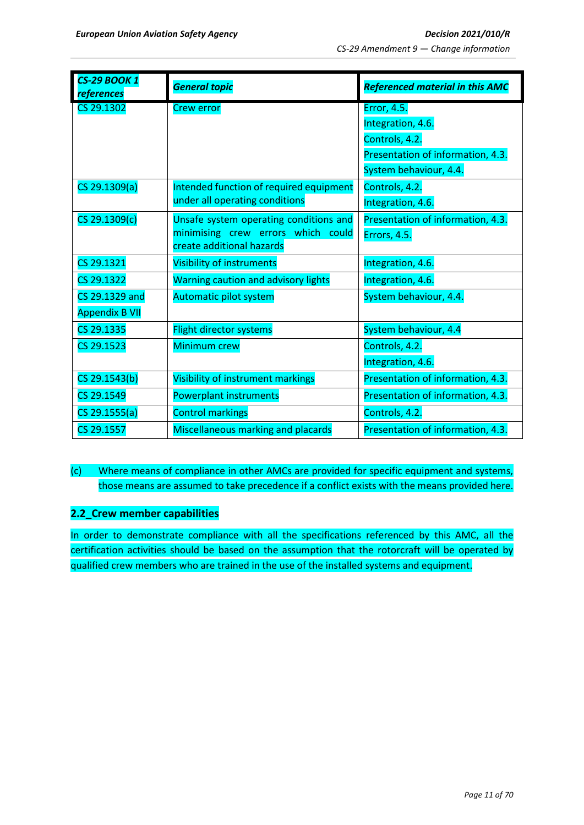| <b>CS-29 BOOK 1</b><br>references | <b>General topic</b>                       | <b>Referenced material in this AMC</b> |  |
|-----------------------------------|--------------------------------------------|----------------------------------------|--|
| CS 29.1302                        | <b>Crew error</b>                          | <b>Error, 4.5.</b>                     |  |
|                                   |                                            | Integration, 4.6.                      |  |
|                                   |                                            | Controls, 4.2.                         |  |
|                                   |                                            | Presentation of information, 4.3.      |  |
|                                   |                                            | System behaviour, 4.4.                 |  |
| CS 29.1309(a)                     | Intended function of required equipment    | Controls, 4.2.                         |  |
|                                   | under all operating conditions             | Integration, 4.6.                      |  |
| CS 29.1309(c)                     | Unsafe system operating conditions and     | Presentation of information, 4.3.      |  |
|                                   | minimising crew errors which could         | Errors, 4.5.                           |  |
|                                   | create additional hazards                  |                                        |  |
| CS 29.1321                        | <b>Visibility of instruments</b>           | Integration, 4.6.                      |  |
| CS 29.1322                        | <b>Warning caution and advisory lights</b> | Integration, 4.6.                      |  |
| CS 29.1329 and                    | Automatic pilot system                     | System behaviour, 4.4.                 |  |
| <b>Appendix B VII</b>             |                                            |                                        |  |
| CS 29.1335                        | <b>Flight director systems</b>             | System behaviour, 4.4                  |  |
| CS 29.1523                        | Minimum crew                               | Controls, 4.2.                         |  |
|                                   |                                            | Integration, 4.6.                      |  |
| CS 29.1543(b)                     | Visibility of instrument markings          | Presentation of information, 4.3.      |  |
| CS 29.1549                        | <b>Powerplant instruments</b>              | Presentation of information, 4.3.      |  |
| CS 29.1555(a)                     | <b>Control markings</b>                    | Controls, 4.2.                         |  |
| CS 29.1557                        | Miscellaneous marking and placards         | Presentation of information, 4.3.      |  |

(c) Where means of compliance in other AMCs are provided for specific equipment and systems, those means are assumed to take precedence if a conflict exists with the means provided here.

## <span id="page-10-0"></span>**2.2\_Crew member capabilities**

In order to demonstrate compliance with all the specifications referenced by this AMC, all the certification activities should be based on the assumption that the rotorcraft will be operated by qualified crew members who are trained in the use of the installed systems and equipment.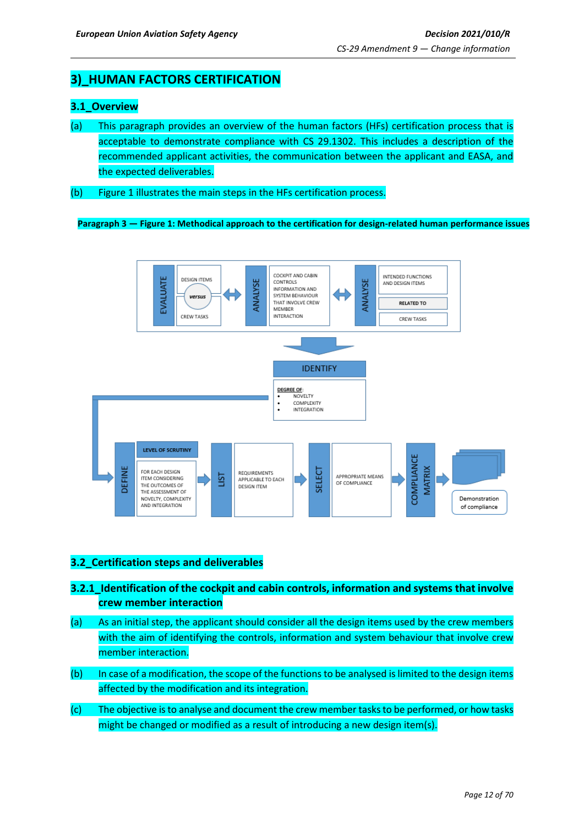## <span id="page-11-0"></span>**3)\_HUMAN FACTORS CERTIFICATION**

## <span id="page-11-1"></span>**3.1\_Overview**

- (a) This paragraph provides an overview of the human factors (HFs) certification process that is acceptable to demonstrate compliance with CS 29.1302. This includes a description of the recommended applicant activities, the communication between the applicant and EASA, and the expected deliverables.
- (b) Figure 1 illustrates the main steps in the HFs certification process.

**Paragraph 3 — Figure 1: Methodical approach to the certification for design-related human performance issues**



## <span id="page-11-2"></span>**3.2\_Certification steps and deliverables**

- **3.2.1\_Identification of the cockpit and cabin controls, information and systems that involve crew member interaction**
- (a) As an initial step, the applicant should consider all the design items used by the crew members with the aim of identifying the controls, information and system behaviour that involve crew member interaction.
- (b) In case of a modification, the scope of the functions to be analysed is limited to the design items affected by the modification and its integration.
- (c) The objective is to analyse and document the crew member tasks to be performed, or how tasks might be changed or modified as a result of introducing a new design item(s).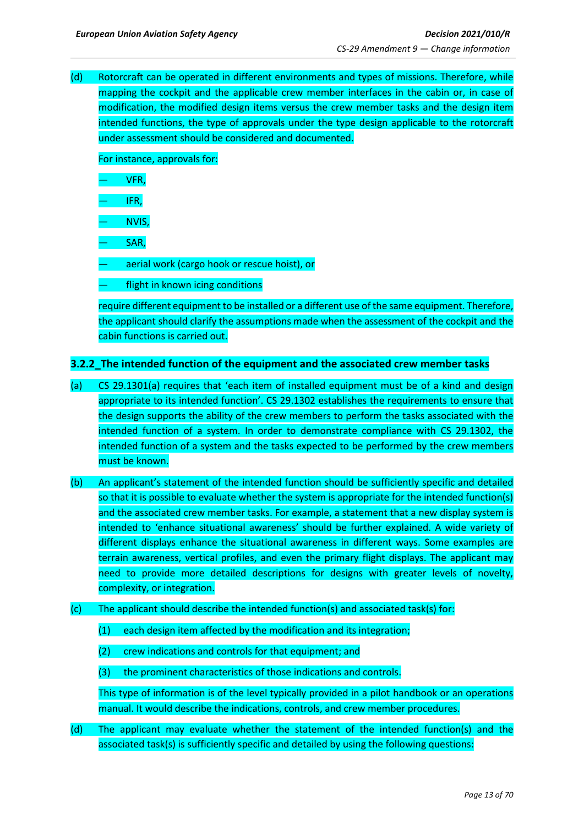(d) Rotorcraft can be operated in different environments and types of missions. Therefore, while mapping the cockpit and the applicable crew member interfaces in the cabin or, in case of modification, the modified design items versus the crew member tasks and the design item intended functions, the type of approvals under the type design applicable to the rotorcraft under assessment should be considered and documented.

For instance, approvals for:

— VFR,

— IFR,

— NVIS,

— SAR,

— aerial work (cargo hook or rescue hoist), or

flight in known icing conditions

require different equipment to be installed or a different use of the same equipment. Therefore, the applicant should clarify the assumptions made when the assessment of the cockpit and the cabin functions is carried out.

## <span id="page-12-0"></span>**3.2.2\_The intended function of the equipment and the associated crew member tasks**

- (a) CS 29.1301(a) requires that 'each item of installed equipment must be of a kind and design appropriate to its intended function'. CS 29.1302 establishes the requirements to ensure that the design supports the ability of the crew members to perform the tasks associated with the intended function of a system. In order to demonstrate compliance with CS 29.1302, the intended function of a system and the tasks expected to be performed by the crew members must be known.
- (b) An applicant's statement of the intended function should be sufficiently specific and detailed so that it is possible to evaluate whether the system is appropriate for the intended function(s) and the associated crew member tasks. For example, a statement that a new display system is intended to 'enhance situational awareness' should be further explained. A wide variety of different displays enhance the situational awareness in different ways. Some examples are terrain awareness, vertical profiles, and even the primary flight displays. The applicant may need to provide more detailed descriptions for designs with greater levels of novelty, complexity, or integration.
- (c) The applicant should describe the intended function(s) and associated task(s) for:
	- (1) each design item affected by the modification and its integration;
	- (2) crew indications and controls for that equipment; and
	- (3) the prominent characteristics of those indications and controls.

This type of information is of the level typically provided in a pilot handbook or an operations manual. It would describe the indications, controls, and crew member procedures.

(d) The applicant may evaluate whether the statement of the intended function(s) and the associated task(s) is sufficiently specific and detailed by using the following questions: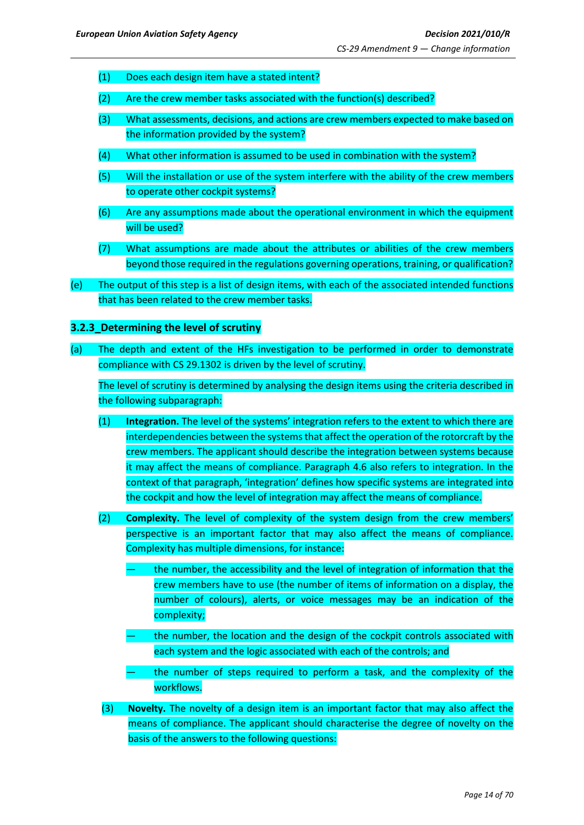- (1) Does each design item have a stated intent?
- (2) Are the crew member tasks associated with the function(s) described?
- (3) What assessments, decisions, and actions are crew members expected to make based on the information provided by the system?
- (4) What other information is assumed to be used in combination with the system?
- (5) Will the installation or use of the system interfere with the ability of the crew members to operate other cockpit systems?
- (6) Are any assumptions made about the operational environment in which the equipment will be used?
- (7) What assumptions are made about the attributes or abilities of the crew members beyond those required in the regulations governing operations, training, or qualification?
- (e) The output of this step is a list of design items, with each of the associated intended functions that has been related to the crew member tasks.

## <span id="page-13-0"></span>**3.2.3\_Determining the level of scrutiny**

(a) The depth and extent of the HFs investigation to be performed in order to demonstrate compliance with CS 29.1302 is driven by the level of scrutiny.

The level of scrutiny is determined by analysing the design items using the criteria described in the following subparagraph:

- (1) **Integration.** The level of the systems' integration refers to the extent to which there are interdependencies between the systems that affect the operation of the rotorcraft by the crew members. The applicant should describe the integration between systems because it may affect the means of compliance. Paragraph 4.6 also refers to integration. In the context of that paragraph, 'integration' defines how specific systems are integrated into the cockpit and how the level of integration may affect the means of compliance.
- (2) **Complexity.** The level of complexity of the system design from the crew members' perspective is an important factor that may also affect the means of compliance. Complexity has multiple dimensions, for instance:
	- the number, the accessibility and the level of integration of information that the crew members have to use (the number of items of information on a display, the number of colours), alerts, or voice messages may be an indication of the complexity;
	- the number, the location and the design of the cockpit controls associated with each system and the logic associated with each of the controls; and
	- the number of steps required to perform a task, and the complexity of the workflows.
- (3) **Novelty.** The novelty of a design item is an important factor that may also affect the means of compliance. The applicant should characterise the degree of novelty on the basis of the answers to the following questions: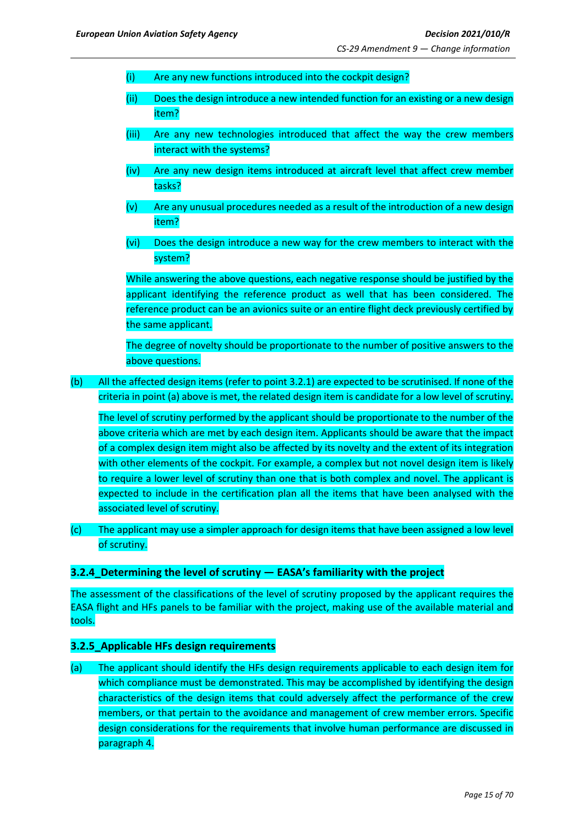- (i) Are any new functions introduced into the cockpit design?
- (ii) Does the design introduce a new intended function for an existing or a new design item?
- (iii) Are any new technologies introduced that affect the way the crew members interact with the systems?
- (iv) Are any new design items introduced at aircraft level that affect crew member tasks?
- (v) Are any unusual procedures needed as a result of the introduction of a new design item?
- (vi) Does the design introduce a new way for the crew members to interact with the system?

While answering the above questions, each negative response should be justified by the applicant identifying the reference product as well that has been considered. The reference product can be an avionics suite or an entire flight deck previously certified by the same applicant.

The degree of novelty should be proportionate to the number of positive answers to the above questions.

(b) All the affected design items (refer to point 3.2.1) are expected to be scrutinised. If none of the criteria in point (a) above is met, the related design item is candidate for a low level of scrutiny.

The level of scrutiny performed by the applicant should be proportionate to the number of the above criteria which are met by each design item. Applicants should be aware that the impact of a complex design item might also be affected by its novelty and the extent of its integration with other elements of the cockpit. For example, a complex but not novel design item is likely to require a lower level of scrutiny than one that is both complex and novel. The applicant is expected to include in the certification plan all the items that have been analysed with the associated level of scrutiny.

(c) The applicant may use a simpler approach for design items that have been assigned a low level of scrutiny.

#### <span id="page-14-0"></span>**3.2.4\_Determining the level of scrutiny — EASA's familiarity with the project**

The assessment of the classifications of the level of scrutiny proposed by the applicant requires the EASA flight and HFs panels to be familiar with the project, making use of the available material and tools.

#### <span id="page-14-1"></span>**3.2.5\_Applicable HFs design requirements**

(a) The applicant should identify the HFs design requirements applicable to each design item for which compliance must be demonstrated. This may be accomplished by identifying the design characteristics of the design items that could adversely affect the performance of the crew members, or that pertain to the avoidance and management of crew member errors. Specific design considerations for the requirements that involve human performance are discussed in paragraph 4.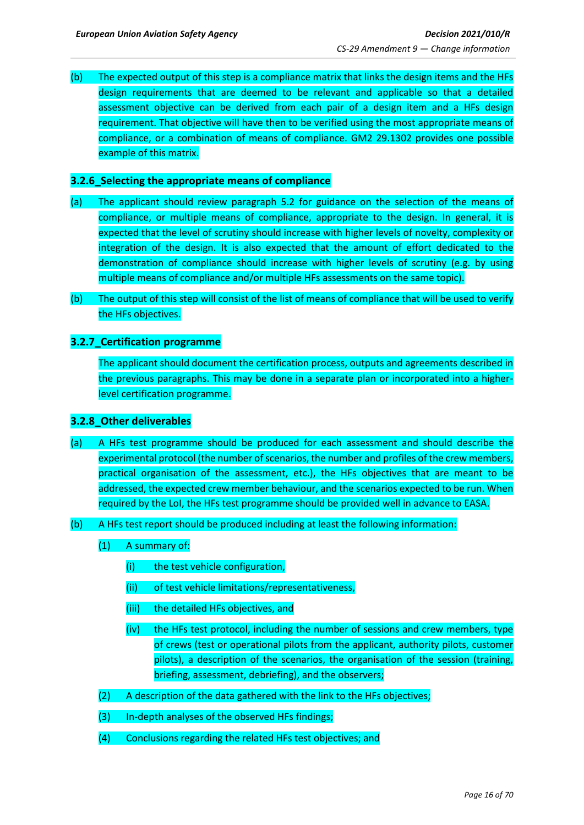(b) The expected output of this step is a compliance matrix that links the design items and the HFs design requirements that are deemed to be relevant and applicable so that a detailed assessment objective can be derived from each pair of a design item and a HFs design requirement. That objective will have then to be verified using the most appropriate means of compliance, or a combination of means of compliance. GM2 29.1302 provides one possible example of this matrix.

### <span id="page-15-0"></span>**3.2.6\_Selecting the appropriate means of compliance**

- (a) The applicant should review paragraph 5.2 for guidance on the selection of the means of compliance, or multiple means of compliance, appropriate to the design. In general, it is expected that the level of scrutiny should increase with higher levels of novelty, complexity or integration of the design. It is also expected that the amount of effort dedicated to the demonstration of compliance should increase with higher levels of scrutiny (e.g. by using multiple means of compliance and/or multiple HFs assessments on the same topic).
- (b) The output of this step will consist of the list of means of compliance that will be used to verify the HFs objectives.

## <span id="page-15-1"></span>**3.2.7\_Certification programme**

The applicant should document the certification process, outputs and agreements described in the previous paragraphs. This may be done in a separate plan or incorporated into a higherlevel certification programme.

#### <span id="page-15-2"></span>**3.2.8\_Other deliverables**

- (a) A HFs test programme should be produced for each assessment and should describe the experimental protocol (the number of scenarios, the number and profiles of the crew members, practical organisation of the assessment, etc.), the HFs objectives that are meant to be addressed, the expected crew member behaviour, and the scenarios expected to be run. When required by the LoI, the HFs test programme should be provided well in advance to EASA.
- (b) A HFs test report should be produced including at least the following information:
	- (1) A summary of:
		- (i) the test vehicle configuration,
		- (ii) of test vehicle limitations/representativeness,
		- (iii) the detailed HFs objectives, and
		- (iv) the HFs test protocol, including the number of sessions and crew members, type of crews (test or operational pilots from the applicant, authority pilots, customer pilots), a description of the scenarios, the organisation of the session (training, briefing, assessment, debriefing), and the observers;
	- (2) A description of the data gathered with the link to the HFs objectives;
	- (3) In-depth analyses of the observed HFs findings;
	- (4) Conclusions regarding the related HFs test objectives; and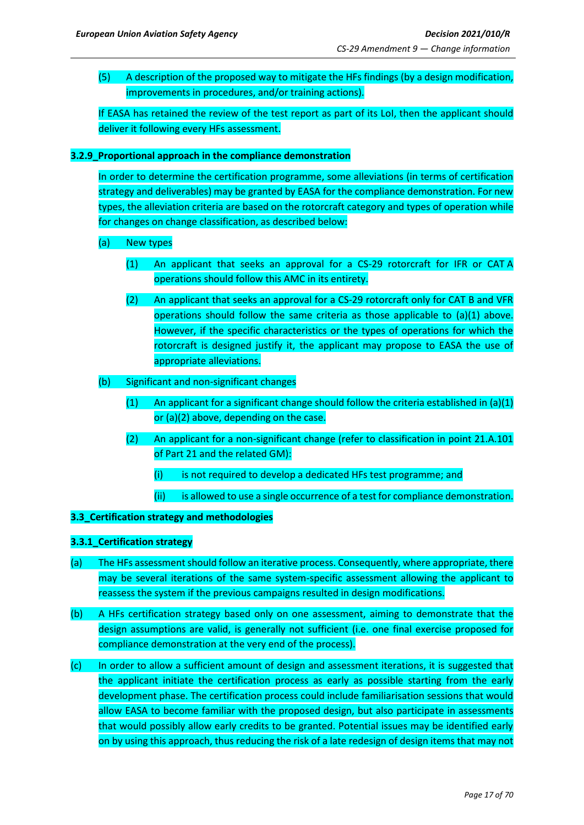(5) A description of the proposed way to mitigate the HFs findings (by a design modification, improvements in procedures, and/or training actions).

If EASA has retained the review of the test report as part of its LoI, then the applicant should deliver it following every HFs assessment.

### <span id="page-16-0"></span>**3.2.9\_Proportional approach in the compliance demonstration**

In order to determine the certification programme, some alleviations (in terms of certification strategy and deliverables) may be granted by EASA for the compliance demonstration. For new types, the alleviation criteria are based on the rotorcraft category and types of operation while for changes on change classification, as described below:

- (a) New types
	- (1) An applicant that seeks an approval for a CS-29 rotorcraft for IFR or CAT A operations should follow this AMC in its entirety.
	- (2) An applicant that seeks an approval for a CS-29 rotorcraft only for CAT B and VFR operations should follow the same criteria as those applicable to (a)(1) above. However, if the specific characteristics or the types of operations for which the rotorcraft is designed justify it, the applicant may propose to EASA the use of appropriate alleviations.
- (b) Significant and non-significant changes
	- (1) An applicant for a significant change should follow the criteria established in  $(a)(1)$ or (a)(2) above, depending on the case.
	- (2) An applicant for a non-significant change (refer to classification in point 21.A.101 of Part 21 and the related GM):
		- (i) is not required to develop a dedicated HFs test programme; and
		- (ii) is allowed to use a single occurrence of a test for compliance demonstration.

#### <span id="page-16-1"></span>**3.3\_Certification strategy and methodologies**

#### **3.3.1\_Certification strategy**

- (a) The HFs assessment should follow an iterative process. Consequently, where appropriate, there may be several iterations of the same system-specific assessment allowing the applicant to reassess the system if the previous campaigns resulted in design modifications.
- (b) A HFs certification strategy based only on one assessment, aiming to demonstrate that the design assumptions are valid, is generally not sufficient (i.e. one final exercise proposed for compliance demonstration at the very end of the process).
- (c) In order to allow a sufficient amount of design and assessment iterations, it is suggested that the applicant initiate the certification process as early as possible starting from the early development phase. The certification process could include familiarisation sessions that would allow EASA to become familiar with the proposed design, but also participate in assessments that would possibly allow early credits to be granted. Potential issues may be identified early on by using this approach, thus reducing the risk of a late redesign of design items that may not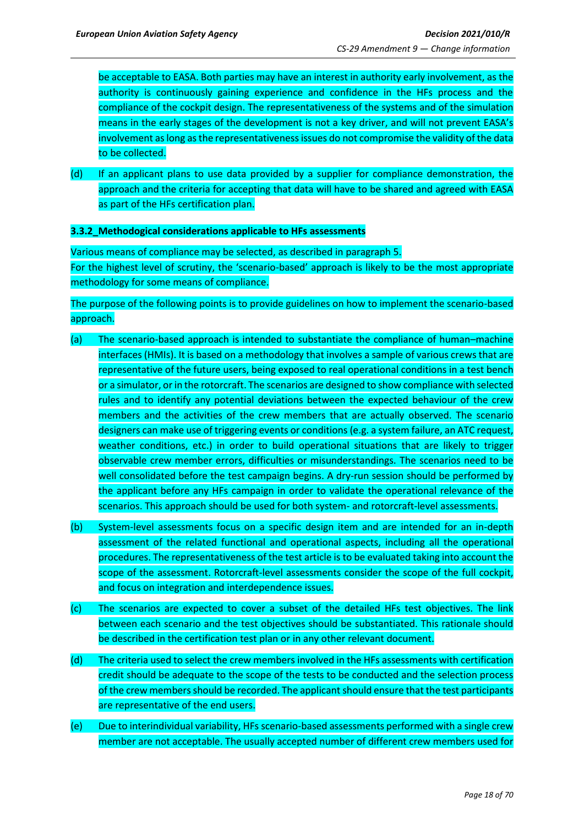be acceptable to EASA. Both parties may have an interest in authority early involvement, as the authority is continuously gaining experience and confidence in the HFs process and the compliance of the cockpit design. The representativeness of the systems and of the simulation means in the early stages of the development is not a key driver, and will not prevent EASA's involvement as long as the representativeness issues do not compromise the validity of the data to be collected.

(d) If an applicant plans to use data provided by a supplier for compliance demonstration, the approach and the criteria for accepting that data will have to be shared and agreed with EASA as part of the HFs certification plan.

#### <span id="page-17-0"></span>**3.3.2\_Methodogical considerations applicable to HFs assessments**

Various means of compliance may be selected, as described in paragraph 5. For the highest level of scrutiny, the 'scenario-based' approach is likely to be the most appropriate methodology for some means of compliance.

The purpose of the following points is to provide guidelines on how to implement the scenario-based approach.

- (a) The scenario-based approach is intended to substantiate the compliance of human–machine interfaces (HMIs). It is based on a methodology that involves a sample of various crews that are representative of the future users, being exposed to real operational conditions in a test bench or a simulator, or in the rotorcraft. The scenarios are designed to show compliance with selected rules and to identify any potential deviations between the expected behaviour of the crew members and the activities of the crew members that are actually observed. The scenario designers can make use of triggering events or conditions (e.g. a system failure, an ATC request, weather conditions, etc.) in order to build operational situations that are likely to trigger observable crew member errors, difficulties or misunderstandings. The scenarios need to be well consolidated before the test campaign begins. A dry-run session should be performed by the applicant before any HFs campaign in order to validate the operational relevance of the scenarios. This approach should be used for both system- and rotorcraft-level assessments.
- (b) System-level assessments focus on a specific design item and are intended for an in-depth assessment of the related functional and operational aspects, including all the operational procedures. The representativeness of the test article is to be evaluated taking into account the scope of the assessment. Rotorcraft-level assessments consider the scope of the full cockpit, and focus on integration and interdependence issues.
- (c) The scenarios are expected to cover a subset of the detailed HFs test objectives. The link between each scenario and the test objectives should be substantiated. This rationale should be described in the certification test plan or in any other relevant document.
- (d) The criteria used to select the crew members involved in the HFs assessments with certification credit should be adequate to the scope of the tests to be conducted and the selection process of the crew members should be recorded. The applicant should ensure that the test participants are representative of the end users.
- (e) Due to interindividual variability, HFs scenario-based assessments performed with a single crew member are not acceptable. The usually accepted number of different crew members used for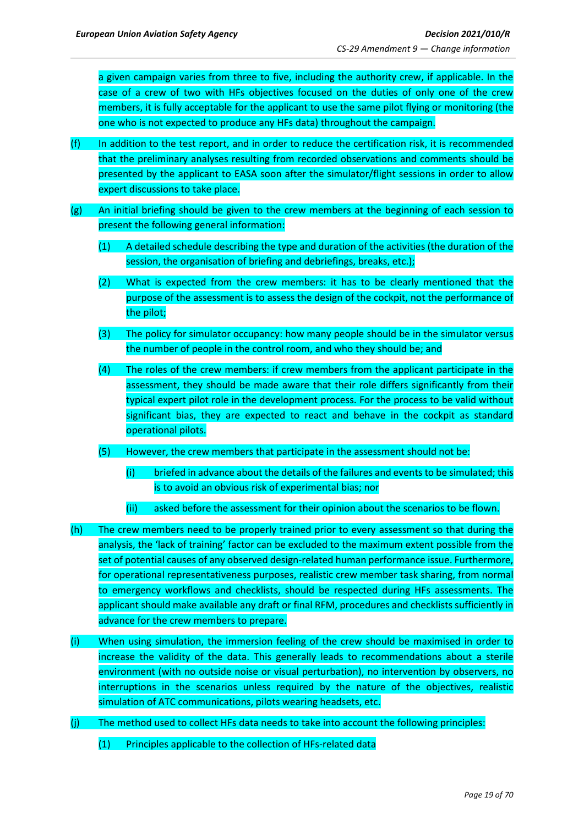a given campaign varies from three to five, including the authority crew, if applicable. In the case of a crew of two with HFs objectives focused on the duties of only one of the crew members, it is fully acceptable for the applicant to use the same pilot flying or monitoring (the one who is not expected to produce any HFs data) throughout the campaign.

- $(f)$  In addition to the test report, and in order to reduce the certification risk, it is recommended that the preliminary analyses resulting from recorded observations and comments should be presented by the applicant to EASA soon after the simulator/flight sessions in order to allow expert discussions to take place.
- (g) An initial briefing should be given to the crew members at the beginning of each session to present the following general information:
	- (1) A detailed schedule describing the type and duration of the activities (the duration of the session, the organisation of briefing and debriefings, breaks, etc.);
	- (2) What is expected from the crew members: it has to be clearly mentioned that the purpose of the assessment is to assess the design of the cockpit, not the performance of the pilot;
	- (3) The policy for simulator occupancy: how many people should be in the simulator versus the number of people in the control room, and who they should be; and
	- (4) The roles of the crew members: if crew members from the applicant participate in the assessment, they should be made aware that their role differs significantly from their typical expert pilot role in the development process. For the process to be valid without significant bias, they are expected to react and behave in the cockpit as standard operational pilots.
	- (5) However, the crew members that participate in the assessment should not be:
		- (i) briefed in advance about the details of the failures and events to be simulated; this is to avoid an obvious risk of experimental bias; nor
		- (ii) asked before the assessment for their opinion about the scenarios to be flown.
- (h) The crew members need to be properly trained prior to every assessment so that during the analysis, the 'lack of training' factor can be excluded to the maximum extent possible from the set of potential causes of any observed design-related human performance issue. Furthermore, for operational representativeness purposes, realistic crew member task sharing, from normal to emergency workflows and checklists, should be respected during HFs assessments. The applicant should make available any draft or final RFM, procedures and checklists sufficiently in advance for the crew members to prepare.
- (i) When using simulation, the immersion feeling of the crew should be maximised in order to increase the validity of the data. This generally leads to recommendations about a sterile environment (with no outside noise or visual perturbation), no intervention by observers, no interruptions in the scenarios unless required by the nature of the objectives, realistic simulation of ATC communications, pilots wearing headsets, etc.
- (j) The method used to collect HFs data needs to take into account the following principles:
	- (1) Principles applicable to the collection of HFs-related data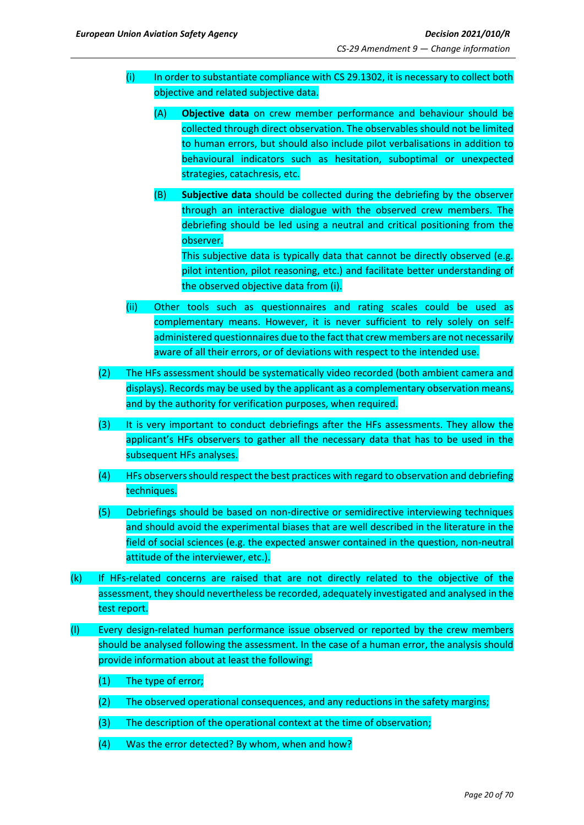- (i) In order to substantiate compliance with CS 29.1302, it is necessary to collect both objective and related subjective data.
	- (A) **Objective data** on crew member performance and behaviour should be collected through direct observation. The observables should not be limited to human errors, but should also include pilot verbalisations in addition to behavioural indicators such as hesitation, suboptimal or unexpected strategies, catachresis, etc.
	- (B) **Subjective data** should be collected during the debriefing by the observer through an interactive dialogue with the observed crew members. The debriefing should be led using a neutral and critical positioning from the observer.

This subjective data is typically data that cannot be directly observed (e.g. pilot intention, pilot reasoning, etc.) and facilitate better understanding of the observed objective data from (i).

- (ii) Other tools such as questionnaires and rating scales could be used as complementary means. However, it is never sufficient to rely solely on selfadministered questionnaires due to the fact that crewmembers are not necessarily aware of all their errors, or of deviations with respect to the intended use.
- (2) The HFs assessment should be systematically video recorded (both ambient camera and displays). Records may be used by the applicant as a complementary observation means, and by the authority for verification purposes, when required.
- (3) It is very important to conduct debriefings after the HFs assessments. They allow the applicant's HFs observers to gather all the necessary data that has to be used in the subsequent HFs analyses.
- (4) HFs observers should respect the best practices with regard to observation and debriefing techniques.
- (5) Debriefings should be based on non-directive or semidirective interviewing techniques and should avoid the experimental biases that are well described in the literature in the field of social sciences (e.g. the expected answer contained in the question, non-neutral attitude of the interviewer, etc.).
- (k) If HFs-related concerns are raised that are not directly related to the objective of the assessment, they should nevertheless be recorded, adequately investigated and analysed in the test report.
- (l) Every design-related human performance issue observed or reported by the crew members should be analysed following the assessment. In the case of a human error, the analysis should provide information about at least the following:
	- (1) The type of error;
	- (2) The observed operational consequences, and any reductions in the safety margins;
	- (3) The description of the operational context at the time of observation;
	- (4) Was the error detected? By whom, when and how?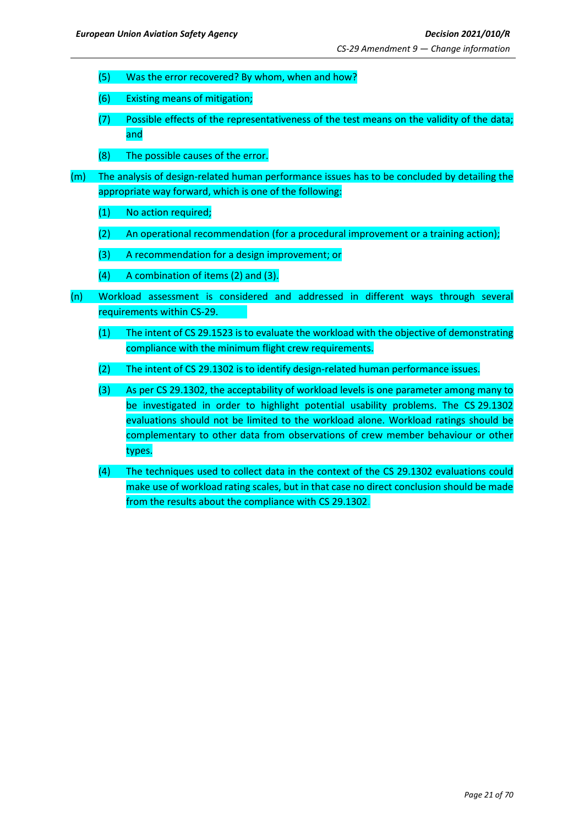- (5) Was the error recovered? By whom, when and how?
- (6) Existing means of mitigation;
- (7) Possible effects of the representativeness of the test means on the validity of the data; and
- (8) The possible causes of the error.
- (m) The analysis of design-related human performance issues has to be concluded by detailing the appropriate way forward, which is one of the following:
	- (1) No action required;
	- (2) An operational recommendation (for a procedural improvement or a training action);
	- (3) A recommendation for a design improvement; or
	- (4) A combination of items (2) and (3).
- (n) Workload assessment is considered and addressed in different ways through several requirements within CS-29.
	- (1) The intent of CS 29.1523 is to evaluate the workload with the objective of demonstrating compliance with the minimum flight crew requirements.
	- (2) The intent of CS 29.1302 is to identify design-related human performance issues.
	- (3) As per CS 29.1302, the acceptability of workload levels is one parameter among many to be investigated in order to highlight potential usability problems. The CS 29.1302 evaluations should not be limited to the workload alone. Workload ratings should be complementary to other data from observations of crew member behaviour or other types.
	- (4) The techniques used to collect data in the context of the CS 29.1302 evaluations could make use of workload rating scales, but in that case no direct conclusion should be made from the results about the compliance with CS 29.1302.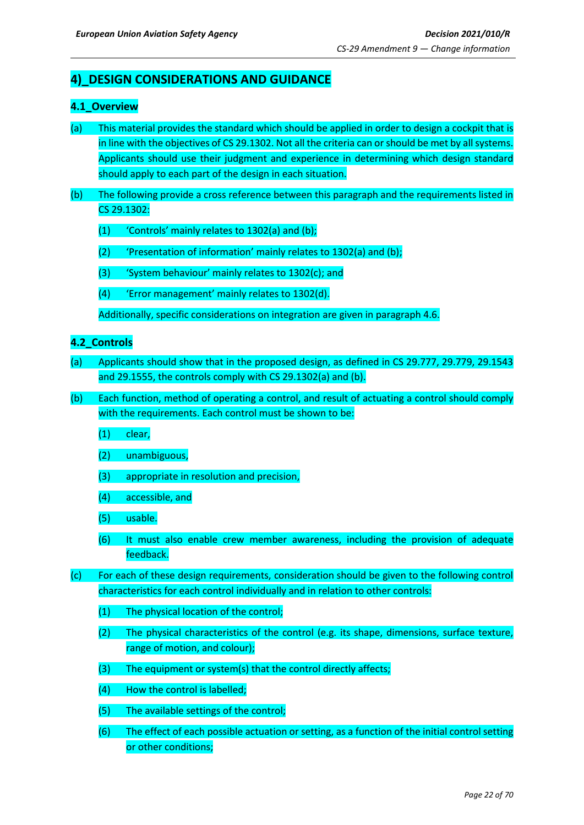## <span id="page-21-0"></span>**4)\_DESIGN CONSIDERATIONS AND GUIDANCE**

## <span id="page-21-1"></span>**4.1\_Overview**

- (a) This material provides the standard which should be applied in order to design a cockpit that is in line with the objectives of CS 29.1302. Not all the criteria can or should be met by all systems. Applicants should use their judgment and experience in determining which design standard should apply to each part of the design in each situation.
- (b) The following provide a cross reference between this paragraph and the requirements listed in CS 29.1302:
	- (1) 'Controls' mainly relates to 1302(a) and (b);
	- (2) 'Presentation of information' mainly relates to 1302(a) and (b);
	- (3) 'System behaviour' mainly relates to 1302(c); and
	- (4) 'Error management' mainly relates to 1302(d).

Additionally, specific considerations on integration are given in paragraph 4.6.

## <span id="page-21-2"></span>**4.2\_Controls**

- (a) Applicants should show that in the proposed design, as defined in CS 29.777, 29.779, 29.1543 and 29.1555, the controls comply with CS 29.1302(a) and (b).
- (b) Each function, method of operating a control, and result of actuating a control should comply with the requirements. Each control must be shown to be:
	- (1) clear,
	- (2) unambiguous,
	- (3) appropriate in resolution and precision,
	- (4) accessible, and
	- (5) usable.
	- (6) It must also enable crew member awareness, including the provision of adequate feedback.
- (c) For each of these design requirements, consideration should be given to the following control characteristics for each control individually and in relation to other controls:
	- (1) The physical location of the control;
	- (2) The physical characteristics of the control (e.g. its shape, dimensions, surface texture, range of motion, and colour);
	- (3) The equipment or system(s) that the control directly affects;
	- (4) How the control is labelled;
	- (5) The available settings of the control;
	- (6) The effect of each possible actuation or setting, as a function of the initial control setting or other conditions;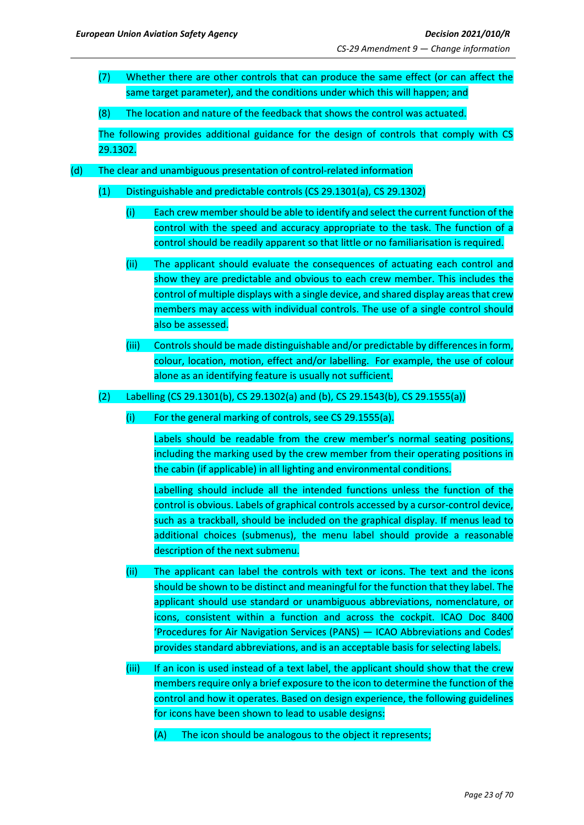(7) Whether there are other controls that can produce the same effect (or can affect the same target parameter), and the conditions under which this will happen; and

(8) The location and nature of the feedback that shows the control was actuated.

The following provides additional guidance for the design of controls that comply with CS 29.1302.

- (d) The clear and unambiguous presentation of control-related information
	- (1) Distinguishable and predictable controls (CS 29.1301(a), CS 29.1302)
		- (i) Each crew membershould be able to identify and select the current function of the control with the speed and accuracy appropriate to the task. The function of a control should be readily apparent so that little or no familiarisation is required.
		- (ii) The applicant should evaluate the consequences of actuating each control and show they are predictable and obvious to each crew member. This includes the control of multiple displays with a single device, and shared display areas that crew members may access with individual controls. The use of a single control should also be assessed.
		- (iii) Controls should be made distinguishable and/or predictable by differences in form, colour, location, motion, effect and/or labelling. For example, the use of colour alone as an identifying feature is usually not sufficient.

(2) Labelling (CS 29.1301(b), CS 29.1302(a) and (b), CS 29.1543(b), CS 29.1555(a))

(i) For the general marking of controls, see CS 29.1555(a).

Labels should be readable from the crew member's normal seating positions, including the marking used by the crew member from their operating positions in the cabin (if applicable) in all lighting and environmental conditions.

Labelling should include all the intended functions unless the function of the control is obvious. Labels of graphical controls accessed by a cursor-control device, such as a trackball, should be included on the graphical display. If menus lead to additional choices (submenus), the menu label should provide a reasonable description of the next submenu.

- (ii) The applicant can label the controls with text or icons. The text and the icons should be shown to be distinct and meaningful for the function that they label. The applicant should use standard or unambiguous abbreviations, nomenclature, or icons, consistent within a function and across the cockpit. ICAO Doc 8400 'Procedures for Air Navigation Services (PANS) — ICAO Abbreviations and Codes' provides standard abbreviations, and is an acceptable basis for selecting labels.
- (iii) If an icon is used instead of a text label, the applicant should show that the crew members require only a brief exposure to the icon to determine the function of the control and how it operates. Based on design experience, the following guidelines for icons have been shown to lead to usable designs:
	- (A) The icon should be analogous to the object it represents;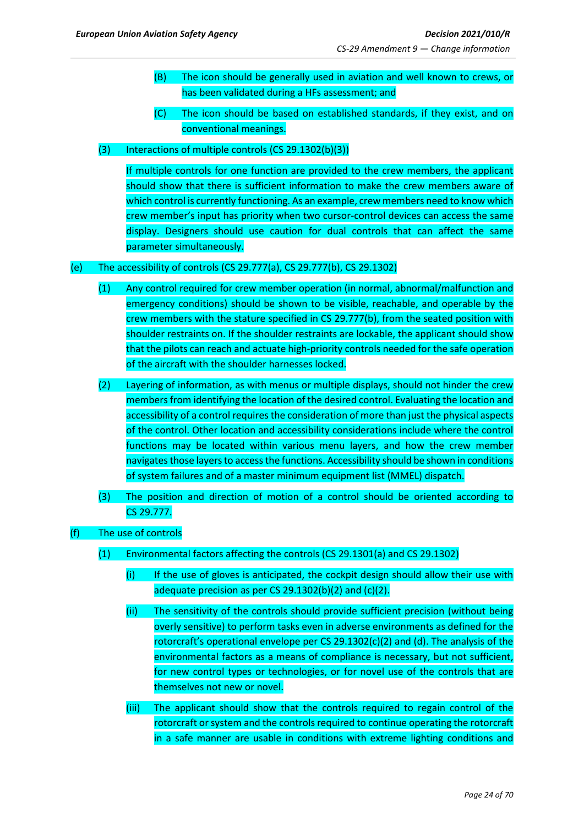- (B) The icon should be generally used in aviation and well known to crews, or has been validated during a HFs assessment; and
- (C) The icon should be based on established standards, if they exist, and on conventional meanings.
- (3) Interactions of multiple controls (CS 29.1302(b)(3))

If multiple controls for one function are provided to the crew members, the applicant should show that there is sufficient information to make the crew members aware of which control is currently functioning. As an example, crew members need to know which crew member's input has priority when two cursor-control devices can access the same display. Designers should use caution for dual controls that can affect the same parameter simultaneously.

## (e) The accessibility of controls (CS 29.777(a), CS 29.777(b), CS 29.1302)

- (1) Any control required for crew member operation (in normal, abnormal/malfunction and emergency conditions) should be shown to be visible, reachable, and operable by the crew members with the stature specified in CS 29.777(b), from the seated position with shoulder restraints on. If the shoulder restraints are lockable, the applicant should show that the pilots can reach and actuate high-priority controls needed for the safe operation of the aircraft with the shoulder harnesses locked.
- (2) Layering of information, as with menus or multiple displays, should not hinder the crew members from identifying the location of the desired control. Evaluating the location and accessibility of a control requires the consideration of more than just the physical aspects of the control. Other location and accessibility considerations include where the control functions may be located within various menu layers, and how the crew member navigates those layers to access the functions. Accessibility should be shown in conditions of system failures and of a master minimum equipment list (MMEL) dispatch.
- (3) The position and direction of motion of a control should be oriented according to CS 29.777.
- (f) The use of controls
	- (1) Environmental factors affecting the controls (CS 29.1301(a) and CS 29.1302)
		- (i) If the use of gloves is anticipated, the cockpit design should allow their use with adequate precision as per CS 29.1302(b)(2) and  $(c)(2)$ .
		- (ii) The sensitivity of the controls should provide sufficient precision (without being overly sensitive) to perform tasks even in adverse environments as defined for the rotorcraft's operational envelope per CS 29.1302(c)(2) and (d). The analysis of the environmental factors as a means of compliance is necessary, but not sufficient, for new control types or technologies, or for novel use of the controls that are themselves not new or novel.
		- (iii) The applicant should show that the controls required to regain control of the rotorcraft or system and the controls required to continue operating the rotorcraft in a safe manner are usable in conditions with extreme lighting conditions and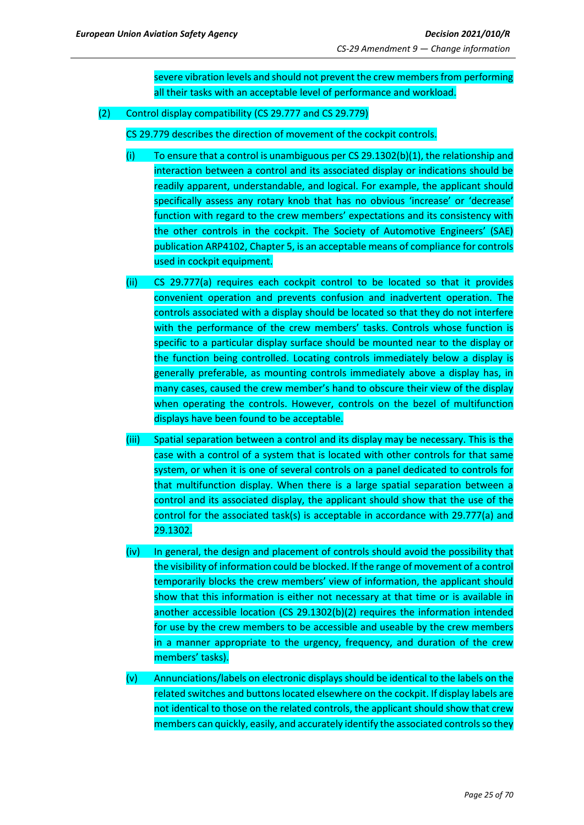severe vibration levels and should not prevent the crew members from performing all their tasks with an acceptable level of performance and workload.

(2) Control display compatibility (CS 29.777 and CS 29.779)

CS 29.779 describes the direction of movement of the cockpit controls.

- $(i)$  To ensure that a control is unambiguous per CS 29.1302(b)(1), the relationship and interaction between a control and its associated display or indications should be readily apparent, understandable, and logical. For example, the applicant should specifically assess any rotary knob that has no obvious 'increase' or 'decrease' function with regard to the crew members' expectations and its consistency with the other controls in the cockpit. The Society of Automotive Engineers' (SAE) publication ARP4102, Chapter 5, is an acceptable means of compliance for controls used in cockpit equipment.
- (ii) CS 29.777(a) requires each cockpit control to be located so that it provides convenient operation and prevents confusion and inadvertent operation. The controls associated with a display should be located so that they do not interfere with the performance of the crew members' tasks. Controls whose function is specific to a particular display surface should be mounted near to the display or the function being controlled. Locating controls immediately below a display is generally preferable, as mounting controls immediately above a display has, in many cases, caused the crew member's hand to obscure their view of the display when operating the controls. However, controls on the bezel of multifunction displays have been found to be acceptable.
- (iii) Spatial separation between a control and its display may be necessary. This is the case with a control of a system that is located with other controls for that same system, or when it is one of several controls on a panel dedicated to controls for that multifunction display. When there is a large spatial separation between a control and its associated display, the applicant should show that the use of the control for the associated task(s) is acceptable in accordance with 29.777(a) and 29.1302.
- (iv) In general, the design and placement of controls should avoid the possibility that the visibility of information could be blocked. If the range of movement of a control temporarily blocks the crew members' view of information, the applicant should show that this information is either not necessary at that time or is available in another accessible location (CS 29.1302(b)(2) requires the information intended for use by the crew members to be accessible and useable by the crew members in a manner appropriate to the urgency, frequency, and duration of the crew members' tasks).
- (v) Annunciations/labels on electronic displays should be identical to the labels on the related switches and buttons located elsewhere on the cockpit. If display labels are not identical to those on the related controls, the applicant should show that crew members can quickly, easily, and accurately identify the associated controlsso they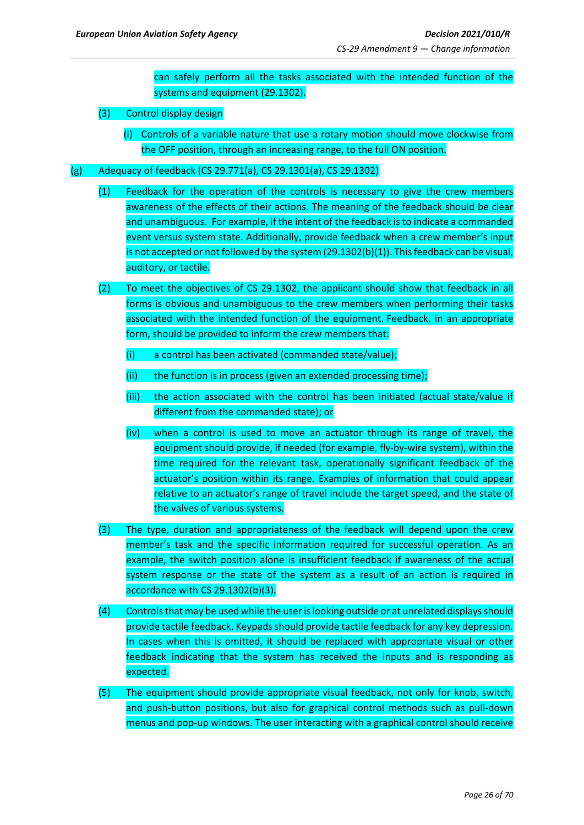can safely perform all the tasks associated with the intended function of the systems and equipment (29.1302).

- (3) Control display design
	- (i) Controls of a variable nature that use a rotary motion should move clockwise from the OFF position, through an increasing range, to the full ON position.
- (g) Adequacy of feedback (CS 29.771(a), CS 29.1301(a), CS 29.1302)
	- (1) Feedback for the operation of the controls is necessary to give the crew members awareness of the effects of their actions. The meaning of the feedback should be clear and unambiguous. For example, if the intent of the feedback is to indicate a commanded event versus system state. Additionally, provide feedback when a crew member's input is not accepted or not followed by the system (29.1302(b)(1)). This feedback can be visual, auditory, or tactile.
	- (2) To meet the objectives of CS 29.1302, the applicant should show that feedback in all forms is obvious and unambiguous to the crew members when performing their tasks associated with the intended function of the equipment. Feedback, in an appropriate form, should be provided to inform the crew members that:
		- (i) a control has been activated (commanded state/value);
		- (ii) the function is in process (given an extended processing time);
		- (iii) the action associated with the control has been initiated (actual state/value if different from the commanded state); or
		- (iv) when a control is used to move an actuator through its range of travel, the equipment should provide, if needed (for example, fly-by-wire system), within the time required for the relevant task, operationally significant feedback of the actuator's position within its range. Examples of information that could appear relative to an actuator's range of travel include the target speed, and the state of the valves of various systems.
	- (3) The type, duration and appropriateness of the feedback will depend upon the crew member's task and the specific information required for successful operation. As an example, the switch position alone is insufficient feedback if awareness of the actual system response or the state of the system as a result of an action is required in accordance with CS 29.1302(b)(3).
	- (4) Controls that may be used while the user is looking outside or at unrelated displays should provide tactile feedback. Keypads should provide tactile feedback for any key depression. In cases when this is omitted, it should be replaced with appropriate visual or other feedback indicating that the system has received the inputs and is responding as expected.
	- (5) The equipment should provide appropriate visual feedback, not only for knob, switch, and push-button positions, but also for graphical control methods such as pull-down menus and pop-up windows. The user interacting with a graphical control should receive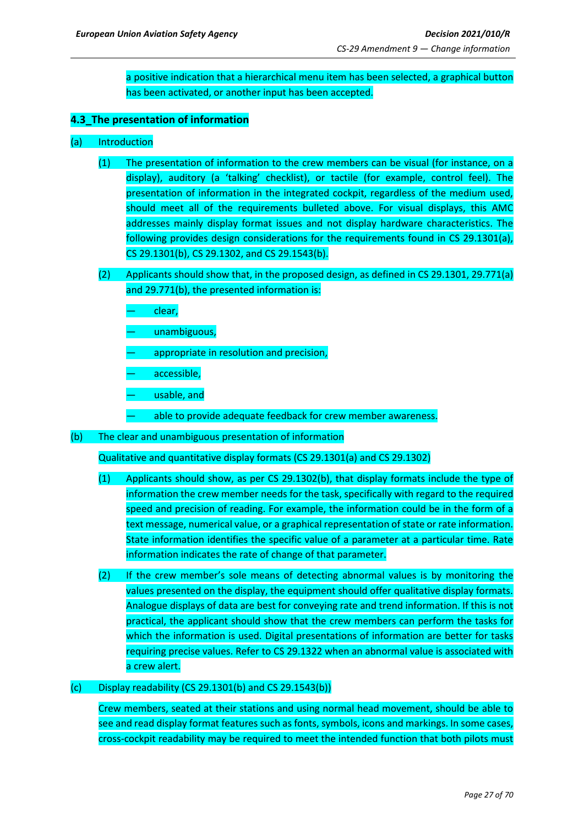a positive indication that a hierarchical menu item has been selected, a graphical button has been activated, or another input has been accepted.

## <span id="page-26-0"></span>**4.3\_The presentation of information**

- (a) Introduction
	- (1) The presentation of information to the crew members can be visual (for instance, on a display), auditory (a 'talking' checklist), or tactile (for example, control feel). The presentation of information in the integrated cockpit, regardless of the medium used, should meet all of the requirements bulleted above. For visual displays, this AMC addresses mainly display format issues and not display hardware characteristics. The following provides design considerations for the requirements found in CS 29.1301(a), CS 29.1301(b), CS 29.1302, and CS 29.1543(b).
	- (2) Applicants should show that, in the proposed design, as defined in CS 29.1301, 29.771(a) and 29.771(b), the presented information is:
		- clear,
		- unambiguous,
		- appropriate in resolution and precision,
		- accessible,
		- usable, and
		- able to provide adequate feedback for crew member awareness.
- (b) The clear and unambiguous presentation of information

Qualitative and quantitative display formats (CS 29.1301(a) and CS 29.1302)

- (1) Applicants should show, as per CS 29.1302(b), that display formats include the type of information the crew member needs for the task, specifically with regard to the required speed and precision of reading. For example, the information could be in the form of a text message, numerical value, or a graphical representation of state or rate information. State information identifies the specific value of a parameter at a particular time. Rate information indicates the rate of change of that parameter.
- (2) If the crew member's sole means of detecting abnormal values is by monitoring the values presented on the display, the equipment should offer qualitative display formats. Analogue displays of data are best for conveying rate and trend information. If this is not practical, the applicant should show that the crew members can perform the tasks for which the information is used. Digital presentations of information are better for tasks requiring precise values. Refer to CS 29.1322 when an abnormal value is associated with a crew alert.

#### $(c)$  Display readability (CS 29.1301(b) and CS 29.1543(b))

Crew members, seated at their stations and using normal head movement, should be able to see and read display format features such as fonts, symbols, icons and markings. In some cases, cross-cockpit readability may be required to meet the intended function that both pilots must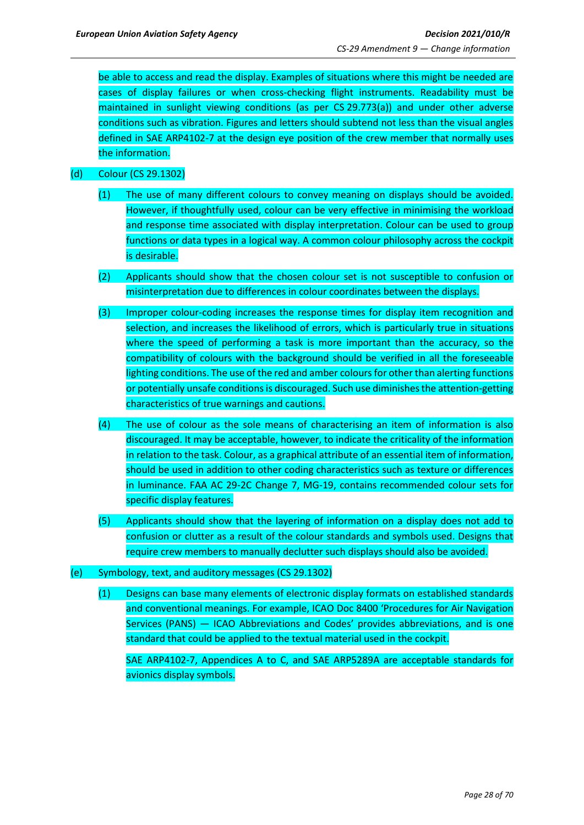be able to access and read the display. Examples of situations where this might be needed are cases of display failures or when cross-checking flight instruments. Readability must be maintained in sunlight viewing conditions (as per CS 29.773(a)) and under other adverse conditions such as vibration. Figures and letters should subtend not less than the visual angles defined in SAE ARP4102-7 at the design eye position of the crew member that normally uses the information.

## (d) Colour (CS 29.1302)

- (1) The use of many different colours to convey meaning on displays should be avoided. However, if thoughtfully used, colour can be very effective in minimising the workload and response time associated with display interpretation. Colour can be used to group functions or data types in a logical way. A common colour philosophy across the cockpit is desirable.
- (2) Applicants should show that the chosen colour set is not susceptible to confusion or misinterpretation due to differences in colour coordinates between the displays.
- (3) Improper colour-coding increases the response times for display item recognition and selection, and increases the likelihood of errors, which is particularly true in situations where the speed of performing a task is more important than the accuracy, so the compatibility of colours with the background should be verified in all the foreseeable lighting conditions. The use of the red and amber colours for other than alerting functions or potentially unsafe conditions is discouraged. Such use diminishes the attention-getting characteristics of true warnings and cautions.
- (4) The use of colour as the sole means of characterising an item of information is also discouraged. It may be acceptable, however, to indicate the criticality of the information in relation to the task. Colour, as a graphical attribute of an essential item of information, should be used in addition to other coding characteristics such as texture or differences in luminance. FAA AC 29-2C Change 7, MG-19, contains recommended colour sets for specific display features.
- (5) Applicants should show that the layering of information on a display does not add to confusion or clutter as a result of the colour standards and symbols used. Designs that require crew members to manually declutter such displays should also be avoided.
- (e) Symbology, text, and auditory messages (CS 29.1302)
	- (1) Designs can base many elements of electronic display formats on established standards and conventional meanings. For example, ICAO Doc 8400 'Procedures for Air Navigation Services (PANS) — ICAO Abbreviations and Codes' provides abbreviations, and is one standard that could be applied to the textual material used in the cockpit.

SAE ARP4102-7, Appendices A to C, and SAE ARP5289A are acceptable standards for avionics display symbols.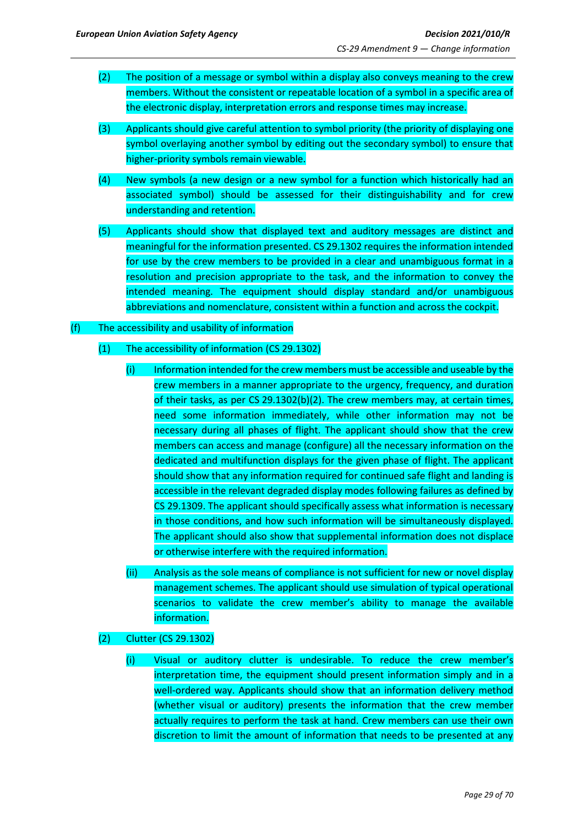- (2) The position of a message or symbol within a display also conveys meaning to the crew members. Without the consistent or repeatable location of a symbol in a specific area of the electronic display, interpretation errors and response times may increase.
- (3) Applicants should give careful attention to symbol priority (the priority of displaying one symbol overlaying another symbol by editing out the secondary symbol) to ensure that higher-priority symbols remain viewable.
- (4) New symbols (a new design or a new symbol for a function which historically had an associated symbol) should be assessed for their distinguishability and for crew understanding and retention.
- (5) Applicants should show that displayed text and auditory messages are distinct and meaningful for the information presented. CS 29.1302 requires the information intended for use by the crew members to be provided in a clear and unambiguous format in a resolution and precision appropriate to the task, and the information to convey the intended meaning. The equipment should display standard and/or unambiguous abbreviations and nomenclature, consistent within a function and across the cockpit.

#### (f) The accessibility and usability of information

## (1) The accessibility of information (CS 29.1302)

- (i) Information intended for the crew members must be accessible and useable by the crew members in a manner appropriate to the urgency, frequency, and duration of their tasks, as per CS 29.1302(b)(2). The crew members may, at certain times, need some information immediately, while other information may not be necessary during all phases of flight. The applicant should show that the crew members can access and manage (configure) all the necessary information on the dedicated and multifunction displays for the given phase of flight. The applicant should show that any information required for continued safe flight and landing is accessible in the relevant degraded display modes following failures as defined by CS 29.1309. The applicant should specifically assess what information is necessary in those conditions, and how such information will be simultaneously displayed. The applicant should also show that supplemental information does not displace or otherwise interfere with the required information.
- (ii) Analysis as the sole means of compliance is not sufficient for new or novel display management schemes. The applicant should use simulation of typical operational scenarios to validate the crew member's ability to manage the available information.
- (2) Clutter (CS 29.1302)
	- (i) Visual or auditory clutter is undesirable. To reduce the crew member's interpretation time, the equipment should present information simply and in a well-ordered way. Applicants should show that an information delivery method (whether visual or auditory) presents the information that the crew member actually requires to perform the task at hand. Crew members can use their own discretion to limit the amount of information that needs to be presented at any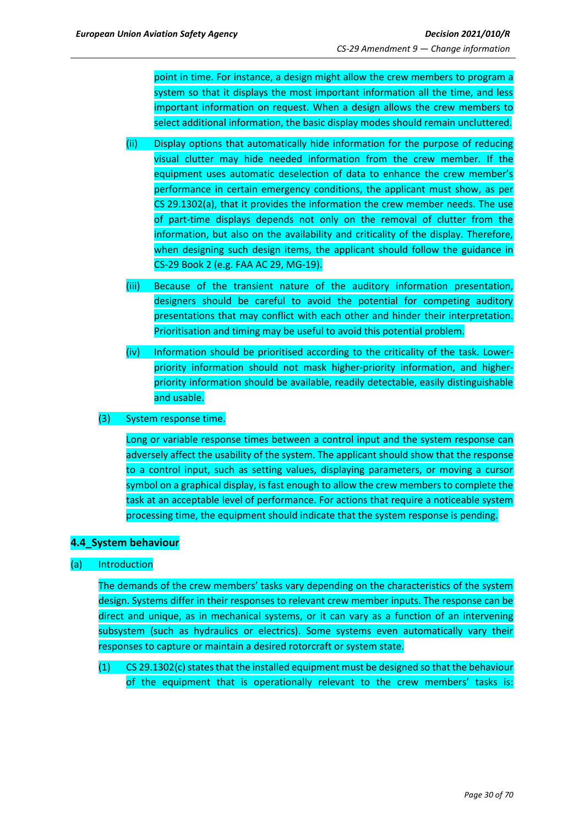point in time. For instance, a design might allow the crew members to program a system so that it displays the most important information all the time, and less important information on request. When a design allows the crew members to select additional information, the basic display modes should remain uncluttered.

- (ii) Display options that automatically hide information for the purpose of reducing visual clutter may hide needed information from the crew member. If the equipment uses automatic deselection of data to enhance the crew member's performance in certain emergency conditions, the applicant must show, as per CS 29.1302(a), that it provides the information the crew member needs. The use of part-time displays depends not only on the removal of clutter from the information, but also on the availability and criticality of the display. Therefore, when designing such design items, the applicant should follow the guidance in CS-29 Book 2 (e.g. FAA AC 29, MG-19).
- (iii) Because of the transient nature of the auditory information presentation, designers should be careful to avoid the potential for competing auditory presentations that may conflict with each other and hinder their interpretation. Prioritisation and timing may be useful to avoid this potential problem.
- (iv) Information should be prioritised according to the criticality of the task. Lowerpriority information should not mask higher-priority information, and higherpriority information should be available, readily detectable, easily distinguishable and usable.
- (3) System response time.

Long or variable response times between a control input and the system response can adversely affect the usability of the system. The applicant should show that the response to a control input, such as setting values, displaying parameters, or moving a cursor symbol on a graphical display, is fast enough to allow the crew members to complete the task at an acceptable level of performance. For actions that require a noticeable system processing time, the equipment should indicate that the system response is pending.

## <span id="page-29-0"></span>**4.4\_System behaviour**

## (a) Introduction

The demands of the crew members' tasks vary depending on the characteristics of the system design. Systems differ in their responses to relevant crew member inputs. The response can be direct and unique, as in mechanical systems, or it can vary as a function of an intervening subsystem (such as hydraulics or electrics). Some systems even automatically vary their responses to capture or maintain a desired rotorcraft or system state.

(1) CS 29.1302(c) states that the installed equipment must be designed so that the behaviour of the equipment that is operationally relevant to the crew members' tasks is: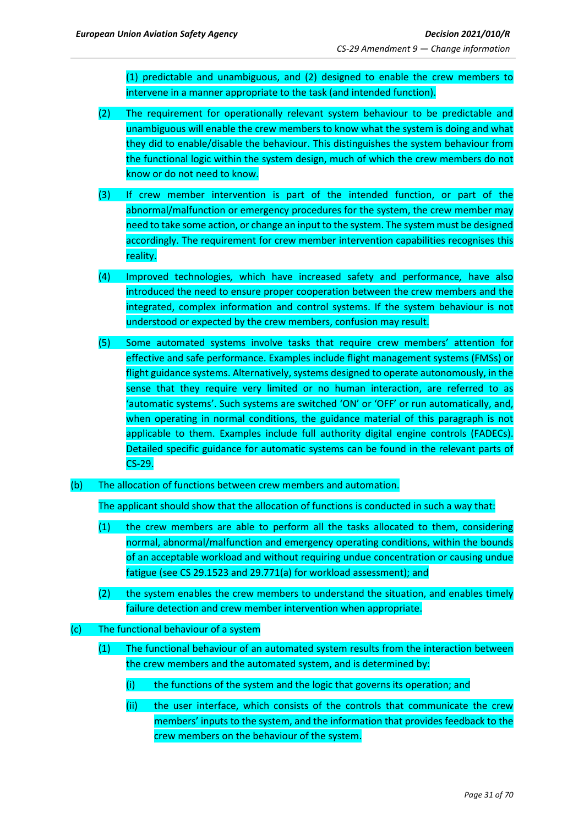(1) predictable and unambiguous, and (2) designed to enable the crew members to intervene in a manner appropriate to the task (and intended function).

- (2) The requirement for operationally relevant system behaviour to be predictable and unambiguous will enable the crew members to know what the system is doing and what they did to enable/disable the behaviour. This distinguishes the system behaviour from the functional logic within the system design, much of which the crew members do not know or do not need to know.
- (3) If crew member intervention is part of the intended function, or part of the abnormal/malfunction or emergency procedures for the system, the crew member may need to take some action, or change an input to the system. The system must be designed accordingly. The requirement for crew member intervention capabilities recognises this reality.
- (4) Improved technologies*,* which have increased safety and performance*,* have also introduced the need to ensure proper cooperation between the crew members and the integrated, complex information and control systems. If the system behaviour is not understood or expected by the crew members, confusion may result.
- (5) Some automated systems involve tasks that require crew members' attention for effective and safe performance. Examples include flight management systems (FMSs) or flight guidance systems. Alternatively, systems designed to operate autonomously, in the sense that they require very limited or no human interaction, are referred to as 'automatic systems'. Such systems are switched 'ON' or 'OFF' or run automatically, and, when operating in normal conditions, the guidance material of this paragraph is not applicable to them. Examples include full authority digital engine controls (FADECs). Detailed specific guidance for automatic systems can be found in the relevant parts of CS-29.
- (b) The allocation of functions between crew members and automation.

The applicant should show that the allocation of functions is conducted in such a way that:

- (1) the crew members are able to perform all the tasks allocated to them, considering normal, abnormal/malfunction and emergency operating conditions, within the bounds of an acceptable workload and without requiring undue concentration or causing undue fatigue (see CS 29.1523 and 29.771(a) for workload assessment); and
- (2) the system enables the crew members to understand the situation, and enables timely failure detection and crew member intervention when appropriate.
- (c) The functional behaviour of a system
	- (1) The functional behaviour of an automated system results from the interaction between the crew members and the automated system, and is determined by:
		- (i) the functions of the system and the logic that governs its operation; and
		- (ii) the user interface, which consists of the controls that communicate the crew members' inputs to the system, and the information that provides feedback to the crew members on the behaviour of the system.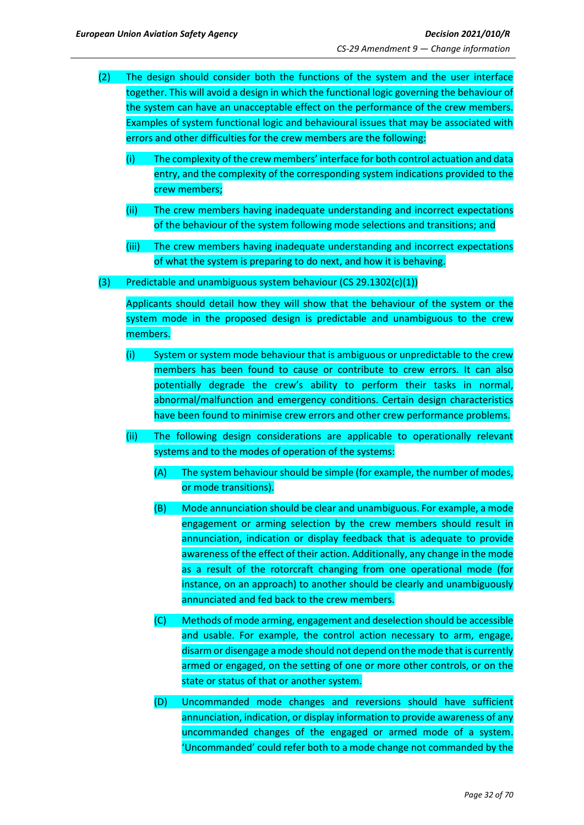- (2) The design should consider both the functions of the system and the user interface together. This will avoid a design in which the functional logic governing the behaviour of the system can have an unacceptable effect on the performance of the crew members. Examples of system functional logic and behavioural issues that may be associated with errors and other difficulties for the crew members are the following:
	- (i) The complexity of the crew members' interface for both control actuation and data entry, and the complexity of the corresponding system indications provided to the crew members;
	- (ii) The crew members having inadequate understanding and incorrect expectations of the behaviour of the system following mode selections and transitions; and
	- (iii) The crew members having inadequate understanding and incorrect expectations of what the system is preparing to do next, and how it is behaving.
- (3) Predictable and unambiguous system behaviour (CS 29.1302(c)(1))

Applicants should detail how they will show that the behaviour of the system or the system mode in the proposed design is predictable and unambiguous to the crew members.

- (i) System or system mode behaviour that is ambiguous or unpredictable to the crew members has been found to cause or contribute to crew errors. It can also potentially degrade the crew's ability to perform their tasks in normal, abnormal/malfunction and emergency conditions. Certain design characteristics have been found to minimise crew errors and other crew performance problems.
- (ii) The following design considerations are applicable to operationally relevant systems and to the modes of operation of the systems:
	- (A) The system behaviour should be simple (for example, the number of modes, or mode transitions).
	- (B) Mode annunciation should be clear and unambiguous. For example, a mode engagement or arming selection by the crew members should result in annunciation, indication or display feedback that is adequate to provide awareness of the effect of their action. Additionally, any change in the mode as a result of the rotorcraft changing from one operational mode (for instance, on an approach) to another should be clearly and unambiguously annunciated and fed back to the crew members.
	- (C) Methods of mode arming, engagement and deselection should be accessible and usable. For example, the control action necessary to arm, engage, disarm or disengage a mode should not depend on the mode that is currently armed or engaged, on the setting of one or more other controls, or on the state or status of that or another system.
	- (D) Uncommanded mode changes and reversions should have sufficient annunciation, indication, or display information to provide awareness of any uncommanded changes of the engaged or armed mode of a system. 'Uncommanded' could refer both to a mode change not commanded by the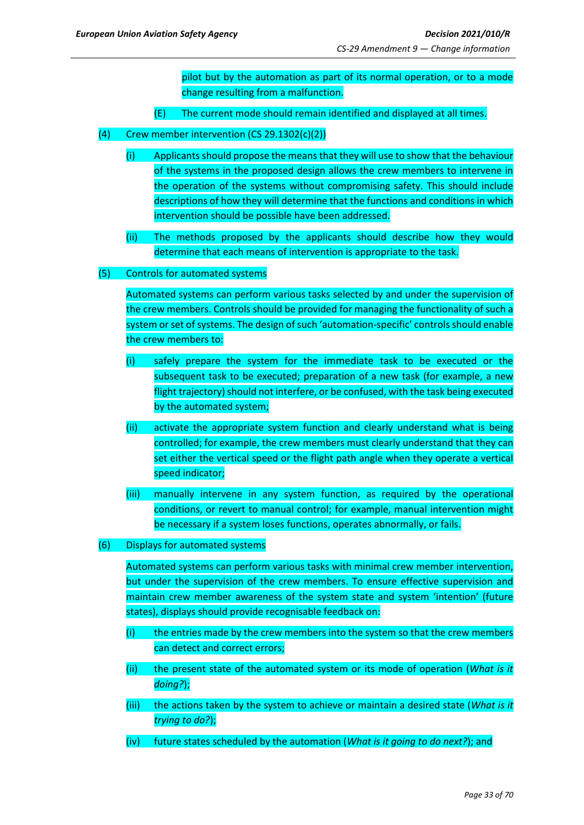pilot but by the automation as part of its normal operation, or to a mode change resulting from a malfunction.

- (E) The current mode should remain identified and displayed at all times.
- (4) Crew member intervention  $(CS 29.1302(c)(2))$ 
	- (i) Applicants should propose the means that they will use to show that the behaviour of the systems in the proposed design allows the crew members to intervene in the operation of the systems without compromising safety. This should include descriptions of how they will determine that the functions and conditions in which intervention should be possible have been addressed.
	- (ii) The methods proposed by the applicants should describe how they would determine that each means of intervention is appropriate to the task.
- (5) Controls for automated systems

Automated systems can perform various tasks selected by and under the supervision of the crew members. Controls should be provided for managing the functionality of such a system or set of systems. The design of such 'automation-specific' controls should enable the crew members to:

- (i) safely prepare the system for the immediate task to be executed or the subsequent task to be executed; preparation of a new task (for example, a new flight trajectory) should not interfere, or be confused, with the task being executed by the automated system;
- (ii) activate the appropriate system function and clearly understand what is being controlled; for example, the crew members must clearly understand that they can set either the vertical speed or the flight path angle when they operate a vertical speed indicator;
- (iii) manually intervene in any system function, as required by the operational conditions, or revert to manual control; for example, manual intervention might be necessary if a system loses functions, operates abnormally, or fails.
- (6) Displays for automated systems

Automated systems can perform various tasks with minimal crew member intervention, but under the supervision of the crew members. To ensure effective supervision and maintain crew member awareness of the system state and system 'intention' (future states), displays should provide recognisable feedback on:

- (i) the entries made by the crew members into the system so that the crew members can detect and correct errors;
- (ii) the present state of the automated system or its mode of operation (*What is it doing?*);
- (iii) the actions taken by the system to achieve or maintain a desired state (*What is it trying to do?*);
- (iv) future states scheduled by the automation (*What is it going to do next?*); and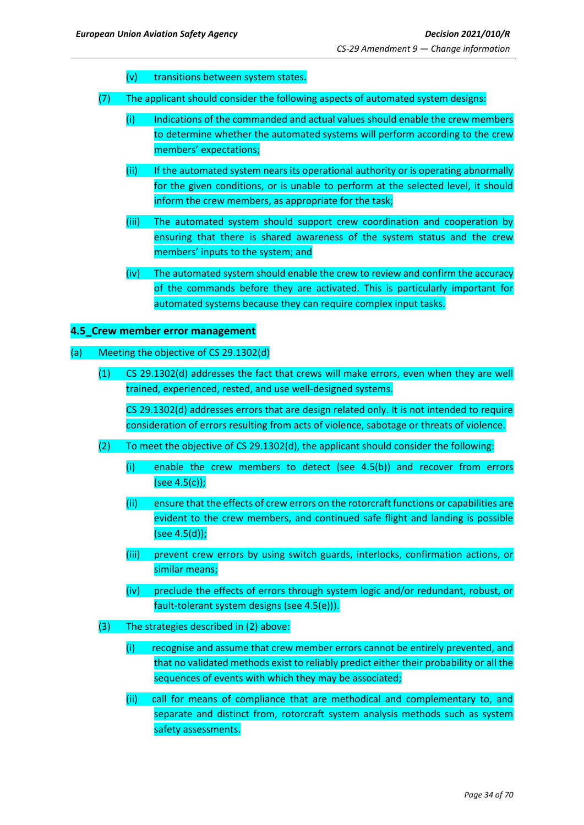- (v) transitions between system states.
- (7) The applicant should consider the following aspects of automated system designs:
	- (i) Indications of the commanded and actual values should enable the crew members to determine whether the automated systems will perform according to the crew members' expectations;
	- (ii) If the automated system nears its operational authority or is operating abnormally for the given conditions, or is unable to perform at the selected level, it should inform the crew members, as appropriate for the task;
	- (iii) The automated system should support crew coordination and cooperation by ensuring that there is shared awareness of the system status and the crew members' inputs to the system; and
	- (iv) The automated system should enable the crew to review and confirm the accuracy of the commands before they are activated. This is particularly important for automated systems because they can require complex input tasks.

#### <span id="page-33-0"></span>**4.5\_Crew member error management**

#### (a) Meeting the objective of CS 29.1302(d)

(1) CS 29.1302(d) addresses the fact that crews will make errors, even when they are well trained, experienced, rested, and use well-designed systems.

CS 29.1302(d) addresses errors that are design related only. It is not intended to require consideration of errors resulting from acts of violence, sabotage or threats of violence.

- (2) To meet the objective of CS 29.1302(d), the applicant should consider the following:
	- (i) enable the crew members to detect (see 4.5(b)) and recover from errors (see 4.5(c));
	- (ii) ensure that the effects of crew errors on the rotorcraft functions or capabilities are evident to the crew members, and continued safe flight and landing is possible (see 4.5(d));
	- (iii) prevent crew errors by using switch guards, interlocks, confirmation actions, or similar means;
	- (iv) preclude the effects of errors through system logic and/or redundant, robust, or fault-tolerant system designs (see 4.5(e))).
- (3) The strategies described in (2) above:
	- (i) recognise and assume that crew member errors cannot be entirely prevented, and that no validated methods exist to reliably predict either their probability or all the sequences of events with which they may be associated;
	- (ii) call for means of compliance that are methodical and complementary to, and separate and distinct from, rotorcraft system analysis methods such as system safety assessments.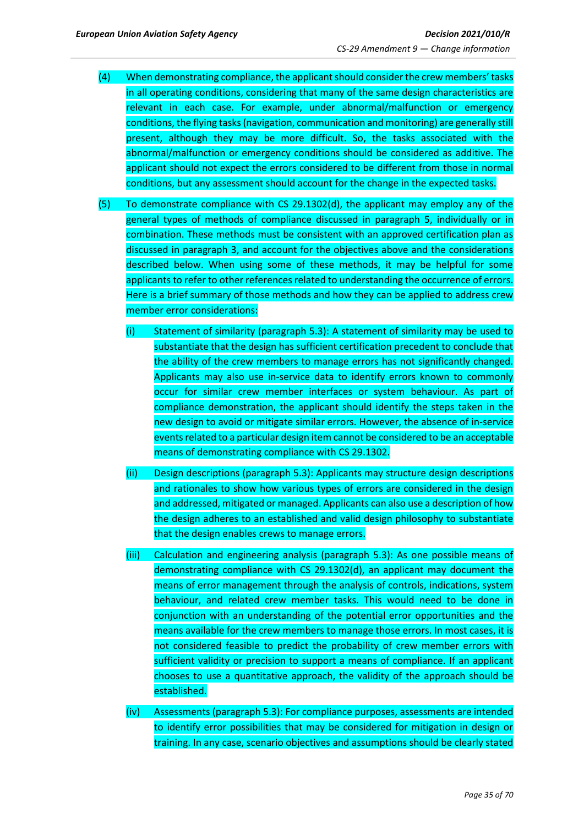- (4) When demonstrating compliance, the applicant should consider the crew members' tasks in all operating conditions, considering that many of the same design characteristics are relevant in each case. For example, under abnormal/malfunction or emergency conditions, the flying tasks (navigation, communication and monitoring) are generally still present, although they may be more difficult. So, the tasks associated with the abnormal/malfunction or emergency conditions should be considered as additive. The applicant should not expect the errors considered to be different from those in normal conditions, but any assessment should account for the change in the expected tasks.
- (5) To demonstrate compliance with CS 29.1302(d), the applicant may employ any of the general types of methods of compliance discussed in paragraph 5, individually or in combination. These methods must be consistent with an approved certification plan as discussed in paragraph 3, and account for the objectives above and the considerations described below. When using some of these methods, it may be helpful for some applicants to refer to other references related to understanding the occurrence of errors. Here is a brief summary of those methods and how they can be applied to address crew member error considerations:
	- (i) Statement of similarity (paragraph 5.3): A statement of similarity may be used to substantiate that the design has sufficient certification precedent to conclude that the ability of the crew members to manage errors has not significantly changed. Applicants may also use in-service data to identify errors known to commonly occur for similar crew member interfaces or system behaviour. As part of compliance demonstration, the applicant should identify the steps taken in the new design to avoid or mitigate similar errors. However, the absence of in-service events related to a particular design item cannot be considered to be an acceptable means of demonstrating compliance with CS 29.1302.
	- (ii) Design descriptions (paragraph 5.3): Applicants may structure design descriptions and rationales to show how various types of errors are considered in the design and addressed, mitigated or managed. Applicants can also use a description of how the design adheres to an established and valid design philosophy to substantiate that the design enables crews to manage errors.
	- (iii) Calculation and engineering analysis (paragraph 5.3): As one possible means of demonstrating compliance with CS 29.1302(d), an applicant may document the means of error management through the analysis of controls, indications, system behaviour, and related crew member tasks. This would need to be done in conjunction with an understanding of the potential error opportunities and the means available for the crew members to manage those errors. In most cases, it is not considered feasible to predict the probability of crew member errors with sufficient validity or precision to support a means of compliance. If an applicant chooses to use a quantitative approach, the validity of the approach should be established.
	- (iv) Assessments (paragraph 5.3): For compliance purposes, assessments are intended to identify error possibilities that may be considered for mitigation in design or training. In any case, scenario objectives and assumptions should be clearly stated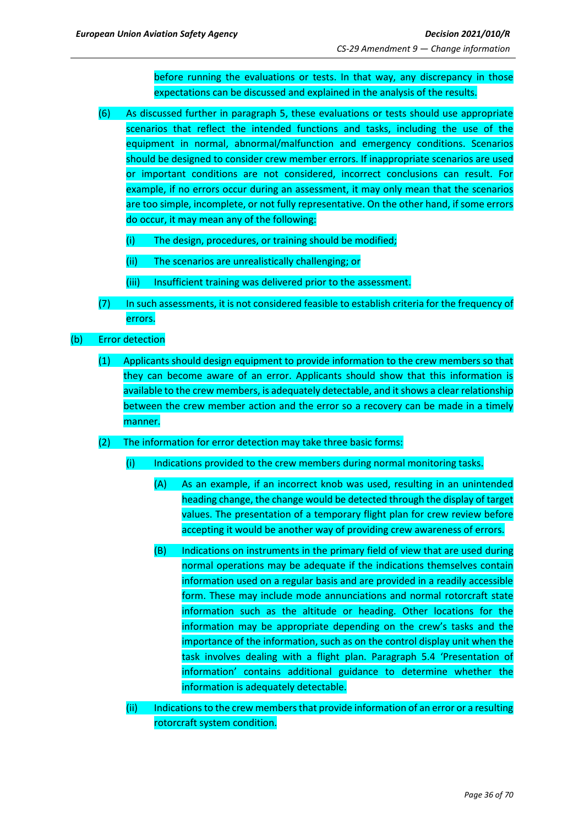before running the evaluations or tests. In that way, any discrepancy in those expectations can be discussed and explained in the analysis of the results.

- (6) As discussed further in paragraph 5, these evaluations or tests should use appropriate scenarios that reflect the intended functions and tasks, including the use of the equipment in normal, abnormal/malfunction and emergency conditions. Scenarios should be designed to consider crew member errors. If inappropriate scenarios are used or important conditions are not considered, incorrect conclusions can result. For example, if no errors occur during an assessment, it may only mean that the scenarios are too simple, incomplete, or not fully representative. On the other hand, if some errors do occur, it may mean any of the following:
	- (i) The design, procedures, or training should be modified;
	- (ii) The scenarios are unrealistically challenging; or
	- (iii) Insufficient training was delivered prior to the assessment.
- (7) In such assessments, it is not considered feasible to establish criteria for the frequency of errors.
- (b) Error detection
	- (1) Applicants should design equipment to provide information to the crew members so that they can become aware of an error. Applicants should show that this information is available to the crew members, is adequately detectable, and it shows a clear relationship between the crew member action and the error so a recovery can be made in a timely manner.
	- (2) The information for error detection may take three basic forms:
		- (i) Indications provided to the crew members during normal monitoring tasks.
			- (A) As an example, if an incorrect knob was used, resulting in an unintended heading change, the change would be detected through the display of target values. The presentation of a temporary flight plan for crew review before accepting it would be another way of providing crew awareness of errors.
			- (B) Indications on instruments in the primary field of view that are used during normal operations may be adequate if the indications themselves contain information used on a regular basis and are provided in a readily accessible form. These may include mode annunciations and normal rotorcraft state information such as the altitude or heading. Other locations for the information may be appropriate depending on the crew's tasks and the importance of the information, such as on the control display unit when the task involves dealing with a flight plan. Paragraph 5.4 'Presentation of information' contains additional guidance to determine whether the information is adequately detectable.
		- (ii) Indications to the crew membersthat provide information of an error or a resulting rotorcraft system condition.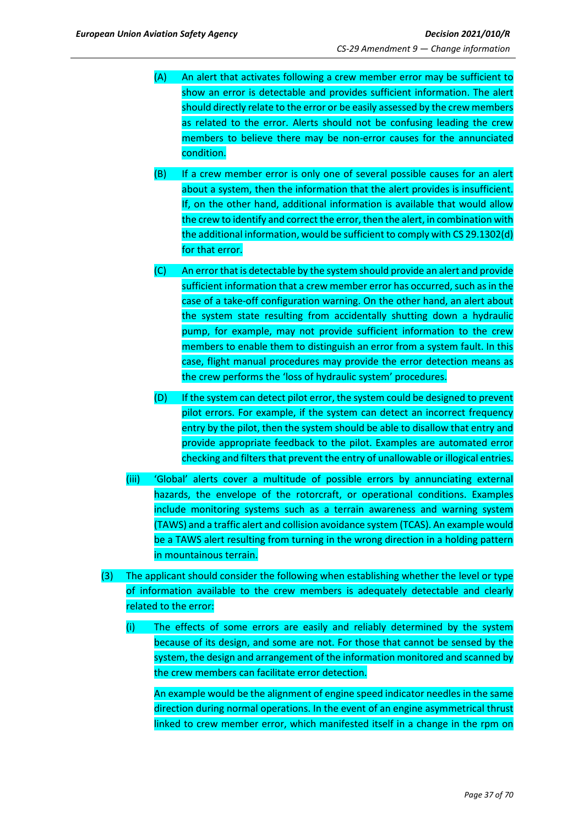- (A) An alert that activates following a crew member error may be sufficient to show an error is detectable and provides sufficient information. The alert should directly relate to the error or be easily assessed by the crew members as related to the error. Alerts should not be confusing leading the crew members to believe there may be non-error causes for the annunciated condition.
- (B) If a crew member error is only one of several possible causes for an alert about a system, then the information that the alert provides is insufficient. If, on the other hand, additional information is available that would allow the crew to identify and correct the error, then the alert, in combination with the additional information, would be sufficient to comply with CS 29.1302(d) for that error.
- (C) An error that is detectable by the system should provide an alert and provide sufficient information that a crew member error has occurred, such as in the case of a take-off configuration warning. On the other hand, an alert about the system state resulting from accidentally shutting down a hydraulic pump, for example, may not provide sufficient information to the crew members to enable them to distinguish an error from a system fault. In this case, flight manual procedures may provide the error detection means as the crew performs the 'loss of hydraulic system' procedures.
- (D) If the system can detect pilot error, the system could be designed to prevent pilot errors. For example, if the system can detect an incorrect frequency entry by the pilot, then the system should be able to disallow that entry and provide appropriate feedback to the pilot. Examples are automated error checking and filters that prevent the entry of unallowable or illogical entries.
- (iii) 'Global' alerts cover a multitude of possible errors by annunciating external hazards, the envelope of the rotorcraft, or operational conditions. Examples include monitoring systems such as a terrain awareness and warning system (TAWS) and a traffic alert and collision avoidance system (TCAS). An example would be a TAWS alert resulting from turning in the wrong direction in a holding pattern in mountainous terrain.
- (3) The applicant should consider the following when establishing whether the level or type of information available to the crew members is adequately detectable and clearly related to the error:
	- (i) The effects of some errors are easily and reliably determined by the system because of its design, and some are not. For those that cannot be sensed by the system, the design and arrangement of the information monitored and scanned by the crew members can facilitate error detection.

An example would be the alignment of engine speed indicator needles in the same direction during normal operations. In the event of an engine asymmetrical thrust linked to crew member error, which manifested itself in a change in the rpm on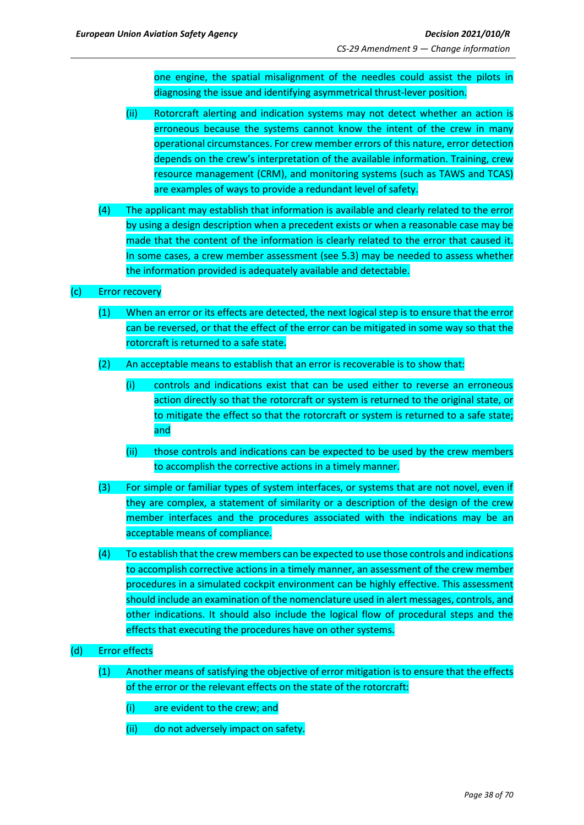one engine, the spatial misalignment of the needles could assist the pilots in diagnosing the issue and identifying asymmetrical thrust-lever position.

- (ii) Rotorcraft alerting and indication systems may not detect whether an action is erroneous because the systems cannot know the intent of the crew in many operational circumstances. For crew member errors of this nature, error detection depends on the crew's interpretation of the available information. Training, crew resource management (CRM), and monitoring systems (such as TAWS and TCAS) are examples of ways to provide a redundant level of safety.
- (4) The applicant may establish that information is available and clearly related to the error by using a design description when a precedent exists or when a reasonable case may be made that the content of the information is clearly related to the error that caused it. In some cases, a crew member assessment (see 5.3) may be needed to assess whether the information provided is adequately available and detectable.

## (c) Error recovery

- (1) When an error or its effects are detected, the next logical step is to ensure that the error can be reversed, or that the effect of the error can be mitigated in some way so that the rotorcraft is returned to a safe state.
- (2) An acceptable means to establish that an error is recoverable is to show that:
	- (i) controls and indications exist that can be used either to reverse an erroneous action directly so that the rotorcraft or system is returned to the original state, or to mitigate the effect so that the rotorcraft or system is returned to a safe state; and
	- (ii) those controls and indications can be expected to be used by the crew members to accomplish the corrective actions in a timely manner.
- (3) For simple or familiar types of system interfaces, or systems that are not novel, even if they are complex, a statement of similarity or a description of the design of the crew member interfaces and the procedures associated with the indications may be an acceptable means of compliance.
- (4) To establish that the crewmembers can be expected to use those controls and indications to accomplish corrective actions in a timely manner, an assessment of the crew member procedures in a simulated cockpit environment can be highly effective. This assessment should include an examination of the nomenclature used in alert messages, controls, and other indications. It should also include the logical flow of procedural steps and the effects that executing the procedures have on other systems.

#### (d) Error effects

- (1) Another means of satisfying the objective of error mitigation is to ensure that the effects of the error or the relevant effects on the state of the rotorcraft:
	- (i) are evident to the crew; and
	- (ii) do not adversely impact on safety.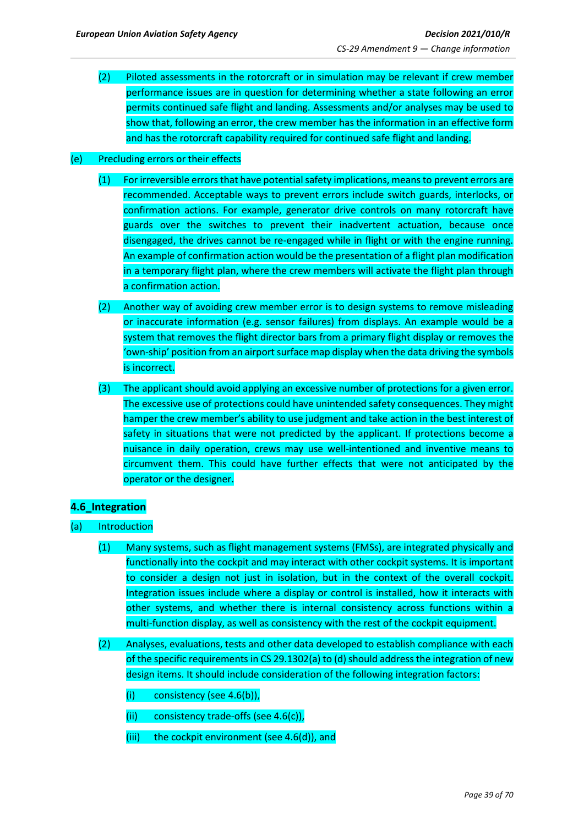(2) Piloted assessments in the rotorcraft or in simulation may be relevant if crew member performance issues are in question for determining whether a state following an error permits continued safe flight and landing. Assessments and/or analyses may be used to show that, following an error, the crew member has the information in an effective form and has the rotorcraft capability required for continued safe flight and landing.

## (e) Precluding errors or their effects

- (1) For irreversible errors that have potential safety implications, means to prevent errors are recommended. Acceptable ways to prevent errors include switch guards, interlocks, or confirmation actions. For example, generator drive controls on many rotorcraft have guards over the switches to prevent their inadvertent actuation, because once disengaged, the drives cannot be re-engaged while in flight or with the engine running. An example of confirmation action would be the presentation of a flight plan modification in a temporary flight plan, where the crew members will activate the flight plan through a confirmation action.
- (2) Another way of avoiding crew member error is to design systems to remove misleading or inaccurate information (e.g. sensor failures) from displays. An example would be a system that removes the flight director bars from a primary flight display or removes the 'own-ship' position from an airport surface map display when the data driving the symbols is incorrect.
- (3) The applicant should avoid applying an excessive number of protections for a given error. The excessive use of protections could have unintended safety consequences. They might hamper the crew member's ability to use judgment and take action in the best interest of safety in situations that were not predicted by the applicant. If protections become a nuisance in daily operation, crews may use well-intentioned and inventive means to circumvent them. This could have further effects that were not anticipated by the operator or the designer.

#### <span id="page-38-0"></span>**4.6\_Integration**

- (a) Introduction
	- (1) Many systems, such as flight management systems (FMSs), are integrated physically and functionally into the cockpit and may interact with other cockpit systems. It is important to consider a design not just in isolation, but in the context of the overall cockpit. Integration issues include where a display or control is installed, how it interacts with other systems, and whether there is internal consistency across functions within a multi-function display, as well as consistency with the rest of the cockpit equipment.
	- (2) Analyses, evaluations, tests and other data developed to establish compliance with each of the specific requirements in CS 29.1302(a) to (d) should address the integration of new design items. It should include consideration of the following integration factors:
		- (i) consistency (see 4.6(b)),
		- (ii) consistency trade-offs (see 4.6(c)),
		- (iii) the cockpit environment (see 4.6(d)), and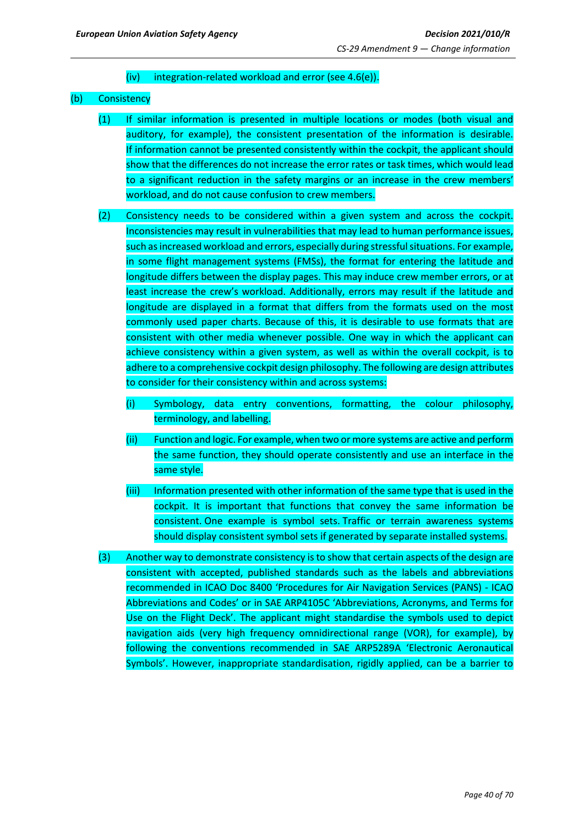## (iv) integration-related workload and error (see 4.6(e)).

#### (b) Consistency

- (1) If similar information is presented in multiple locations or modes (both visual and auditory, for example), the consistent presentation of the information is desirable. If information cannot be presented consistently within the cockpit, the applicant should show that the differences do not increase the error rates or task times, which would lead to a significant reduction in the safety margins or an increase in the crew members' workload, and do not cause confusion to crew members.
- (2) Consistency needs to be considered within a given system and across the cockpit. Inconsistencies may result in vulnerabilities that may lead to human performance issues, such as increased workload and errors, especially during stressful situations. For example, in some flight management systems (FMSs), the format for entering the latitude and longitude differs between the display pages. This may induce crew member errors, or at least increase the crew's workload. Additionally, errors may result if the latitude and longitude are displayed in a format that differs from the formats used on the most commonly used paper charts. Because of this, it is desirable to use formats that are consistent with other media whenever possible. One way in which the applicant can achieve consistency within a given system, as well as within the overall cockpit, is to adhere to a comprehensive cockpit design philosophy. The following are design attributes to consider for their consistency within and across systems:
	- (i) Symbology, data entry conventions, formatting, the colour philosophy, terminology, and labelling.
	- (ii) Function and logic. For example, when two or more systems are active and perform the same function, they should operate consistently and use an interface in the same style.
	- (iii) Information presented with other information of the same type that is used in the cockpit. It is important that functions that convey the same information be consistent. One example is symbol sets. Traffic or terrain awareness systems should display consistent symbol sets if generated by separate installed systems.
- (3) Another way to demonstrate consistency is to show that certain aspects of the design are consistent with accepted, published standards such as the labels and abbreviations recommended in ICAO Doc 8400 'Procedures for Air Navigation Services (PANS) - ICAO Abbreviations and Codes' or in SAE ARP4105C 'Abbreviations, Acronyms, and Terms for Use on the Flight Deck'. The applicant might standardise the symbols used to depict navigation aids (very high frequency omnidirectional range (VOR), for example), by following the conventions recommended in SAE ARP5289A 'Electronic Aeronautical Symbols'. However, inappropriate standardisation, rigidly applied, can be a barrier to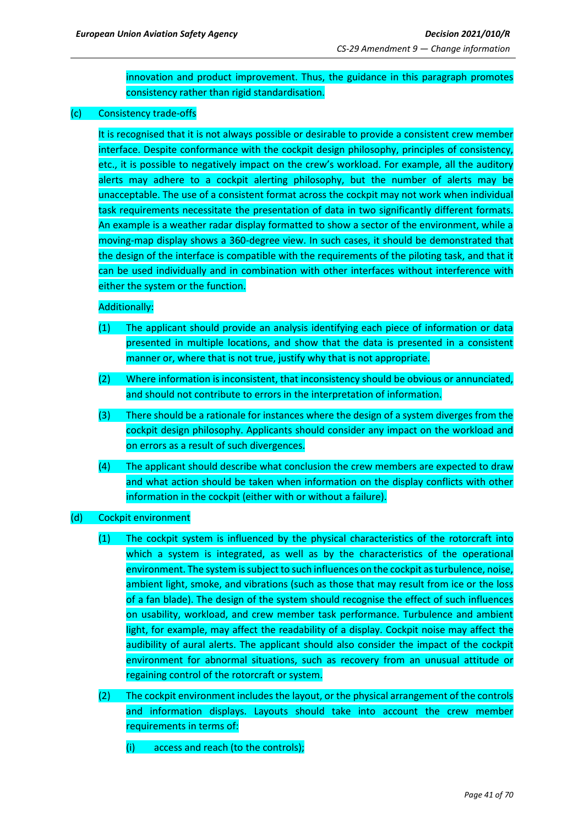innovation and product improvement. Thus, the guidance in this paragraph promotes consistency rather than rigid standardisation.

### (c) Consistency trade-offs

It is recognised that it is not always possible or desirable to provide a consistent crew member interface. Despite conformance with the cockpit design philosophy, principles of consistency, etc., it is possible to negatively impact on the crew's workload. For example, all the auditory alerts may adhere to a cockpit alerting philosophy, but the number of alerts may be unacceptable. The use of a consistent format across the cockpit may not work when individual task requirements necessitate the presentation of data in two significantly different formats. An example is a weather radar display formatted to show a sector of the environment, while a moving-map display shows a 360-degree view. In such cases, it should be demonstrated that the design of the interface is compatible with the requirements of the piloting task, and that it can be used individually and in combination with other interfaces without interference with either the system or the function.

## Additionally:

- (1) The applicant should provide an analysis identifying each piece of information or data presented in multiple locations, and show that the data is presented in a consistent manner or, where that is not true, justify why that is not appropriate.
- (2) Where information is inconsistent, that inconsistency should be obvious or annunciated, and should not contribute to errors in the interpretation of information.
- (3) There should be a rationale for instances where the design of a system diverges from the cockpit design philosophy. Applicants should consider any impact on the workload and on errors as a result of such divergences.
- (4) The applicant should describe what conclusion the crew members are expected to draw and what action should be taken when information on the display conflicts with other information in the cockpit (either with or without a failure).
- (d) Cockpit environment
	- (1) The cockpit system is influenced by the physical characteristics of the rotorcraft into which a system is integrated, as well as by the characteristics of the operational environment. The system is subject to such influences on the cockpit as turbulence, noise, ambient light, smoke, and vibrations (such as those that may result from ice or the loss of a fan blade). The design of the system should recognise the effect of such influences on usability, workload, and crew member task performance. Turbulence and ambient light, for example, may affect the readability of a display. Cockpit noise may affect the audibility of aural alerts. The applicant should also consider the impact of the cockpit environment for abnormal situations, such as recovery from an unusual attitude or regaining control of the rotorcraft or system.
	- (2) The cockpit environment includes the layout, or the physical arrangement of the controls and information displays. Layouts should take into account the crew member requirements in terms of:
		- (i) access and reach (to the controls);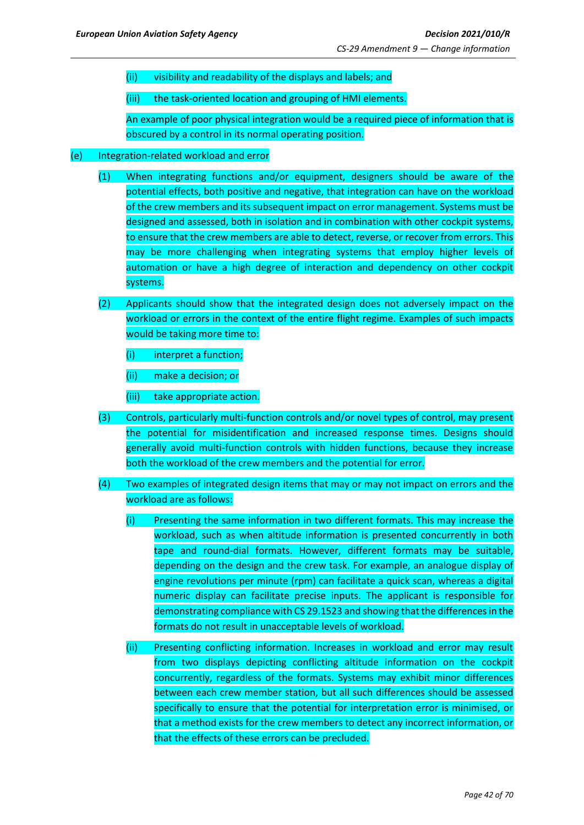(ii) visibility and readability of the displays and labels; and

(iii) the task-oriented location and grouping of HMI elements.

An example of poor physical integration would be a required piece of information that is obscured by a control in its normal operating position.

#### (e) Integration-related workload and error

- (1) When integrating functions and/or equipment, designers should be aware of the potential effects, both positive and negative, that integration can have on the workload of the crew members and its subsequent impact on error management. Systems must be designed and assessed, both in isolation and in combination with other cockpit systems, to ensure that the crew members are able to detect, reverse, or recover from errors. This may be more challenging when integrating systems that employ higher levels of automation or have a high degree of interaction and dependency on other cockpit systems.
- (2) Applicants should show that the integrated design does not adversely impact on the workload or errors in the context of the entire flight regime. Examples of such impacts would be taking more time to:
	- (i) interpret a function;
	- (ii) make a decision; or
	- (iii) take appropriate action.
- (3) Controls, particularly multi-function controls and/or novel types of control, may present the potential for misidentification and increased response times. Designs should generally avoid multi-function controls with hidden functions, because they increase both the workload of the crew members and the potential for error.
- (4) Two examples of integrated design items that may or may not impact on errors and the workload are as follows:
	- (i) Presenting the same information in two different formats. This may increase the workload, such as when altitude information is presented concurrently in both tape and round-dial formats. However, different formats may be suitable, depending on the design and the crew task. For example, an analogue display of engine revolutions per minute (rpm) can facilitate a quick scan, whereas a digital numeric display can facilitate precise inputs. The applicant is responsible for demonstrating compliance with CS 29.1523 and showing that the differences in the formats do not result in unacceptable levels of workload.
	- (ii) Presenting conflicting information. Increases in workload and error may result from two displays depicting conflicting altitude information on the cockpit concurrently, regardless of the formats. Systems may exhibit minor differences between each crew member station, but all such differences should be assessed specifically to ensure that the potential for interpretation error is minimised, or that a method exists for the crew members to detect any incorrect information, or that the effects of these errors can be precluded.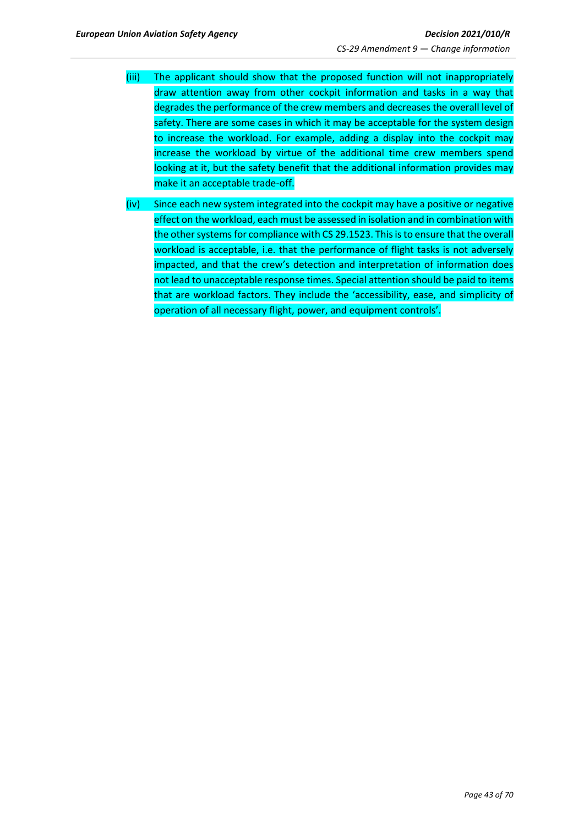- (iii) The applicant should show that the proposed function will not inappropriately draw attention away from other cockpit information and tasks in a way that degrades the performance of the crew members and decreases the overall level of safety. There are some cases in which it may be acceptable for the system design to increase the workload. For example, adding a display into the cockpit may increase the workload by virtue of the additional time crew members spend looking at it, but the safety benefit that the additional information provides may make it an acceptable trade-off.
- (iv) Since each new system integrated into the cockpit may have a positive or negative effect on the workload, each must be assessed in isolation and in combination with the other systems for compliance with CS 29.1523. This is to ensure that the overall workload is acceptable, i.e. that the performance of flight tasks is not adversely impacted, and that the crew's detection and interpretation of information does not lead to unacceptable response times. Special attention should be paid to items that are workload factors. They include the 'accessibility, ease, and simplicity of operation of all necessary flight, power, and equipment controls'.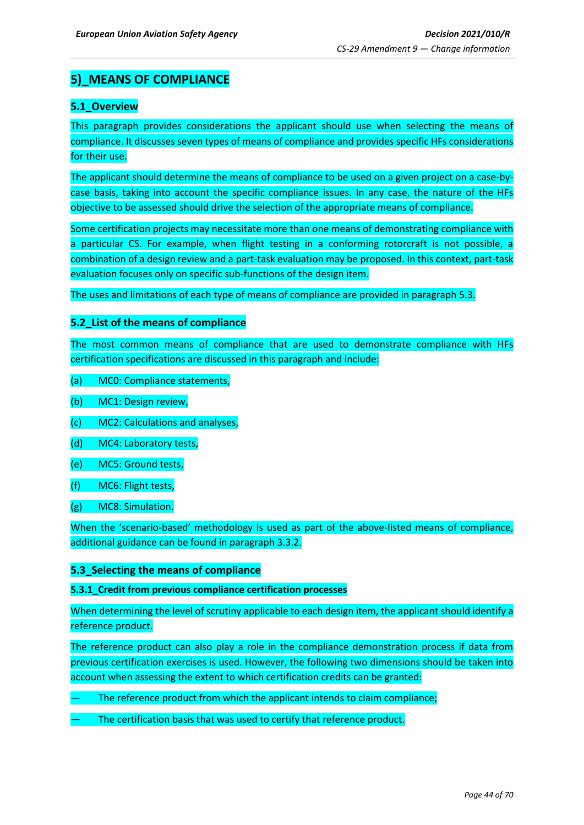## <span id="page-43-0"></span>**5)\_MEANS OF COMPLIANCE**

## <span id="page-43-1"></span>**5.1\_Overview**

This paragraph provides considerations the applicant should use when selecting the means of compliance. It discusses seven types of means of compliance and provides specific HFs considerations for their use.

The applicant should determine the means of compliance to be used on a given project on a case-bycase basis, taking into account the specific compliance issues. In any case, the nature of the HFs objective to be assessed should drive the selection of the appropriate means of compliance.

Some certification projects may necessitate more than one means of demonstrating compliance with a particular CS. For example, when flight testing in a conforming rotorcraft is not possible, a combination of a design review and a part-task evaluation may be proposed. In this context, part-task evaluation focuses only on specific sub-functions of the design item.

The uses and limitations of each type of means of compliance are provided in paragraph 5.3.

## <span id="page-43-2"></span>**5.2\_List of the means of compliance**

The most common means of compliance that are used to demonstrate compliance with HFs certification specifications are discussed in this paragraph and include:

- (a) MC0: Compliance statements,
- (b) MC1: Design review,
- (c) MC2: Calculations and analyses,
- (d) MC4: Laboratory tests,
- (e) MC5: Ground tests,
- (f) MC6: Flight tests,
- (g) MC8: Simulation.

When the 'scenario-based' methodology is used as part of the above-listed means of compliance, additional guidance can be found in paragraph 3.3.2.

## <span id="page-43-3"></span>**5.3\_Selecting the means of compliance**

#### **5.3.1\_Credit from previous compliance certification processes**

When determining the level of scrutiny applicable to each design item, the applicant should identify a reference product.

The reference product can also play a role in the compliance demonstration process if data from previous certification exercises is used. However, the following two dimensions should be taken into account when assessing the extent to which certification credits can be granted:

- The reference product from which the applicant intends to claim compliance;
- The certification basis that was used to certify that reference product.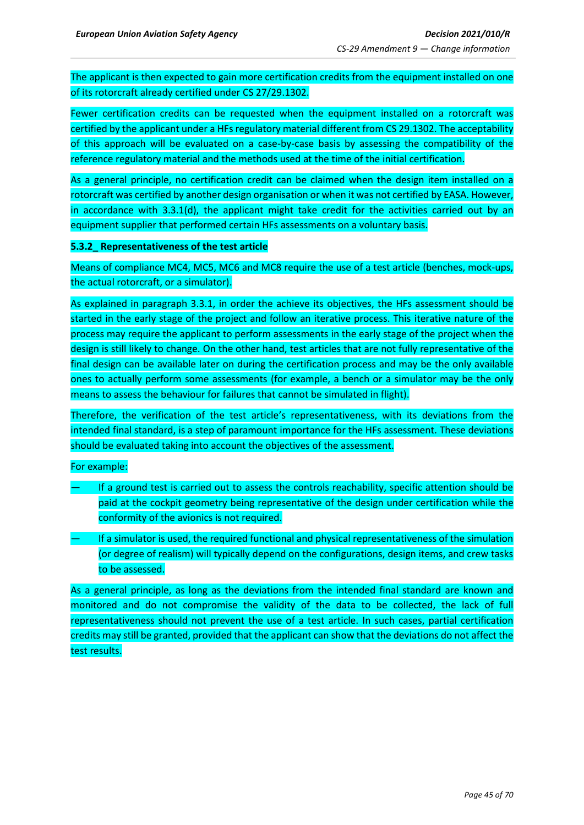The applicant is then expected to gain more certification credits from the equipment installed on one of its rotorcraft already certified under CS 27/29.1302.

Fewer certification credits can be requested when the equipment installed on a rotorcraft was certified by the applicant under a HFs regulatory material different from CS 29.1302. The acceptability of this approach will be evaluated on a case-by-case basis by assessing the compatibility of the reference regulatory material and the methods used at the time of the initial certification.

As a general principle, no certification credit can be claimed when the design item installed on a rotorcraft was certified by another design organisation or when it was not certified by EASA. However, in accordance with 3.3.1(d), the applicant might take credit for the activities carried out by an equipment supplier that performed certain HFs assessments on a voluntary basis.

## **5.3.2\_ Representativeness of the test article**

Means of compliance MC4, MC5, MC6 and MC8 require the use of a test article (benches, mock-ups, the actual rotorcraft, or a simulator).

As explained in paragraph 3.3.1, in order the achieve its objectives, the HFs assessment should be started in the early stage of the project and follow an iterative process. This iterative nature of the process may require the applicant to perform assessments in the early stage of the project when the design is still likely to change. On the other hand, test articles that are not fully representative of the final design can be available later on during the certification process and may be the only available ones to actually perform some assessments (for example, a bench or a simulator may be the only means to assess the behaviour for failures that cannot be simulated in flight).

Therefore, the verification of the test article's representativeness, with its deviations from the intended final standard, is a step of paramount importance for the HFs assessment. These deviations should be evaluated taking into account the objectives of the assessment.

## For example:

- If a ground test is carried out to assess the controls reachability, specific attention should be paid at the cockpit geometry being representative of the design under certification while the conformity of the avionics is not required.
- If a simulator is used, the required functional and physical representativeness of the simulation (or degree of realism) will typically depend on the configurations, design items, and crew tasks to be assessed.

As a general principle, as long as the deviations from the intended final standard are known and monitored and do not compromise the validity of the data to be collected, the lack of full representativeness should not prevent the use of a test article. In such cases, partial certification credits may still be granted, provided that the applicant can show that the deviations do not affect the test results.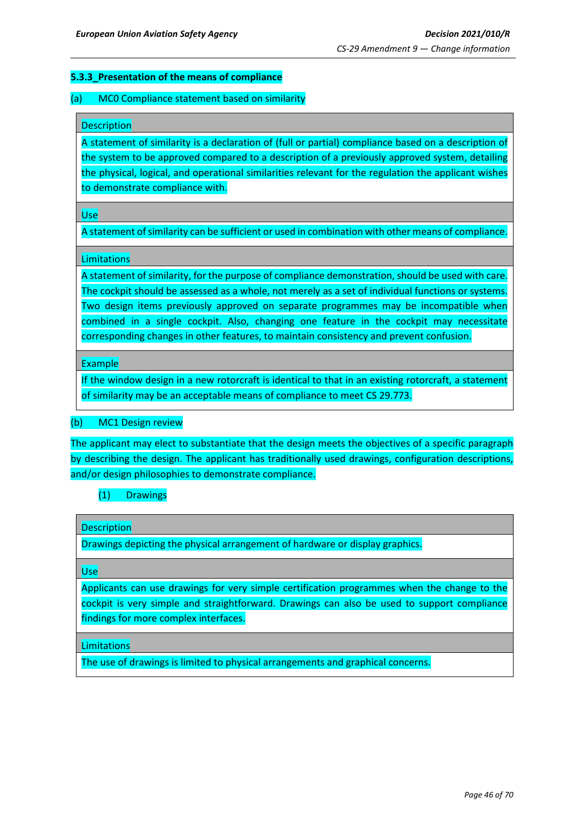## **5.3.3\_Presentation of the means of compliance**

#### (a) MC0 Compliance statement based on similarity

#### **Description**

A statement of similarity is a declaration of (full or partial) compliance based on a description of the system to be approved compared to a description of a previously approved system, detailing the physical, logical, and operational similarities relevant for the regulation the applicant wishes to demonstrate compliance with.

Use

A statement of similarity can be sufficient or used in combination with other means of compliance.

#### **Limitations**

A statement of similarity, for the purpose of compliance demonstration, should be used with care. The cockpit should be assessed as a whole, not merely as a set of individual functions or systems. Two design items previously approved on separate programmes may be incompatible when combined in a single cockpit. Also, changing one feature in the cockpit may necessitate corresponding changes in other features, to maintain consistency and prevent confusion.

#### Example

If the window design in a new rotorcraft is identical to that in an existing rotorcraft, a statement of similarity may be an acceptable means of compliance to meet CS 29.773.

#### (b) MC1 Design review

The applicant may elect to substantiate that the design meets the objectives of a specific paragraph by describing the design. The applicant has traditionally used drawings, configuration descriptions, and/or design philosophies to demonstrate compliance.

## (1) Drawings

#### **Description**

Drawings depicting the physical arrangement of hardware or display graphics.

Use

Applicants can use drawings for very simple certification programmes when the change to the cockpit is very simple and straightforward. Drawings can also be used to support compliance findings for more complex interfaces.

**Limitations** 

The use of drawings is limited to physical arrangements and graphical concerns.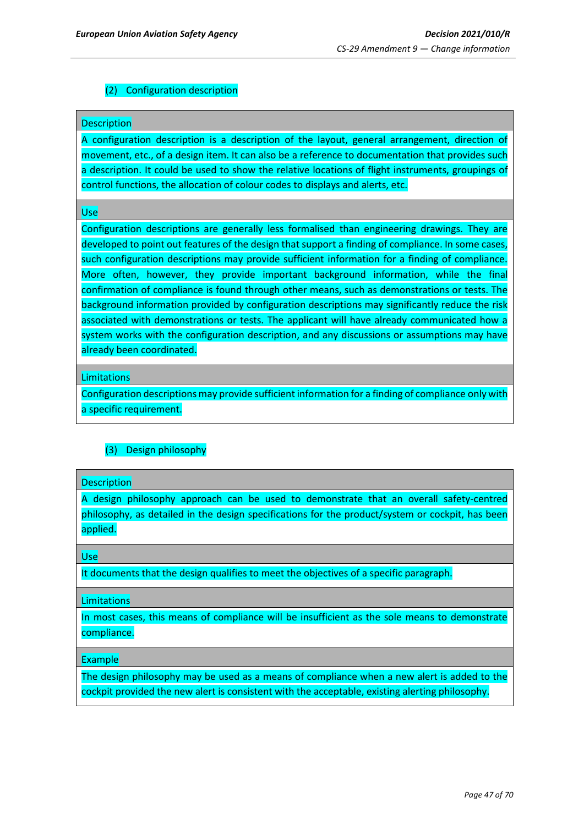## (2) Configuration description

#### Description

A configuration description is a description of the layout, general arrangement, direction of movement, etc., of a design item. It can also be a reference to documentation that provides such a description. It could be used to show the relative locations of flight instruments, groupings of control functions, the allocation of colour codes to displays and alerts, etc.

Use

Configuration descriptions are generally less formalised than engineering drawings. They are developed to point out features of the design that support a finding of compliance. In some cases, such configuration descriptions may provide sufficient information for a finding of compliance. More often, however, they provide important background information, while the final confirmation of compliance is found through other means, such as demonstrations or tests. The background information provided by configuration descriptions may significantly reduce the risk associated with demonstrations or tests. The applicant will have already communicated how a system works with the configuration description, and any discussions or assumptions may have already been coordinated.

#### **Limitations**

Configuration descriptions may provide sufficient information for a finding of compliance only with a specific requirement.

## (3) Design philosophy

#### **Description**

A design philosophy approach can be used to demonstrate that an overall safety-centred philosophy, as detailed in the design specifications for the product/system or cockpit, has been applied.

Use

It documents that the design qualifies to meet the objectives of a specific paragraph.

**Limitations** 

In most cases, this means of compliance will be insufficient as the sole means to demonstrate compliance.

#### Example

The design philosophy may be used as a means of compliance when a new alert is added to the cockpit provided the new alert is consistent with the acceptable, existing alerting philosophy.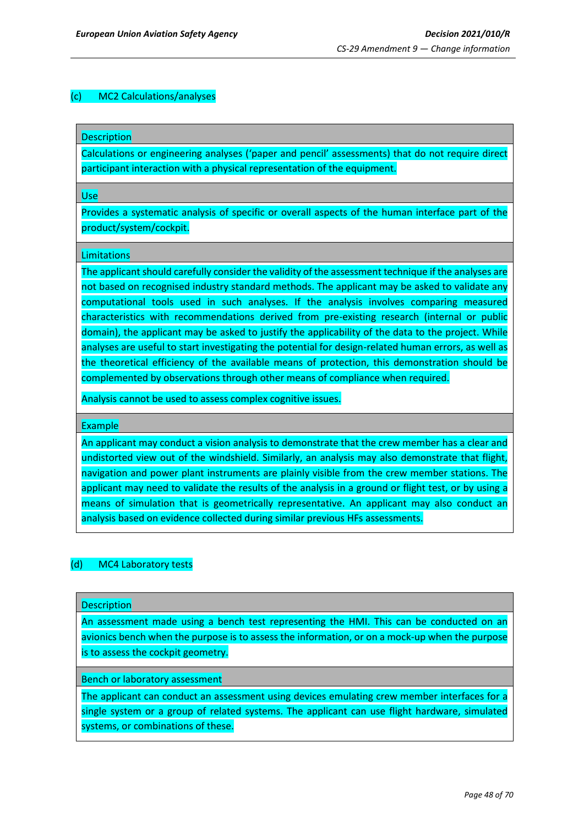### (c) MC2 Calculations/analyses

**Description** 

Calculations or engineering analyses ('paper and pencil' assessments) that do not require direct participant interaction with a physical representation of the equipment.

Use

Provides a systematic analysis of specific or overall aspects of the human interface part of the product/system/cockpit.

#### **Limitations**

The applicant should carefully consider the validity of the assessment technique if the analyses are not based on recognised industry standard methods. The applicant may be asked to validate any computational tools used in such analyses. If the analysis involves comparing measured characteristics with recommendations derived from pre-existing research (internal or public domain), the applicant may be asked to justify the applicability of the data to the project. While analyses are useful to start investigating the potential for design-related human errors, as well as the theoretical efficiency of the available means of protection, this demonstration should be complemented by observations through other means of compliance when required.

Analysis cannot be used to assess complex cognitive issues.

Example

An applicant may conduct a vision analysis to demonstrate that the crew member has a clear and undistorted view out of the windshield. Similarly, an analysis may also demonstrate that flight, navigation and power plant instruments are plainly visible from the crew member stations. The applicant may need to validate the results of the analysis in a ground or flight test, or by using a means of simulation that is geometrically representative. An applicant may also conduct an analysis based on evidence collected during similar previous HFs assessments.

## (d) MC4 Laboratory tests

**Description** 

An assessment made using a bench test representing the HMI. This can be conducted on an avionics bench when the purpose is to assess the information, or on a mock-up when the purpose is to assess the cockpit geometry.

Bench or laboratory assessment

The applicant can conduct an assessment using devices emulating crew member interfaces for a single system or a group of related systems. The applicant can use flight hardware, simulated systems, or combinations of these.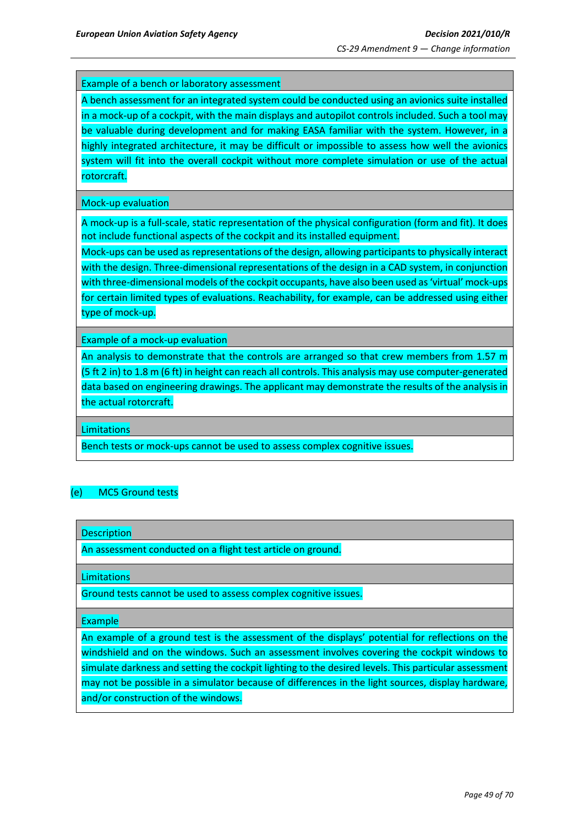Example of a bench or laboratory assessment

A bench assessment for an integrated system could be conducted using an avionics suite installed in a mock-up of a cockpit, with the main displays and autopilot controls included. Such a tool may be valuable during development and for making EASA familiar with the system. However, in a highly integrated architecture, it may be difficult or impossible to assess how well the avionics system will fit into the overall cockpit without more complete simulation or use of the actual rotorcraft.

Mock-up evaluation

A mock-up is a full-scale, static representation of the physical configuration (form and fit). It does not include functional aspects of the cockpit and its installed equipment.

Mock-ups can be used as representations of the design, allowing participants to physically interact with the design. Three-dimensional representations of the design in a CAD system, in conjunction with three-dimensional models of the cockpit occupants, have also been used as 'virtual' mock-ups for certain limited types of evaluations. Reachability, for example, can be addressed using either type of mock-up.

Example of a mock-up evaluation

An analysis to demonstrate that the controls are arranged so that crew members from 1.57 m (5 ft 2 in) to 1.8 m (6 ft) in height can reach all controls. This analysis may use computer-generated data based on engineering drawings. The applicant may demonstrate the results of the analysis in the actual rotorcraft.

**Limitations** 

Bench tests or mock-ups cannot be used to assess complex cognitive issues.

#### (e) MC5 Ground tests

**Description** 

An assessment conducted on a flight test article on ground.

**Limitations** 

Ground tests cannot be used to assess complex cognitive issues.

Example

An example of a ground test is the assessment of the displays' potential for reflections on the windshield and on the windows. Such an assessment involves covering the cockpit windows to simulate darkness and setting the cockpit lighting to the desired levels. This particular assessment may not be possible in a simulator because of differences in the light sources, display hardware, and/or construction of the windows.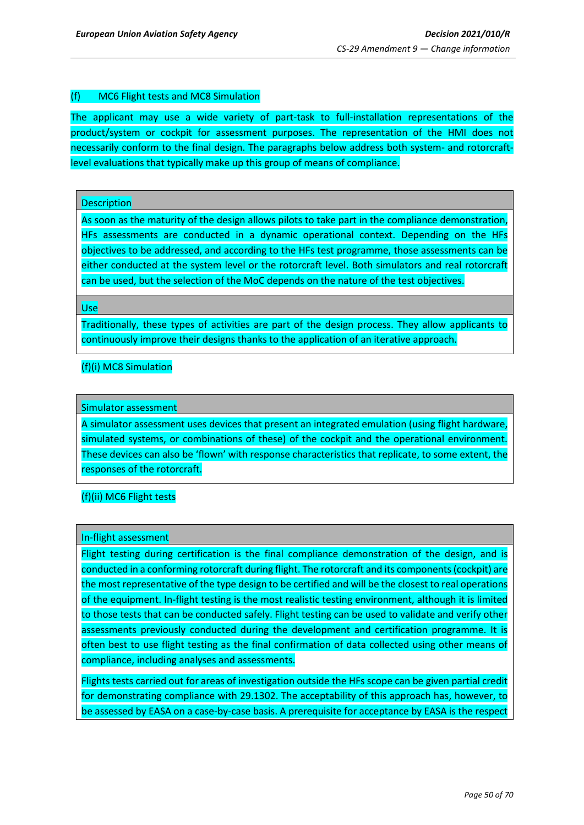## (f) MC6 Flight tests and MC8 Simulation

The applicant may use a wide variety of part-task to full-installation representations of the product/system or cockpit for assessment purposes. The representation of the HMI does not necessarily conform to the final design. The paragraphs below address both system- and rotorcraftlevel evaluations that typically make up this group of means of compliance.

## **Description**

As soon as the maturity of the design allows pilots to take part in the compliance demonstration, HFs assessments are conducted in a dynamic operational context. Depending on the HFs objectives to be addressed, and according to the HFs test programme, those assessments can be either conducted at the system level or the rotorcraft level. Both simulators and real rotorcraft can be used, but the selection of the MoC depends on the nature of the test objectives.

Use

Traditionally, these types of activities are part of the design process. They allow applicants to continuously improve their designs thanks to the application of an iterative approach.

## (f)(i) MC8 Simulation

## Simulator assessment

A simulator assessment uses devices that present an integrated emulation (using flight hardware, simulated systems, or combinations of these) of the cockpit and the operational environment. These devices can also be 'flown' with response characteristics that replicate, to some extent, the responses of the rotorcraft.

(f)(ii) MC6 Flight tests

#### In-flight assessment

Flight testing during certification is the final compliance demonstration of the design, and is conducted in a conforming rotorcraft during flight. The rotorcraft and its components (cockpit) are the most representative of the type design to be certified and will be the closest to real operations of the equipment. In-flight testing is the most realistic testing environment, although it is limited to those tests that can be conducted safely. Flight testing can be used to validate and verify other assessments previously conducted during the development and certification programme. It is often best to use flight testing as the final confirmation of data collected using other means of compliance, including analyses and assessments.

Flights tests carried out for areas of investigation outside the HFs scope can be given partial credit for demonstrating compliance with 29.1302. The acceptability of this approach has, however, to be assessed by EASA on a case-by-case basis. A prerequisite for acceptance by EASA is the respect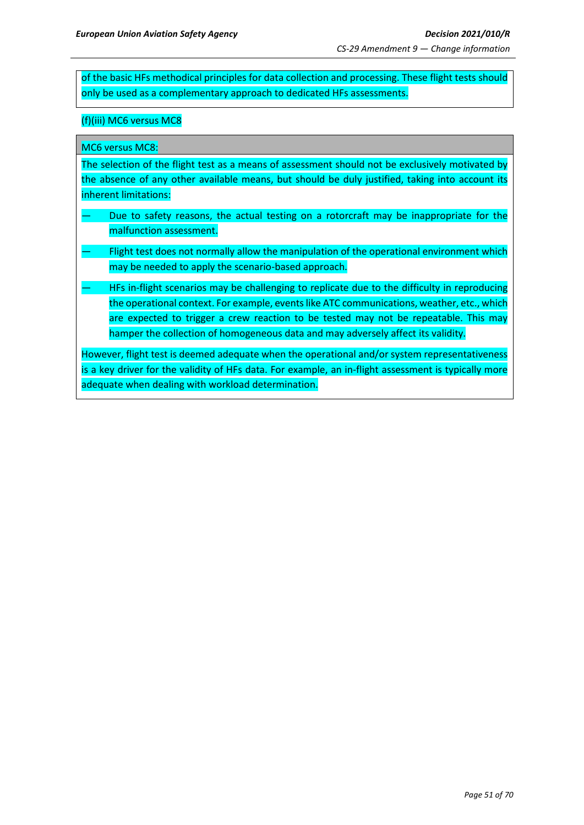of the basic HFs methodical principles for data collection and processing. These flight tests should only be used as a complementary approach to dedicated HFs assessments.

## (f)(iii) MC6 versus MC8

MC6 versus MC8:

The selection of the flight test as a means of assessment should not be exclusively motivated by the absence of any other available means, but should be duly justified, taking into account its inherent limitations:

- Due to safety reasons, the actual testing on a rotorcraft may be inappropriate for the malfunction assessment.
- Flight test does not normally allow the manipulation of the operational environment which may be needed to apply the scenario-based approach.
- HFs in-flight scenarios may be challenging to replicate due to the difficulty in reproducing the operational context. For example, events like ATC communications, weather, etc., which are expected to trigger a crew reaction to be tested may not be repeatable. This may hamper the collection of homogeneous data and may adversely affect its validity.

However, flight test is deemed adequate when the operational and/or system representativeness is a key driver for the validity of HFs data. For example, an in-flight assessment is typically more adequate when dealing with workload determination.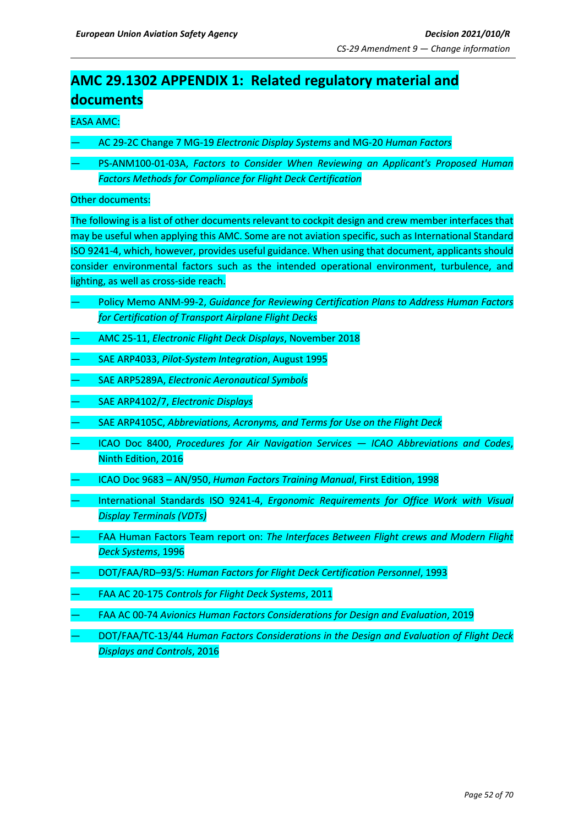# <span id="page-51-0"></span>**AMC 29.1302 APPENDIX 1: Related regulatory material and documents**

## EASA AMC:

- AC 29-2C Change 7 MG-19 *Electronic Display Systems* and MG-20 *Human Factors*
- PS-ANM100-01-03A, *Factors to Consider When Reviewing an Applicant's Proposed Human Factors Methods for Compliance for Flight Deck Certification*

### Other documents:

The following is a list of other documents relevant to cockpit design and crew member interfaces that may be useful when applying this AMC. Some are not aviation specific, such as International Standard ISO 9241-4, which, however, provides useful guidance. When using that document, applicants should consider environmental factors such as the intended operational environment, turbulence, and lighting, as well as cross-side reach.

- Policy Memo ANM-99-2, *Guidance for Reviewing Certification Plans to Address Human Factors for Certification of Transport Airplane Flight Decks*
- AMC 25-11, *Electronic Flight Deck Displays*, November 2018
- SAE ARP4033, *Pilot-System Integration*, August 1995
- SAE ARP5289A, *Electronic Aeronautical Symbols*
- SAE ARP4102/7, *Electronic Displays*
- SAE ARP4105C, *Abbreviations, Acronyms, and Terms for Use on the Flight Deck*
- ICAO Doc 8400, *Procedures for Air Navigation Services — ICAO Abbreviations and Codes*, Ninth Edition, 2016
- ICAO Doc 9683 AN/950, *Human Factors Training Manual*, First Edition, 1998
- International Standards ISO 9241-4, *Ergonomic Requirements for Office Work with Visual Display Terminals (VDTs)*
- FAA Human Factors Team report on: *The Interfaces Between Flight crews and Modern Flight Deck Systems*, 1996
- DOT/FAA/RD–93/5: *Human Factors for Flight Deck Certification Personnel*, 1993
- FAA AC 20-175 *Controls for Flight Deck Systems*, 2011
- FAA AC 00-74 *Avionics Human Factors Considerations for Design and Evaluation*, 2019
- DOT/FAA/TC-13/44 *Human Factors Considerations in the Design and Evaluation of Flight Deck Displays and Controls*, 2016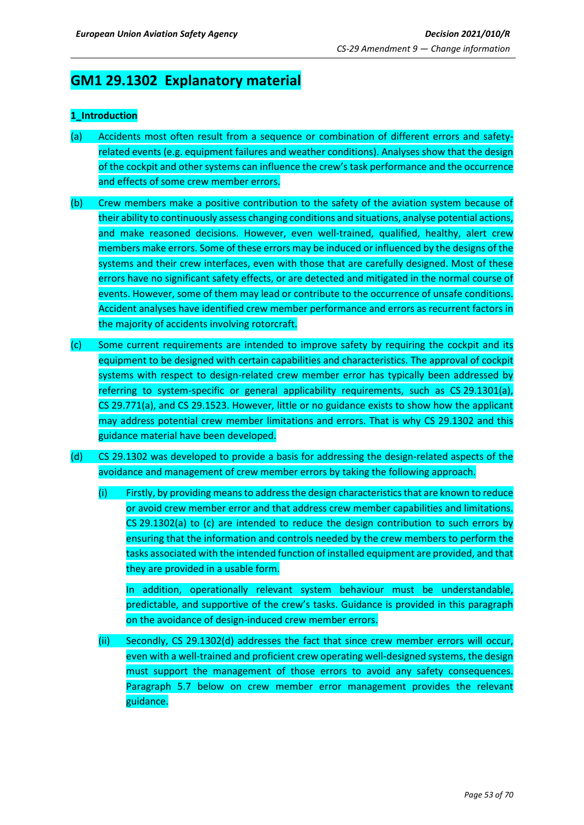## **GM1 29.1302 Explanatory material**

## **1\_Introduction**

- (a) Accidents most often result from a sequence or combination of different errors and safetyrelated events (e.g. equipment failures and weather conditions). Analyses show that the design of the cockpit and other systems can influence the crew's task performance and the occurrence and effects of some crew member errors.
- (b) Crew members make a positive contribution to the safety of the aviation system because of their ability to continuously assess changing conditions and situations, analyse potential actions, and make reasoned decisions. However, even well-trained, qualified, healthy, alert crew members make errors. Some of these errors may be induced or influenced by the designs of the systems and their crew interfaces, even with those that are carefully designed. Most of these errors have no significant safety effects, or are detected and mitigated in the normal course of events. However, some of them may lead or contribute to the occurrence of unsafe conditions. Accident analyses have identified crew member performance and errors as recurrent factors in the majority of accidents involving rotorcraft.
- (c) Some current requirements are intended to improve safety by requiring the cockpit and its equipment to be designed with certain capabilities and characteristics. The approval of cockpit systems with respect to design-related crew member error has typically been addressed by referring to system-specific or general applicability requirements, such as CS 29.1301(a), CS 29.771(a), and CS 29.1523. However, little or no guidance exists to show how the applicant may address potential crew member limitations and errors. That is why CS 29.1302 and this guidance material have been developed.
- (d) CS 29.1302 was developed to provide a basis for addressing the design-related aspects of the avoidance and management of crew member errors by taking the following approach.
	- (i) Firstly, by providing means to address the design characteristics that are known to reduce or avoid crew member error and that address crew member capabilities and limitations. CS 29.1302(a) to (c) are intended to reduce the design contribution to such errors by ensuring that the information and controls needed by the crew members to perform the tasks associated with the intended function of installed equipment are provided, and that they are provided in a usable form.

In addition, operationally relevant system behaviour must be understandable, predictable, and supportive of the crew's tasks. Guidance is provided in this paragraph on the avoidance of design-induced crew member errors.

(ii) Secondly, CS 29.1302(d) addresses the fact that since crew member errors will occur, even with a well-trained and proficient crew operating well-designed systems, the design must support the management of those errors to avoid any safety consequences. Paragraph 5.7 below on crew member error management provides the relevant guidance.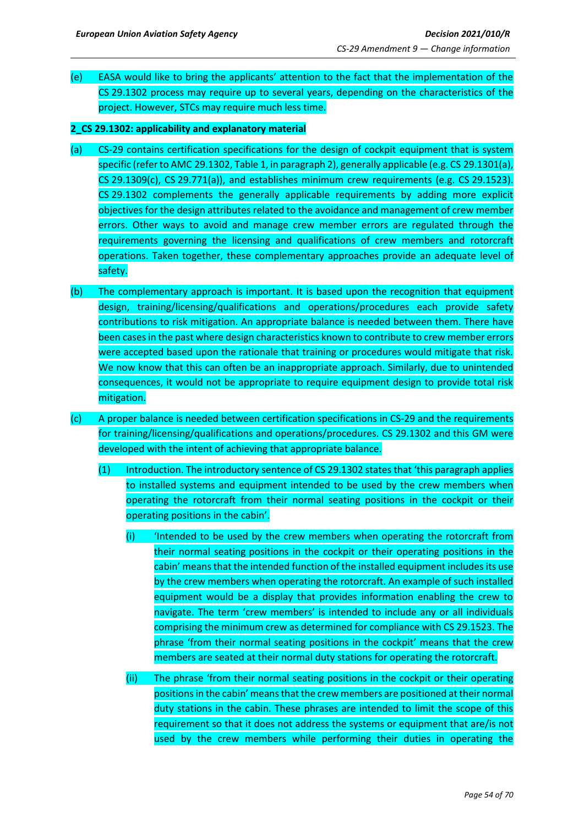- (e) EASA would like to bring the applicants' attention to the fact that the implementation of the CS 29.1302 process may require up to several years, depending on the characteristics of the project. However, STCs may require much less time.
- **2\_CS 29.1302: applicability and explanatory material**
- (a) CS-29 contains certification specifications for the design of cockpit equipment that is system specific (refer to AMC 29.1302, Table 1, in paragraph 2), generally applicable (e.g. CS 29.1301(a), CS 29.1309(c), CS 29.771(a)), and establishes minimum crew requirements (e.g. CS 29.1523). CS 29.1302 complements the generally applicable requirements by adding more explicit objectives for the design attributes related to the avoidance and management of crew member errors. Other ways to avoid and manage crew member errors are regulated through the requirements governing the licensing and qualifications of crew members and rotorcraft operations. Taken together, these complementary approaches provide an adequate level of safety.
- (b) The complementary approach is important. It is based upon the recognition that equipment design, training/licensing/qualifications and operations/procedures each provide safety contributions to risk mitigation. An appropriate balance is needed between them. There have been cases in the past where design characteristics known to contribute to crew member errors were accepted based upon the rationale that training or procedures would mitigate that risk. We now know that this can often be an inappropriate approach. Similarly, due to unintended consequences, it would not be appropriate to require equipment design to provide total risk mitigation.
- (c) A proper balance is needed between certification specifications in CS-29 and the requirements for training/licensing/qualifications and operations/procedures. CS 29.1302 and this GM were developed with the intent of achieving that appropriate balance.
	- (1) Introduction. The introductory sentence of CS 29.1302 states that 'this paragraph applies to installed systems and equipment intended to be used by the crew members when operating the rotorcraft from their normal seating positions in the cockpit or their operating positions in the cabin'.
		- (i) 'Intended to be used by the crew members when operating the rotorcraft from their normal seating positions in the cockpit or their operating positions in the cabin' means that the intended function of the installed equipment includes its use by the crew members when operating the rotorcraft. An example of such installed equipment would be a display that provides information enabling the crew to navigate. The term 'crew members' is intended to include any or all individuals comprising the minimum crew as determined for compliance with CS 29.1523. The phrase 'from their normal seating positions in the cockpit' means that the crew members are seated at their normal duty stations for operating the rotorcraft.
		- (ii) The phrase 'from their normal seating positions in the cockpit or their operating positions in the cabin' means that the crew members are positioned at their normal duty stations in the cabin. These phrases are intended to limit the scope of this requirement so that it does not address the systems or equipment that are/is not used by the crew members while performing their duties in operating the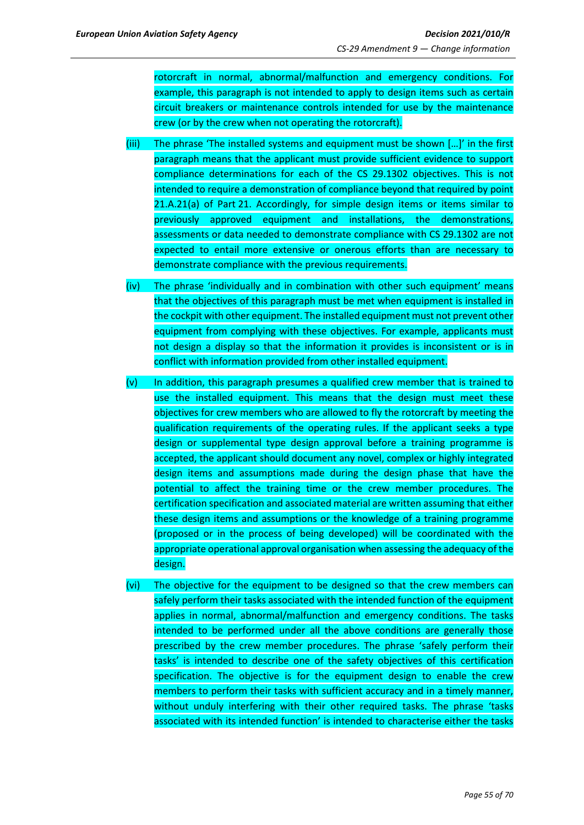rotorcraft in normal, abnormal/malfunction and emergency conditions. For example, this paragraph is not intended to apply to design items such as certain circuit breakers or maintenance controls intended for use by the maintenance crew (or by the crew when not operating the rotorcraft).

- (iii) The phrase 'The installed systems and equipment must be shown […]' in the first paragraph means that the applicant must provide sufficient evidence to support compliance determinations for each of the CS 29.1302 objectives. This is not intended to require a demonstration of compliance beyond that required by point 21.A.21(a) of Part 21. Accordingly, for simple design items or items similar to previously approved equipment and installations, the demonstrations, assessments or data needed to demonstrate compliance with CS 29.1302 are not expected to entail more extensive or onerous efforts than are necessary to demonstrate compliance with the previous requirements.
- (iv) The phrase 'individually and in combination with other such equipment' means that the objectives of this paragraph must be met when equipment is installed in the cockpit with other equipment. The installed equipment must not prevent other equipment from complying with these objectives. For example, applicants must not design a display so that the information it provides is inconsistent or is in conflict with information provided from other installed equipment.
- (v) In addition, this paragraph presumes a qualified crew member that is trained to use the installed equipment. This means that the design must meet these objectives for crew members who are allowed to fly the rotorcraft by meeting the qualification requirements of the operating rules. If the applicant seeks a type design or supplemental type design approval before a training programme is accepted, the applicant should document any novel, complex or highly integrated design items and assumptions made during the design phase that have the potential to affect the training time or the crew member procedures. The certification specification and associated material are written assuming that either these design items and assumptions or the knowledge of a training programme (proposed or in the process of being developed) will be coordinated with the appropriate operational approval organisation when assessing the adequacy of the design.
- (vi) The objective for the equipment to be designed so that the crew members can safely perform their tasks associated with the intended function of the equipment applies in normal, abnormal/malfunction and emergency conditions. The tasks intended to be performed under all the above conditions are generally those prescribed by the crew member procedures. The phrase 'safely perform their tasks' is intended to describe one of the safety objectives of this certification specification. The objective is for the equipment design to enable the crew members to perform their tasks with sufficient accuracy and in a timely manner, without unduly interfering with their other required tasks. The phrase 'tasks associated with its intended function' is intended to characterise either the tasks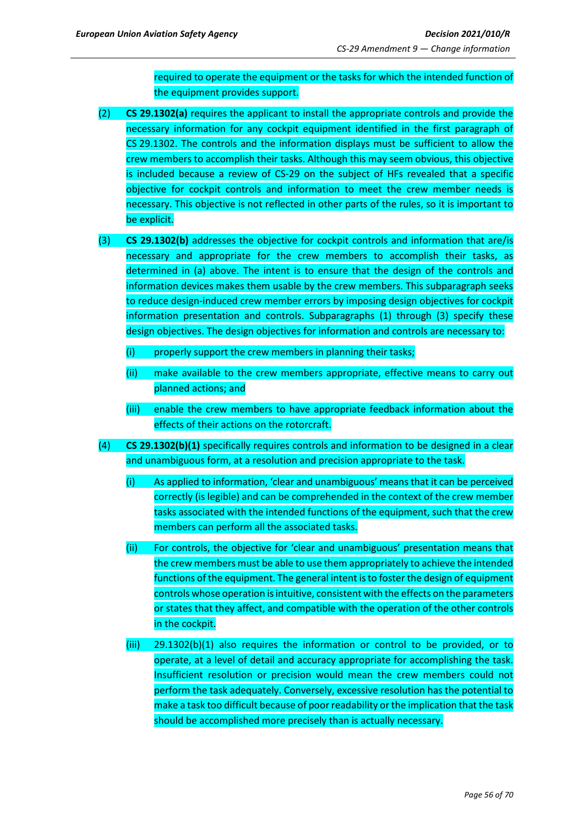required to operate the equipment or the tasks for which the intended function of the equipment provides support.

- (2) **CS 29.1302(a)** requires the applicant to install the appropriate controls and provide the necessary information for any cockpit equipment identified in the first paragraph of CS 29.1302. The controls and the information displays must be sufficient to allow the crew members to accomplish their tasks. Although this may seem obvious, this objective is included because a review of CS-29 on the subject of HFs revealed that a specific objective for cockpit controls and information to meet the crew member needs is necessary. This objective is not reflected in other parts of the rules, so it is important to be explicit.
- (3) **CS 29.1302(b)** addresses the objective for cockpit controls and information that are/is necessary and appropriate for the crew members to accomplish their tasks, as determined in (a) above. The intent is to ensure that the design of the controls and information devices makes them usable by the crew members. This subparagraph seeks to reduce design-induced crew member errors by imposing design objectives for cockpit information presentation and controls. Subparagraphs (1) through (3) specify these design objectives. The design objectives for information and controls are necessary to:
	- (i) properly support the crew members in planning their tasks;
	- (ii) make available to the crew members appropriate, effective means to carry out planned actions; and
	- (iii) enable the crew members to have appropriate feedback information about the effects of their actions on the rotorcraft.
- (4) **CS 29.1302(b)(1)** specifically requires controls and information to be designed in a clear and unambiguous form, at a resolution and precision appropriate to the task.
	- (i) As applied to information, 'clear and unambiguous' means that it can be perceived correctly (is legible) and can be comprehended in the context of the crew member tasks associated with the intended functions of the equipment, such that the crew members can perform all the associated tasks.
	- (ii) For controls, the objective for 'clear and unambiguous' presentation means that the crew members must be able to use them appropriately to achieve the intended functions of the equipment. The general intent is to foster the design of equipment controls whose operation is intuitive, consistent with the effects on the parameters or states that they affect, and compatible with the operation of the other controls in the cockpit.
	- (iii) 29.1302(b)(1) also requires the information or control to be provided, or to operate, at a level of detail and accuracy appropriate for accomplishing the task. Insufficient resolution or precision would mean the crew members could not perform the task adequately. Conversely, excessive resolution has the potential to make a task too difficult because of poor readability or the implication that the task should be accomplished more precisely than is actually necessary.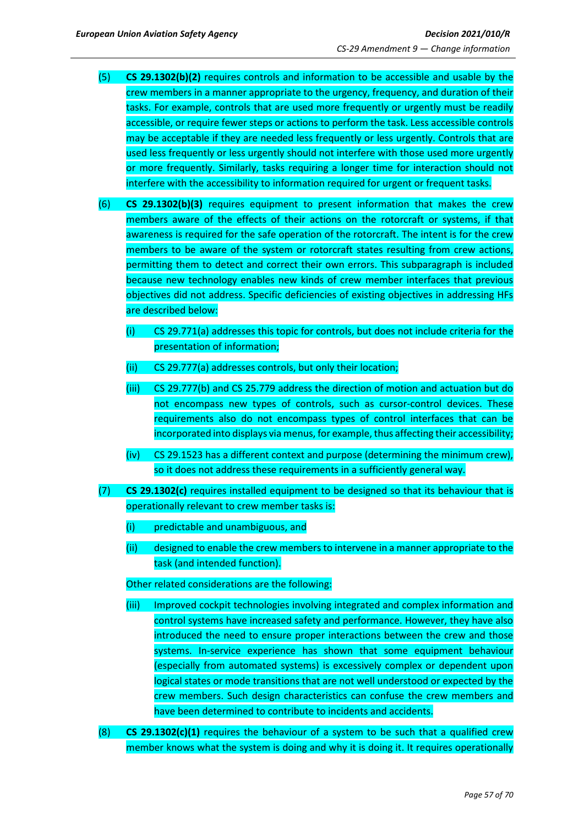- (5) **CS 29.1302(b)(2)** requires controls and information to be accessible and usable by the crew members in a manner appropriate to the urgency, frequency, and duration of their tasks. For example, controls that are used more frequently or urgently must be readily accessible, or require fewer steps or actions to perform the task. Less accessible controls may be acceptable if they are needed less frequently or less urgently. Controls that are used less frequently or less urgently should not interfere with those used more urgently or more frequently. Similarly, tasks requiring a longer time for interaction should not interfere with the accessibility to information required for urgent or frequent tasks.
- (6) **CS 29.1302(b)(3)** requires equipment to present information that makes the crew members aware of the effects of their actions on the rotorcraft or systems, if that awareness is required for the safe operation of the rotorcraft. The intent is for the crew members to be aware of the system or rotorcraft states resulting from crew actions, permitting them to detect and correct their own errors. This subparagraph is included because new technology enables new kinds of crew member interfaces that previous objectives did not address. Specific deficiencies of existing objectives in addressing HFs are described below:
	- (i) CS 29.771(a) addresses this topic for controls, but does not include criteria for the presentation of information;
	- (ii) CS 29.777(a) addresses controls, but only their location;
	- (iii) CS 29.777(b) and CS 25.779 address the direction of motion and actuation but do not encompass new types of controls, such as cursor-control devices. These requirements also do not encompass types of control interfaces that can be incorporated into displays via menus, for example, thus affecting their accessibility;
	- (iv) CS 29.1523 has a different context and purpose (determining the minimum crew), so it does not address these requirements in a sufficiently general way.
- (7) **CS 29.1302(c)** requires installed equipment to be designed so that its behaviour that is operationally relevant to crew member tasks is:
	- (i) predictable and unambiguous, and
	- (ii) designed to enable the crew members to intervene in a manner appropriate to the task (and intended function).

#### Other related considerations are the following:

- (iii) Improved cockpit technologies involving integrated and complex information and control systems have increased safety and performance. However, they have also introduced the need to ensure proper interactions between the crew and those systems. In-service experience has shown that some equipment behaviour (especially from automated systems) is excessively complex or dependent upon logical states or mode transitions that are not well understood or expected by the crew members. Such design characteristics can confuse the crew members and have been determined to contribute to incidents and accidents.
- (8) **CS 29.1302(c)(1)** requires the behaviour of a system to be such that a qualified crew member knows what the system is doing and why it is doing it. It requires operationally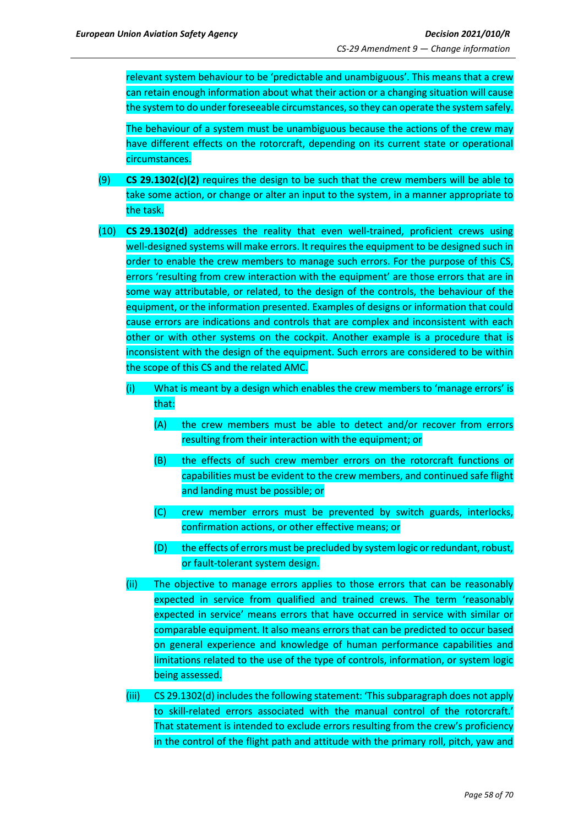relevant system behaviour to be 'predictable and unambiguous'. This means that a crew can retain enough information about what their action or a changing situation will cause the system to do under foreseeable circumstances, so they can operate the system safely.

The behaviour of a system must be unambiguous because the actions of the crew may have different effects on the rotorcraft, depending on its current state or operational circumstances.

- (9) **CS 29.1302(c)(2)** requires the design to be such that the crew members will be able to take some action, or change or alter an input to the system, in a manner appropriate to the task.
- (10) **CS 29.1302(d)** addresses the reality that even well-trained, proficient crews using well-designed systems will make errors. It requires the equipment to be designed such in order to enable the crew members to manage such errors. For the purpose of this CS, errors 'resulting from crew interaction with the equipment' are those errors that are in some way attributable, or related, to the design of the controls, the behaviour of the equipment, or the information presented. Examples of designs or information that could cause errors are indications and controls that are complex and inconsistent with each other or with other systems on the cockpit. Another example is a procedure that is inconsistent with the design of the equipment. Such errors are considered to be within the scope of this CS and the related AMC.
	- (i) What is meant by a design which enables the crew members to 'manage errors' is that:
		- (A) the crew members must be able to detect and/or recover from errors resulting from their interaction with the equipment; or
		- (B) the effects of such crew member errors on the rotorcraft functions or capabilities must be evident to the crew members, and continued safe flight and landing must be possible; or
		- (C) crew member errors must be prevented by switch guards, interlocks, confirmation actions, or other effective means; or
		- (D) the effects of errors must be precluded by system logic or redundant, robust, or fault-tolerant system design.
	- (ii) The objective to manage errors applies to those errors that can be reasonably expected in service from qualified and trained crews. The term 'reasonably expected in service' means errors that have occurred in service with similar or comparable equipment. It also means errors that can be predicted to occur based on general experience and knowledge of human performance capabilities and limitations related to the use of the type of controls, information, or system logic being assessed.
	- (iii) CS 29.1302(d) includes the following statement: 'This subparagraph does not apply to skill-related errors associated with the manual control of the rotorcraft.' That statement is intended to exclude errors resulting from the crew's proficiency in the control of the flight path and attitude with the primary roll, pitch, yaw and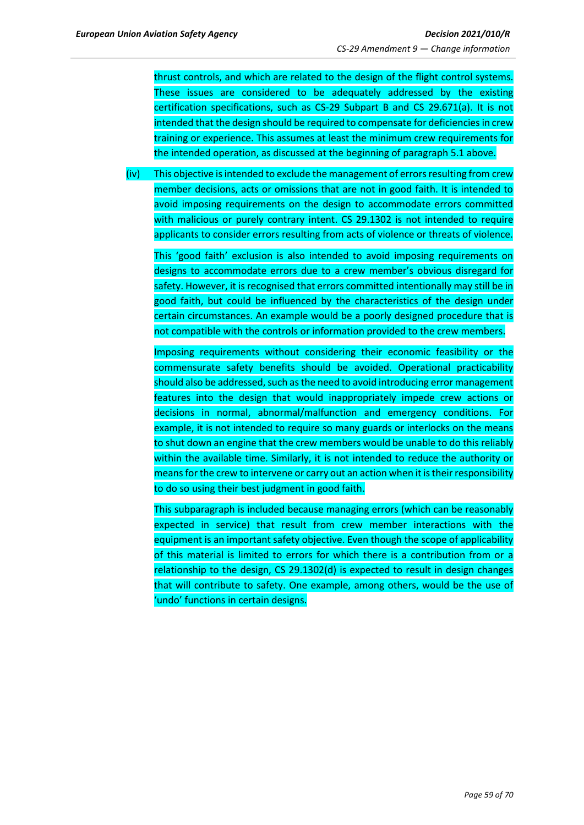thrust controls, and which are related to the design of the flight control systems. These issues are considered to be adequately addressed by the existing certification specifications, such as CS-29 Subpart B and CS 29.671(a). It is not intended that the design should be required to compensate for deficiencies in crew training or experience. This assumes at least the minimum crew requirements for the intended operation, as discussed at the beginning of paragraph 5.1 above.

(iv) This objective is intended to exclude the management of errors resulting from crew member decisions, acts or omissions that are not in good faith. It is intended to avoid imposing requirements on the design to accommodate errors committed with malicious or purely contrary intent. CS 29.1302 is not intended to require applicants to consider errors resulting from acts of violence or threats of violence.

This 'good faith' exclusion is also intended to avoid imposing requirements on designs to accommodate errors due to a crew member's obvious disregard for safety. However, it is recognised that errors committed intentionally may still be in good faith, but could be influenced by the characteristics of the design under certain circumstances. An example would be a poorly designed procedure that is not compatible with the controls or information provided to the crew members.

Imposing requirements without considering their economic feasibility or the commensurate safety benefits should be avoided. Operational practicability should also be addressed, such as the need to avoid introducing error management features into the design that would inappropriately impede crew actions or decisions in normal, abnormal/malfunction and emergency conditions. For example, it is not intended to require so many guards or interlocks on the means to shut down an engine that the crew members would be unable to do this reliably within the available time. Similarly, it is not intended to reduce the authority or means for the crew to intervene or carry out an action when it is their responsibility to do so using their best judgment in good faith.

This subparagraph is included because managing errors (which can be reasonably expected in service) that result from crew member interactions with the equipment is an important safety objective. Even though the scope of applicability of this material is limited to errors for which there is a contribution from or a relationship to the design, CS 29.1302(d) is expected to result in design changes that will contribute to safety. One example, among others, would be the use of 'undo' functions in certain designs.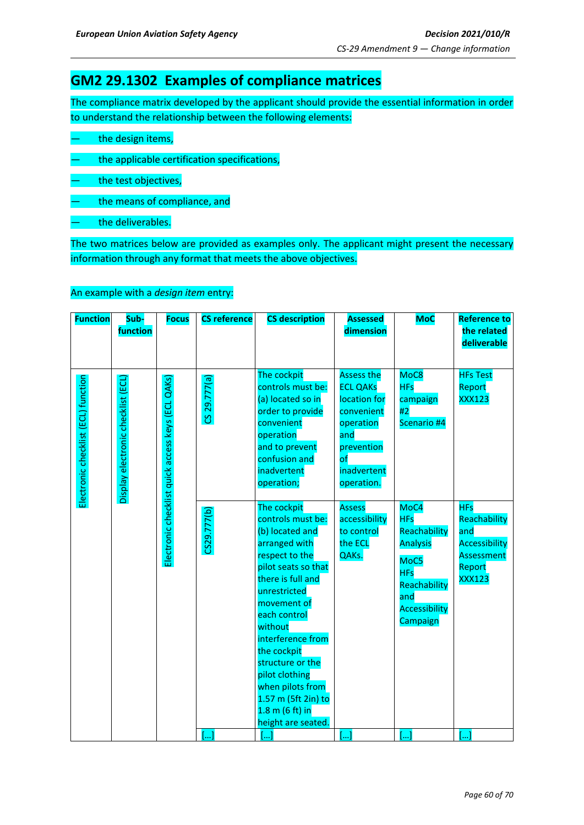## **GM2 29.1302 Examples of compliance matrices**

The compliance matrix developed by the applicant should provide the essential information in order to understand the relationship between the following elements:

- the design items,
- the applicable certification specifications,
- the test objectives,
- the means of compliance, and
- the deliverables.

The two matrices below are provided as examples only. The applicant might present the necessary information through any format that meets the above objectives.

## An example with a *design item* entry:

| <b>Function</b>                     | Sub-<br>function                   | <b>Focus</b>                                      | <b>CS reference</b>   | <b>CS description</b>                                                                                                                                                                                                                                                                                                                                                | <b>Assessed</b><br>dimension                                                                                                                       | <b>MoC</b>                                                                                                                             | <b>Reference to</b><br>the related                                                                 |
|-------------------------------------|------------------------------------|---------------------------------------------------|-----------------------|----------------------------------------------------------------------------------------------------------------------------------------------------------------------------------------------------------------------------------------------------------------------------------------------------------------------------------------------------------------------|----------------------------------------------------------------------------------------------------------------------------------------------------|----------------------------------------------------------------------------------------------------------------------------------------|----------------------------------------------------------------------------------------------------|
|                                     |                                    |                                                   |                       |                                                                                                                                                                                                                                                                                                                                                                      |                                                                                                                                                    |                                                                                                                                        | deliverable                                                                                        |
|                                     |                                    |                                                   |                       |                                                                                                                                                                                                                                                                                                                                                                      |                                                                                                                                                    |                                                                                                                                        |                                                                                                    |
| Electronic checklist (ECL) function | Display electronic checklist (ECL) | Electronic checklist quick access keys (ECL QAKs) | CS 29.777(a)          | The cockpit<br>controls must be:<br>(a) located so in<br>order to provide<br>convenient<br>operation<br>and to prevent<br>confusion and<br>inadvertent<br>operation;                                                                                                                                                                                                 | <b>Assess the</b><br><b>ECL QAKs</b><br>location for<br>convenient<br>operation<br>and<br>prevention<br>$\mathsf{of}$<br>inadvertent<br>operation. | MoC8<br><b>HFs</b><br>campaign<br>#2<br>Scenario #4                                                                                    | <b>HFs Test</b><br>Report<br><b>XXX123</b>                                                         |
|                                     |                                    |                                                   | CS29.777(b)           | The cockpit<br>controls must be:<br>(b) located and<br>arranged with<br>respect to the<br>pilot seats so that<br>there is full and<br>unrestricted<br>movement of<br>each control<br>without<br>interference from<br>the cockpit<br>structure or the<br>pilot clothing<br>when pilots from<br>1.57 m (5ft 2in) to<br>$1.8 \text{ m}$ (6 ft) in<br>height are seated. | <b>Assess</b><br>accessibility<br>to control<br>the ECL<br>QAKs.                                                                                   | MoC4<br><b>HFs</b><br>Reachability<br><b>Analysis</b><br>MoC5<br><b>HFs</b><br>Reachability<br>and<br><b>Accessibility</b><br>Campaign | <b>HFs</b><br>Reachability<br>and<br><b>Accessibility</b><br>Assessment<br>Report<br><b>XXX123</b> |
|                                     |                                    |                                                   | $\left[\ldots\right]$ | []                                                                                                                                                                                                                                                                                                                                                                   | []                                                                                                                                                 | []                                                                                                                                     | []                                                                                                 |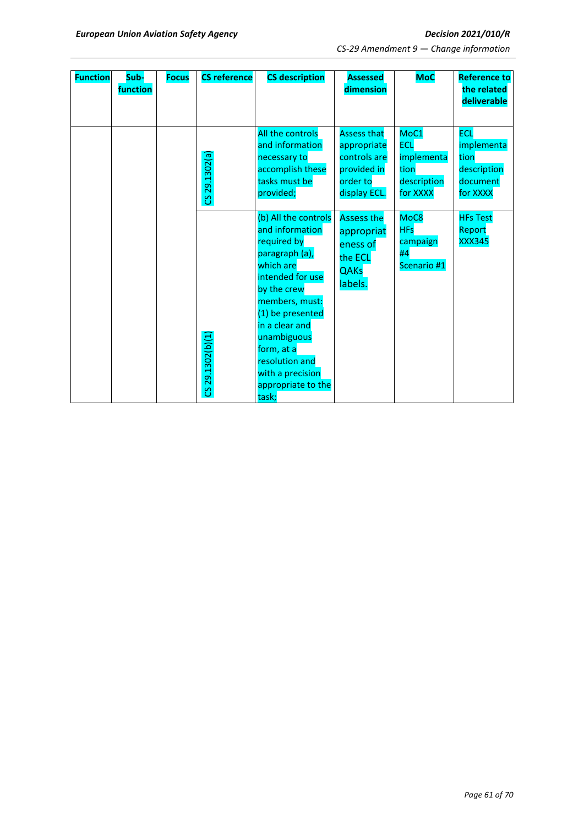| <b>Function</b> | Sub-<br>function | <b>Focus</b> | <b>CS reference</b> | <b>CS description</b>                                                                                                                                                                                                                                                              | <b>Assessed</b><br>dimension                                                                 | <b>MoC</b>                                                          | <b>Reference to</b><br>the related<br>deliverable                       |
|-----------------|------------------|--------------|---------------------|------------------------------------------------------------------------------------------------------------------------------------------------------------------------------------------------------------------------------------------------------------------------------------|----------------------------------------------------------------------------------------------|---------------------------------------------------------------------|-------------------------------------------------------------------------|
|                 |                  |              | CS 29.1302(a        | All the controls<br>and information<br>necessary to<br>accomplish these<br>tasks must be<br>provided;                                                                                                                                                                              | <b>Assess that</b><br>appropriate<br>controls are<br>provided in<br>order to<br>display ECL. | MoC1<br><b>ECL</b><br>implementa<br>tion<br>description<br>for XXXX | <b>ECL</b><br>implementa<br>tion<br>description<br>document<br>for XXXX |
|                 |                  |              | CS 29.1302(b)(1     | (b) All the controls<br>and information<br>required by<br>paragraph (a),<br>which are<br>intended for use<br>by the crew<br>members, must:<br>(1) be presented<br>in a clear and<br>unambiguous<br>form, at a<br>resolution and<br>with a precision<br>appropriate to the<br>task; | <b>Assess the</b><br>appropriat<br>eness of<br>the ECL<br><b>QAKs</b><br>labels.             | MoC8<br><b>HFs</b><br>campaign<br>#4<br>Scenario #1                 | <b>HFs Test</b><br>Report<br><b>XXX345</b>                              |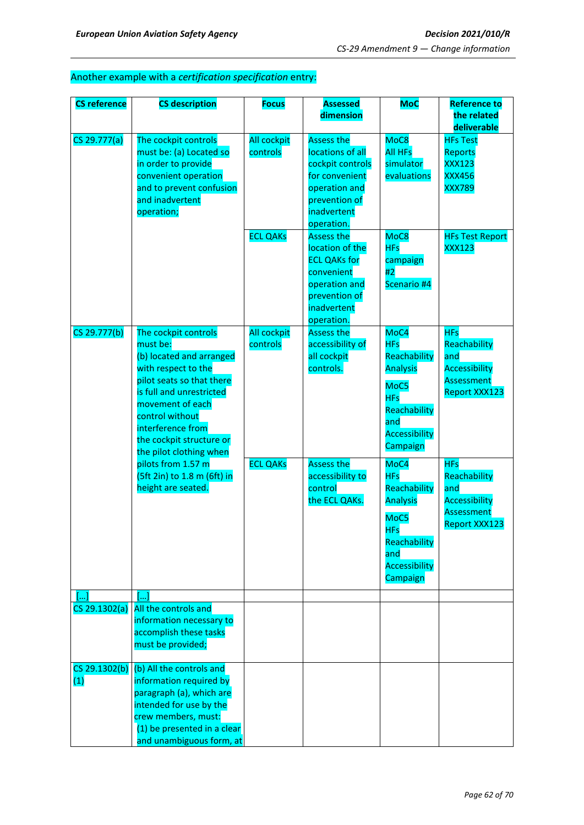## Another example with a *certification specification* entry:

| <b>CS reference</b>  | <b>CS description</b>                                                                                                                                                                                                                                           | <b>Focus</b>                   | <b>Assessed</b>                                                                                                                            | <b>MoC</b>                                                                                                                      | <b>Reference to</b>                                                                                    |
|----------------------|-----------------------------------------------------------------------------------------------------------------------------------------------------------------------------------------------------------------------------------------------------------------|--------------------------------|--------------------------------------------------------------------------------------------------------------------------------------------|---------------------------------------------------------------------------------------------------------------------------------|--------------------------------------------------------------------------------------------------------|
|                      |                                                                                                                                                                                                                                                                 |                                | dimension                                                                                                                                  |                                                                                                                                 | the related<br>deliverable                                                                             |
| CS 29.777(a)         | The cockpit controls<br>must be: (a) Located so<br>in order to provide<br>convenient operation<br>and to prevent confusion<br>and inadvertent<br>operation;                                                                                                     | <b>All cockpit</b><br>controls | <b>Assess the</b><br>locations of all<br>cockpit controls<br>for convenient<br>operation and<br>prevention of<br>inadvertent<br>operation. | MoC8<br><b>All HFs</b><br>simulator<br>evaluations                                                                              | <b>HFs Test</b><br>Reports<br><b>XXX123</b><br><b>XXX456</b><br><b>XXX789</b>                          |
|                      |                                                                                                                                                                                                                                                                 | <b>ECL QAKs</b>                | <b>Assess the</b><br>location of the<br><b>ECL QAKs for</b><br>convenient<br>operation and<br>prevention of<br>inadvertent<br>operation.   | MoC8<br><b>HFs</b><br>campaign<br>#2<br>Scenario #4                                                                             | <b>HFs Test Report</b><br><b>XXX123</b>                                                                |
| CS 29.777(b)         | The cockpit controls<br>must be:<br>(b) located and arranged<br>with respect to the<br>pilot seats so that there<br>is full and unrestricted<br>movement of each<br>control without<br>interference from<br>the cockpit structure or<br>the pilot clothing when | All cockpit<br>controls        | <b>Assess the</b><br>accessibility of<br>all cockpit<br>controls.                                                                          | MoC4<br><b>HFs</b><br>Reachability<br><b>Analysis</b><br>MoC5<br><b>HFs</b><br>Reachability<br>and<br>Accessibility<br>Campaign | <b>HFs</b><br>Reachability<br>and<br><b>Accessibility</b><br><b>Assessment</b><br><b>Report XXX123</b> |
|                      | pilots from 1.57 m<br>(5ft 2in) to 1.8 m (6ft) in<br>height are seated.                                                                                                                                                                                         | <b>ECL QAKs</b>                | <b>Assess the</b><br>accessibility to<br>control<br>the ECL QAKs.                                                                          | MoC4<br><b>HFs</b><br>Reachability<br><b>Analysis</b><br>MoC5<br><b>HFs</b><br>Reachability<br>and<br>Accessibility<br>Campaign | <b>HFs</b><br>Reachability<br>and<br><b>Accessibility</b><br><b>Assessment</b><br><b>Report XXX123</b> |
|                      | $\lceil \dots \rceil$                                                                                                                                                                                                                                           |                                |                                                                                                                                            |                                                                                                                                 |                                                                                                        |
| CS 29.1302(a)        | All the controls and<br>information necessary to<br>accomplish these tasks<br>must be provided;                                                                                                                                                                 |                                |                                                                                                                                            |                                                                                                                                 |                                                                                                        |
| CS 29.1302(b)<br>(1) | (b) All the controls and<br>information required by<br>paragraph (a), which are<br>intended for use by the<br>crew members, must:<br>(1) be presented in a clear<br>and unambiguous form, at                                                                    |                                |                                                                                                                                            |                                                                                                                                 |                                                                                                        |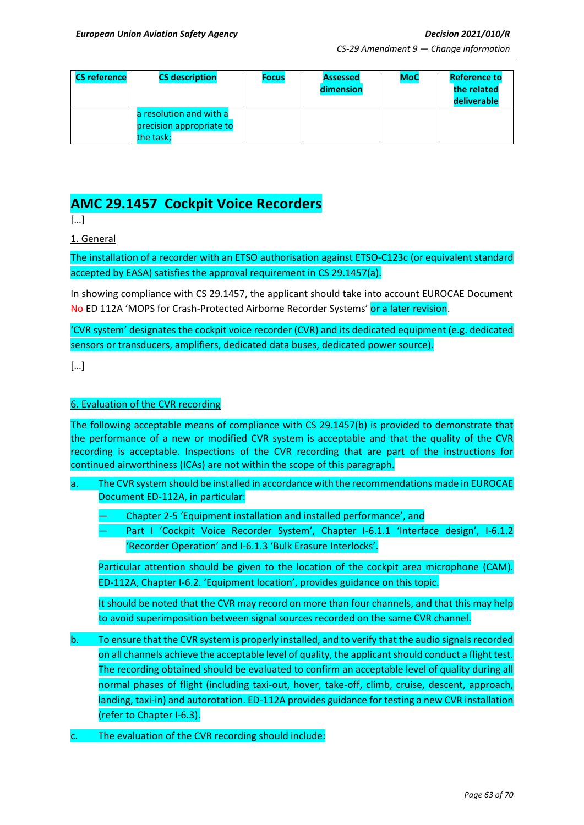| <b>CS reference</b> | <b>CS description</b>                                            | <b>Focus</b> | <b>Assessed</b><br>dimension | <b>MoC</b> | <b>Reference to</b><br>the related<br>deliverable |
|---------------------|------------------------------------------------------------------|--------------|------------------------------|------------|---------------------------------------------------|
|                     | a resolution and with a<br>precision appropriate to<br>the task: |              |                              |            |                                                   |

# **AMC 29.1457 Cockpit Voice Recorders**

[…]

1. General

The installation of a recorder with an ETSO authorisation against ETSO-C123c (or equivalent standard accepted by EASA) satisfies the approval requirement in CS 29.1457(a).

In showing compliance with CS 29.1457, the applicant should take into account EUROCAE Document No ED 112A 'MOPS for Crash-Protected Airborne Recorder Systems' or a later revision.

'CVR system' designates the cockpit voice recorder (CVR) and its dedicated equipment (e.g. dedicated sensors or transducers, amplifiers, dedicated data buses, dedicated power source).

[…]

#### 6. Evaluation of the CVR recording

The following acceptable means of compliance with CS 29.1457(b) is provided to demonstrate that the performance of a new or modified CVR system is acceptable and that the quality of the CVR recording is acceptable. Inspections of the CVR recording that are part of the instructions for continued airworthiness (ICAs) are not within the scope of this paragraph.

- a. The CVR system should be installed in accordance with the recommendations made in EUROCAE Document ED-112A, in particular:
	- Chapter 2-5 'Equipment installation and installed performance', and
	- Part I 'Cockpit Voice Recorder System', Chapter I-6.1.1 'Interface design', I-6.1.2 'Recorder Operation' and I-6.1.3 'Bulk Erasure Interlocks'.

Particular attention should be given to the location of the cockpit area microphone (CAM). ED-112A, Chapter I-6.2. 'Equipment location', provides guidance on this topic.

It should be noted that the CVR may record on more than four channels, and that this may help to avoid superimposition between signal sources recorded on the same CVR channel.

- b. To ensure that the CVR system is properly installed, and to verify that the audio signals recorded on all channels achieve the acceptable level of quality, the applicant should conduct a flight test. The recording obtained should be evaluated to confirm an acceptable level of quality during all normal phases of flight (including taxi-out, hover, take-off, climb, cruise, descent, approach, landing, taxi-in) and autorotation. ED-112A provides guidance for testing a new CVR installation (refer to Chapter I-6.3).
- The evaluation of the CVR recording should include: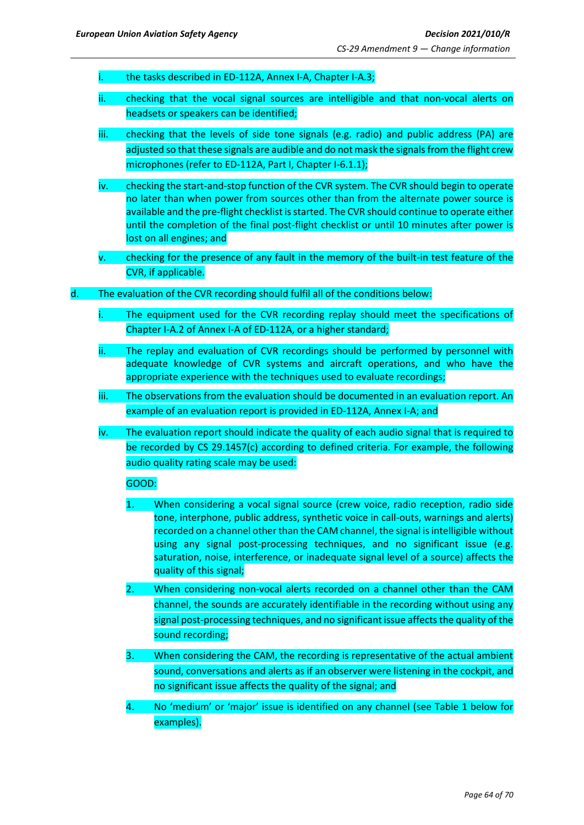- the tasks described in ED-112A, Annex I-A, Chapter I-A.3;
- ii. checking that the vocal signal sources are intelligible and that non-vocal alerts on headsets or speakers can be identified;
- iii. checking that the levels of side tone signals (e.g. radio) and public address (PA) are adjusted so that these signals are audible and do not mask the signals from the flight crew microphones (refer to ED-112A, Part I, Chapter I-6.1.1);
- iv. checking the start-and-stop function of the CVR system. The CVR should begin to operate no later than when power from sources other than from the alternate power source is available and the pre-flight checklist is started. The CVR should continue to operate either until the completion of the final post-flight checklist or until 10 minutes after power is lost on all engines; and
- v. checking for the presence of any fault in the memory of the built-in test feature of the CVR, if applicable.
- d. The evaluation of the CVR recording should fulfil all of the conditions below:
	- i. The equipment used for the CVR recording replay should meet the specifications of Chapter I-A.2 of Annex I-A of ED-112A, or a higher standard;
	- ii. The replay and evaluation of CVR recordings should be performed by personnel with adequate knowledge of CVR systems and aircraft operations, and who have the appropriate experience with the techniques used to evaluate recordings;
	- iii. The observations from the evaluation should be documented in an evaluation report. An example of an evaluation report is provided in ED-112A, Annex I-A; and
	- iv. The evaluation report should indicate the quality of each audio signal that is required to be recorded by CS 29.1457(c) according to defined criteria. For example, the following audio quality rating scale may be used:

#### GOOD:

- 1. When considering a vocal signal source (crew voice, radio reception, radio side tone, interphone, public address, synthetic voice in call-outs, warnings and alerts) recorded on a channel other than the CAM channel, the signal is intelligible without using any signal post-processing techniques, and no significant issue (e.g. saturation, noise, interference, or inadequate signal level of a source) affects the quality of this signal;
- 2. When considering non-vocal alerts recorded on a channel other than the CAM channel, the sounds are accurately identifiable in the recording without using any signal post-processing techniques, and no significant issue affects the quality of the sound recording;
- 3. When considering the CAM, the recording is representative of the actual ambient sound, conversations and alerts as if an observer were listening in the cockpit, and no significant issue affects the quality of the signal; and
- 4. No 'medium' or 'major' issue is identified on any channel (see Table 1 below for examples).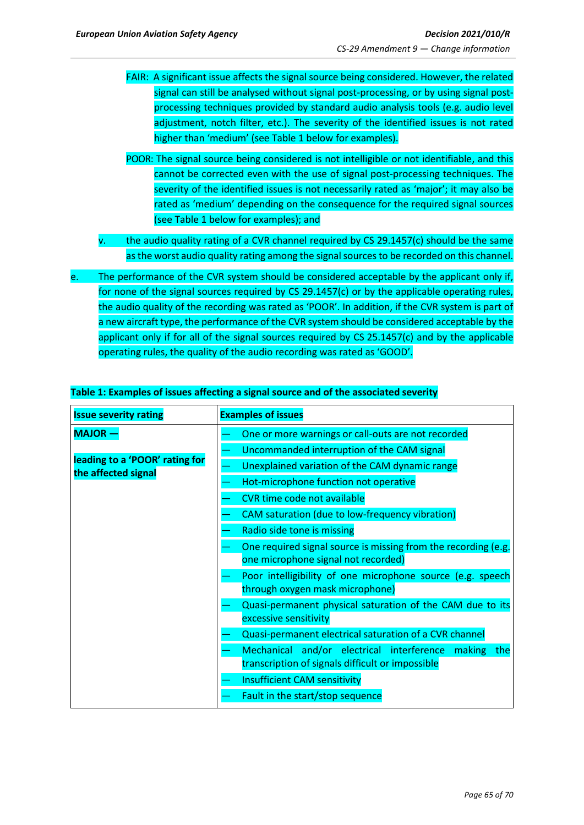- FAIR: A significant issue affects the signal source being considered. However, the related signal can still be analysed without signal post-processing, or by using signal postprocessing techniques provided by standard audio analysis tools (e.g. audio level adjustment, notch filter, etc.). The severity of the identified issues is not rated higher than 'medium' (see Table 1 below for examples).
- POOR: The signal source being considered is not intelligible or not identifiable, and this cannot be corrected even with the use of signal post-processing techniques. The severity of the identified issues is not necessarily rated as 'major'; it may also be rated as 'medium' depending on the consequence for the required signal sources (see Table 1 below for examples); and
- v. the audio quality rating of a CVR channel required by CS 29.1457(c) should be the same as the worst audio quality rating among the signal sources to be recorded on this channel.
- e. The performance of the CVR system should be considered acceptable by the applicant only if, for none of the signal sources required by CS 29.1457(c) or by the applicable operating rules, the audio quality of the recording was rated as 'POOR'. In addition, if the CVR system is part of a new aircraft type, the performance of the CVR system should be considered acceptable by the applicant only if for all of the signal sources required by CS 25.1457(c) and by the applicable operating rules, the quality of the audio recording was rated as 'GOOD'.

| <b>Issue severity rating</b>                          | <b>Examples of issues</b>                                                                                   |
|-------------------------------------------------------|-------------------------------------------------------------------------------------------------------------|
| <b>MAJOR-</b>                                         | One or more warnings or call-outs are not recorded                                                          |
|                                                       | Uncommanded interruption of the CAM signal                                                                  |
| leading to a 'POOR' rating for<br>the affected signal | Unexplained variation of the CAM dynamic range                                                              |
|                                                       | Hot-microphone function not operative                                                                       |
|                                                       | <b>CVR time code not available</b>                                                                          |
|                                                       | CAM saturation (due to low-frequency vibration)                                                             |
|                                                       | Radio side tone is missing                                                                                  |
|                                                       | One required signal source is missing from the recording (e.g.                                              |
|                                                       | one microphone signal not recorded)                                                                         |
|                                                       | Poor intelligibility of one microphone source (e.g. speech<br>through oxygen mask microphone)               |
|                                                       | Quasi-permanent physical saturation of the CAM due to its<br>excessive sensitivity                          |
|                                                       | Quasi-permanent electrical saturation of a CVR channel                                                      |
|                                                       | Mechanical and/or electrical interference making<br>the<br>transcription of signals difficult or impossible |
|                                                       | <b>Insufficient CAM sensitivity</b>                                                                         |
|                                                       | Fault in the start/stop sequence                                                                            |

## **Table 1: Examples of issues affecting a signal source and of the associated severity**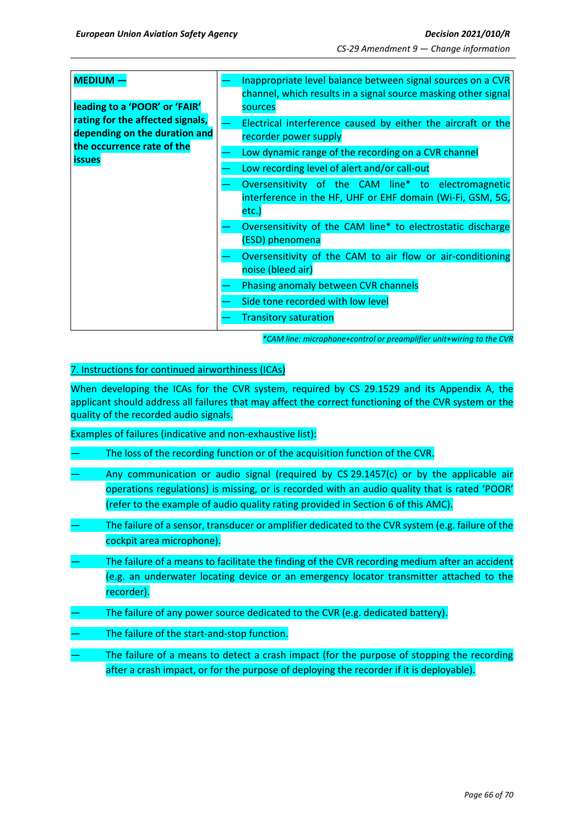| <b>MEDIUM</b><br>leading to a 'POOR' or 'FAIR'                                                                   | Inappropriate level balance between signal sources on a CVR<br>channel, which results in a signal source masking other signal<br>sources                                                                                                                                                                                      |
|------------------------------------------------------------------------------------------------------------------|-------------------------------------------------------------------------------------------------------------------------------------------------------------------------------------------------------------------------------------------------------------------------------------------------------------------------------|
| rating for the affected signals,<br>depending on the duration and<br>the occurrence rate of the<br><b>issues</b> | Electrical interference caused by either the aircraft or the<br>recorder power supply<br>Low dynamic range of the recording on a CVR channel<br>Low recording level of alert and/or call-out<br>Oversensitivity of the CAM line* to electromagnetic<br>interference in the HF, UHF or EHF domain (Wi-Fi, GSM, 5G,<br>$etc.$ ) |
|                                                                                                                  | Oversensitivity of the CAM line* to electrostatic discharge<br>(ESD) phenomena                                                                                                                                                                                                                                                |
|                                                                                                                  | Oversensitivity of the CAM to air flow or air-conditioning<br>noise (bleed air)                                                                                                                                                                                                                                               |
|                                                                                                                  | Phasing anomaly between CVR channels                                                                                                                                                                                                                                                                                          |
|                                                                                                                  | Side tone recorded with low level<br><b>Transitory saturation</b>                                                                                                                                                                                                                                                             |

*\*CAM line: microphone+control or preamplifier unit+wiring to the CVR*

#### 7. Instructions for continued airworthiness (ICAs)

When developing the ICAs for the CVR system, required by CS 29.1529 and its Appendix A, the applicant should address all failures that may affect the correct functioning of the CVR system or the quality of the recorded audio signals.

Examples of failures (indicative and non-exhaustive list):

- The loss of the recording function or of the acquisition function of the CVR.
- Any communication or audio signal (required by  $CS$  29.1457(c) or by the applicable air operations regulations) is missing, or is recorded with an audio quality that is rated 'POOR' (refer to the example of audio quality rating provided in Section 6 of this AMC).
- The failure of a sensor, transducer or amplifier dedicated to the CVR system (e.g. failure of the cockpit area microphone).
- The failure of a means to facilitate the finding of the CVR recording medium after an accident (e.g. an underwater locating device or an emergency locator transmitter attached to the recorder).
- The failure of any power source dedicated to the CVR (e.g. dedicated battery).
- The failure of the start-and-stop function.
- The failure of a means to detect a crash impact (for the purpose of stopping the recording after a crash impact, or for the purpose of deploying the recorder if it is deployable).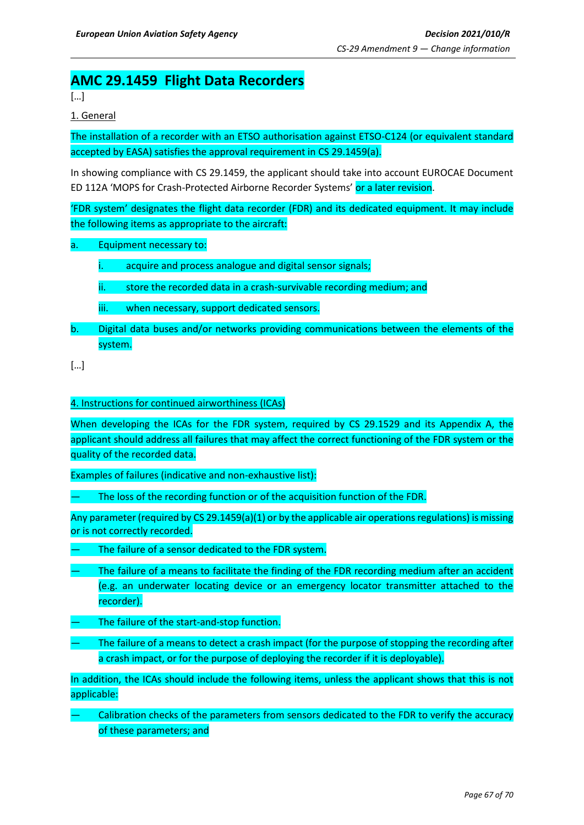## **AMC 29.1459 Flight Data Recorders**

[…]

1. General

The installation of a recorder with an ETSO authorisation against ETSO-C124 (or equivalent standard accepted by EASA) satisfies the approval requirement in CS 29.1459(a).

In showing compliance with CS 29.1459, the applicant should take into account EUROCAE Document ED 112A 'MOPS for Crash-Protected Airborne Recorder Systems' or a later revision.

'FDR system' designates the flight data recorder (FDR) and its dedicated equipment. It may include the following items as appropriate to the aircraft:

a. Equipment necessary to:

i. acquire and process analogue and digital sensor signals;

- ii. store the recorded data in a crash-survivable recording medium; and
- iii. when necessary, support dedicated sensors.
- b. Digital data buses and/or networks providing communications between the elements of the system.

[…]

#### 4. Instructions for continued airworthiness (ICAs)

When developing the ICAs for the FDR system, required by CS 29.1529 and its Appendix A, the applicant should address all failures that may affect the correct functioning of the FDR system or the quality of the recorded data.

Examples of failures (indicative and non-exhaustive list):

The loss of the recording function or of the acquisition function of the FDR.

Any parameter (required by CS 29.1459(a)(1) or by the applicable air operations regulations) is missing or is not correctly recorded.

- The failure of a sensor dedicated to the FDR system.
- The failure of a means to facilitate the finding of the FDR recording medium after an accident (e.g. an underwater locating device or an emergency locator transmitter attached to the recorder).
- The failure of the start-and-stop function.
- The failure of a means to detect a crash impact (for the purpose of stopping the recording after a crash impact, or for the purpose of deploying the recorder if it is deployable).

In addition, the ICAs should include the following items, unless the applicant shows that this is not applicable:

— Calibration checks of the parameters from sensors dedicated to the FDR to verify the accuracy of these parameters; and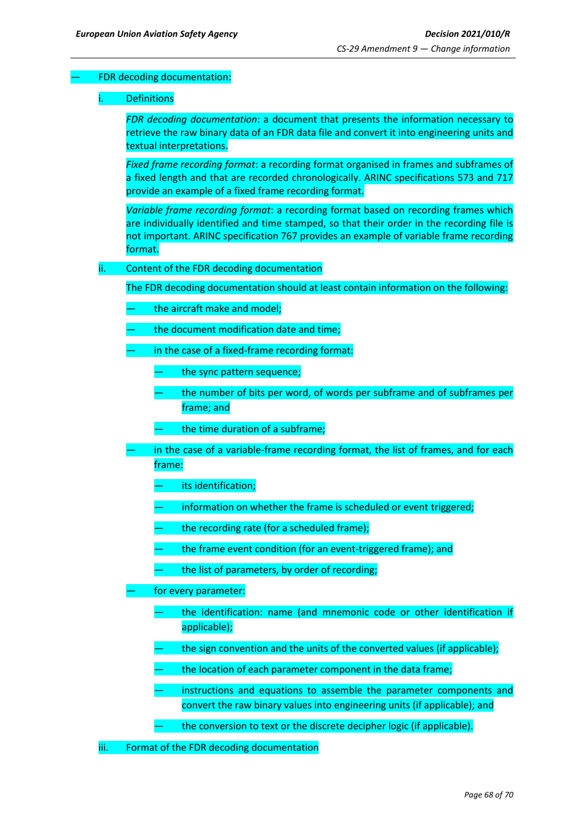## FDR decoding documentation:

#### **Definitions**

*FDR decoding documentation*: a document that presents the information necessary to retrieve the raw binary data of an FDR data file and convert it into engineering units and textual interpretations.

*Fixed frame recording format*: a recording format organised in frames and subframes of a fixed length and that are recorded chronologically. ARINC specifications 573 and 717 provide an example of a fixed frame recording format.

*Variable frame recording format*: a recording format based on recording frames which are individually identified and time stamped, so that their order in the recording file is not important. ARINC specification 767 provides an example of variable frame recording format.

#### ii. Content of the FDR decoding documentation

The FDR decoding documentation should at least contain information on the following:

- the aircraft make and model;
- the document modification date and time;
- in the case of a fixed-frame recording format:
	- the sync pattern sequence;
	- the number of bits per word, of words per subframe and of subframes per frame; and
	- the time duration of a subframe;
- in the case of a variable-frame recording format, the list of frames, and for each frame:
	- its identification;
	- information on whether the frame is scheduled or event triggered;
	- the recording rate (for a scheduled frame);
	- the frame event condition (for an event-triggered frame); and
	- the list of parameters, by order of recording;
- for every parameter:
	- the identification: name (and mnemonic code or other identification if applicable);
	- the sign convention and the units of the converted values (if applicable);
	- the location of each parameter component in the data frame;
	- instructions and equations to assemble the parameter components and convert the raw binary values into engineering units (if applicable); and
	- the conversion to text or the discrete decipher logic (if applicable).
- iii. Format of the FDR decoding documentation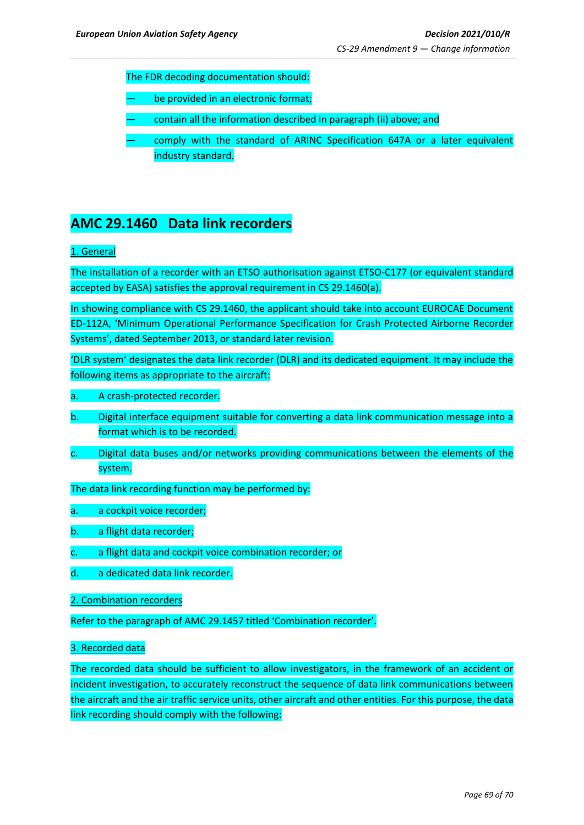The FDR decoding documentation should:

- be provided in an electronic format;
- contain all the information described in paragraph (ii) above; and
- comply with the standard of ARINC Specification 647A or a later equivalent industry standard.

## **AMC 29.1460 Data link recorders**

## 1. General

The installation of a recorder with an ETSO authorisation against ETSO-C177 (or equivalent standard accepted by EASA) satisfies the approval requirement in CS 29.1460(a).

In showing compliance with CS 29.1460, the applicant should take into account EUROCAE Document ED-112A, 'Minimum Operational Performance Specification for Crash Protected Airborne Recorder Systems', dated September 2013, or standard later revision.

'DLR system' designates the data link recorder (DLR) and its dedicated equipment. It may include the following items as appropriate to the aircraft:

#### a. A crash-protected recorder.

- b. Digital interface equipment suitable for converting a data link communication message into a format which is to be recorded.
- c. Digital data buses and/or networks providing communications between the elements of the system.

The data link recording function may be performed by:

- a. a cockpit voice recorder;
- b. a flight data recorder;
- c. a flight data and cockpit voice combination recorder; or
- d. a dedicated data link recorder.
- 2. Combination recorders

Refer to the paragraph of AMC 29.1457 titled 'Combination recorder'.

#### 3. Recorded data

The recorded data should be sufficient to allow investigators, in the framework of an accident or incident investigation, to accurately reconstruct the sequence of data link communications between the aircraft and the air traffic service units, other aircraft and other entities. For this purpose, the data link recording should comply with the following: